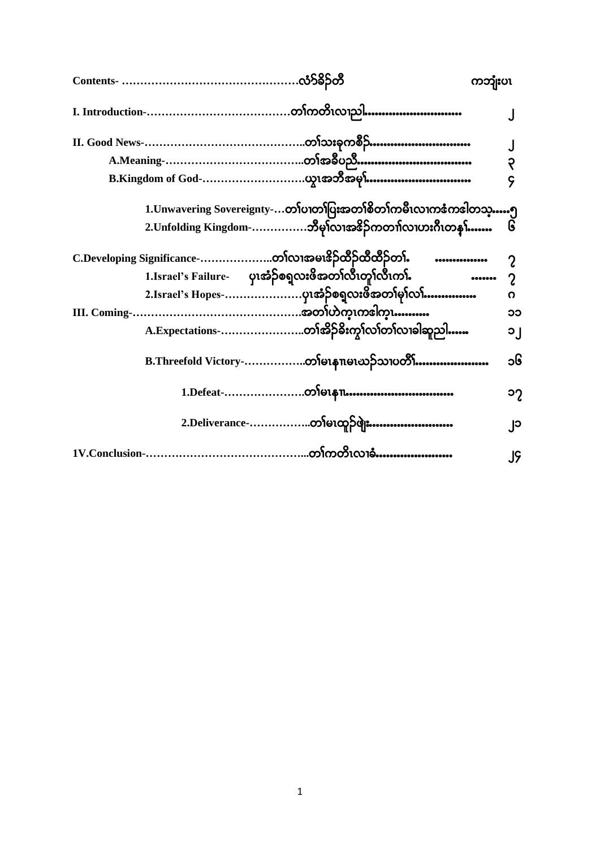|                                                                    | ကဘျုံးပၤ                       |
|--------------------------------------------------------------------|--------------------------------|
|                                                                    |                                |
|                                                                    |                                |
| A.Meaning-……………………………………တ <b>်ာအ</b> စီပညီ………………………………             | ?                              |
|                                                                    | <mark>Ş</mark>                 |
| 1.Unwavering Sovereignty-တၢ်ပၢတၢပြးအတၢ်စိတၢ်ကမီးလၢကဇံကဒါတသ္…၅      |                                |
| 2.Unfolding Kingdom-ဘီမုໂလၢအ&ိဉ်ကတၢါလၢဟးဂီၤတနှၤ်……                 | ၆                              |
| C.Developing Significance-တၢ်လၢအမၢဒိဉ်ထိဉ်ထိထိဉ်တၢ်.         …………… |                                |
| 1.Israel's Failure- ပုၤအံ့ဉ်စရ္ခလးဖိအတၢ်လီၤတူ၊်လီၤကၤ်              | $00000000$<br>$\boldsymbol{c}$ |
| 2.Israel's Hopes-ပုၤအံဉ်စရ္ခလးဖိအတၢ်မှၢ်လၢ်……………                   | ი                              |
|                                                                    | ၁၁                             |
| A.Expectations-တၢ်အိဉ်ခိုးကွၢ်လၢ်တၢ်လၢခါဆူညါ……                     | ၁၂                             |
| B.Threefold Victory-တ}်မၤနၢၤမၤဃဉ်သၢပတိၱိါ…………………                   | ၁၆                             |
|                                                                    | ၁၇                             |
| 2.Deliverance-တ <b>်</b> မၤထူဉ်ဖျဲး……………………                        | ္ပု၁                           |
|                                                                    | JĢ                             |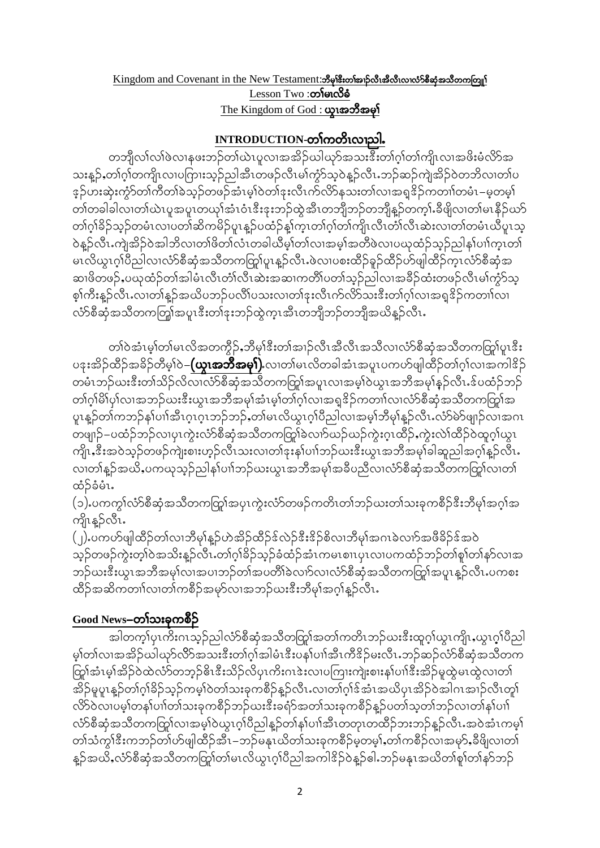#### Kingdom and Covenant in the New Testament: ဘီမုနီးတ၊်အည်လီးအီလီးလ၊လံ>်စီဆုံအသီတကတြူ၊  $Lesson Two : **co** for  $\delta$$ </u> The Kingdom of God : **ယူးအဘီအမှ**ါ်

### INTRODUCTION-တၢ်ကတိၤလၢညါ.

တဘျီလၤ်လၤ်ဖဲလၢနဖးဘဉ်တၤ်ယဲၤပူလၢအအိဉ်ယါယှာ်အသးဒီးတၢ်ဂ့ၢ်တၢ်ကျိၤလၢအဖိးမံလိ႒်အ သးနူဉ်ႇတၢ်ဂ္ဂါတကျိၤလၢပကြားသူဉ်ညါအီၤတဖဉ်လီၤမၢ်ကွံာ်သူဝဲနူဉ်လီၤႉဘဉ်ဆဉ်ကျဲအိဉ်ဝဲတဘိလၢတၢ်ပ ့ ဉ်ဟးဆုံးကွဲာ်တၢ်ကီတၢ်ခဲသူဉ်တဖဉ်အံၤမ္၊်ဝဲတၢ်ဒုးလီၤက်လိ>်နသးတၢ်လၢအရှုဒိဉ်ကတၢၢ်တမံၤ–မ္မတမ္၊် တၢ်တခါခါလၢတၢ်ယဲၤပူအပူၤတယှၢ်အံၤဝံၤဒီးဒုးဘဉ်ထွဲအီၤတဘျီဘဉ်တဘျီန္ဥာ်တက္နၤ်န္မီရိလၢတၢ်မၤနိဉ်ဃာ် တၢဴဂုၢိခိဉ်သုဉ်တမံၤလၢပတၢ်ဆိကမိဉ်ပူၤန္ဉာပထံဉ်န့ၢ်က္ၤတၢဴဂုၢ်တၢ်ကျိၤလီၤတၢ်လီၤဆဲးလၢတၢ်တမံၤယီပူၤသ့ ဝဲန္ဥ်ာလီၤႉကျဲအိဥ်ဝဲအါဘိလၢတၢိဖိတၢ်လံၤတခါယီမွၢ်တၢ်လၢအမွၢ်အတိဖဲလၢပဃုထံဥ်သူဥ်ညါန၊်ပၢါက္ၤတ၊် မၤလိယွၤဂ့ၢ်ပိညါလၢလံာ်စီဆုံအသိတကတြွုပူးနူဉ်လီၤႉဖဲလၢပစးထိဉ်ခူဉ်ထိဉ်ဟ်ဖျါထိဉ်က္ၤလံာ်စီဆုံအ ဆၢဖိတဖဉ်ႇပဃုထံဉ်တၢ်အါမံၤလီၤတံၢ်လီၤဆဲးအဆၢကတိၢ်ပတၢ်သူဉ်ညါလၢအခဵဉ်ထံးတဖဉ်လီၤမၢ်ကံ့ာ်သူ စ္န္ကုံကိုးန္ဥ်ာလီၤႉလၢတ္ပုံန္ဥ်ာအက္လက္သည္ ဂတ္လုံဂဘၤလ္တုပ္ႏွင့္အက္လက္လည္းမွဴးတုပ္ခ်က္လာအစ္ပါဒီဥပာတ္ကုပ္လာ လံာ်စီဆုံအသိတကတြစေပူးအပူးအားသည်ထွက္၊အီးတဘျီဘဉ်တဘျီအယိန္**ဉ်လီး** 

တၢ်ဝဲအံၤမ္၊်တ္၊်မၤလိအတက္နိဉ်ႇဘီမု၊်ဒီးတ္၊်အ၊ဉ်လီၤအီလီၤအသီလ၊လံာ်စီဆုံအသီတကတြ၊်ပူၤဒီး ပဒုးအိဉ်ထိဉ်အခိဉ်တီမှ1်ဝဲ–**(ယူၤအဘိအမှ1်).**လၢတၢ်မၤလိတခါအံၤအပူၤပကဟ်ဖျါထိဉ်တၢ်ဂ္ဂါလၢအကါဒိဉ် တမံၤဘဉ်ဃးဒီးတၢ်သိဉ်လိလ၊လ်ာ်စီဆုံအသိတကတြာအပူၤလၢအမ္ပါဝဲယူၤအဘီအမှါနဉ်လီၤၗ်ပထံဉ်ဘဉ် တၢ်ဂ္ဂါမိါပု၊်လၢအဘဉ်ဃးဒီးယွၤအဘိအမှၢ်အံၤမ့၊်တၢ်ဂ္ဂါလၢအရှုဒိဉ်ကတၢၢ်လ၊လံာ်စီဆုံအသိတကတြူ၊်အ ပူးနူဉ်တၢ်ကဘဉ်န၊်ပၢါအီးဂူးဂူးဘဉ်ဘဉ်,တ၊်မၤလိယွၤဂူ၊်ပီညါလ၊အမ္န၊်ဘီမု၊်နူဉ်လီးႉလံာ်မဲာ်ဖျာဉ်လ၊အဂၤ တဖျာဉ်–ပထံဉ်ဘဉ်လ၊ပုၤကွဲးလံာ်စီဆုံအသီတကတြွာ်ခဲလၢာ်ဃဉ်ဃဉ်ကွဲးဂ္ဂၤထိဉ်ႇကွဲးလဲၤ်ထိဉ်ဝဲထူဂ္ဂၤ်ယွၤ ကျိုး,ဒီးအဝဲသူဉ်တဖဉ်ကျဲးစၢးဟူဉ်လီၤသးလၢတၢ်ဒုးန၊်ပၢၢ်ဘဉ်ယးဒီးယွၤအဘိအမှၢ်ခါဆူညါအဂ္ဂၢ်နူဉ်လီၤႉ လ၊တၢ်နူဉ်အယိႇပကၰသူဉ်ညါနၢ်ပၢၢ်ဘဉ်ယးယွၤအဘိအမှၢ်အခိပညီလ၊လံာ်စီဆုံအသိတကတြူ၊်လ၊တ၊် ထံဉ်ခံမံၤ.

(၁) ပကကွါလံာ်စီဆုံအသိတကတြူ၊်အပှၤကွဲးလံာ်တဖဉ်ကတိၤတၢ်ဘဉ်ဃးတၢ်သးခုကစိဉ်ဒီးဘီမု၊်အဂ္ဂါအ ကျိုးနူဉ်လီး.

(၂) ပကဟ်ဖျါထိဉ်တၢ်လၢဘိမုၢိန္ဉ်ဟဲအိဉ်ထိဉ်န်လဲဉ်နီးနိဉ်စိလ၊ဘိမု၊်အဂၤခဲလၢာ်အဖီခိဉ်န်အဝဲ သူဉ်တဖဉ်ကွဲးတ့ၢ်ဝဲအသိးနူဉ်လီၤ.တၢ်ဂူၢ်ခိဉ်သူဉ်ခံထံဉ်အံၤကမၤစၢၤပုၤလၢပကထံဉ်ဘဉ်တၢ်စူၢ်တၢ်နှာ်လၢအ ဘဉ်ဃးဒီးယွၤအဘီအမှၢ်လၢအပၢဘဉ်တၢ်အပတိၢ်ခဲလၢာ်လ၊လံာ်စီဆုံအသီတကတြှၢ်အပူၤန္ဉာလီၤ.ပကစး ထိဉ်အဆိကတၢါလ၊တၢ်ကစိဉ်အမှာ်လ၊အဘဉ်ဃးဒီးဘီမှၢ်အဂ္ဂါနူဉ်လီၤႉ

## Good News-တၢ်သးခုကစိဉ်

အါတက္န္ကုပ္႐က္မႈဂၤသူဉ်ည္ပါလံုာစီဆုံအသိတတြူကေတာ့ကိုသည္ေပးဒီးထူဂ္စ္ပါယ္ရွၤက္ပို႕ယ္ရွၤဂ္စ္ပါပီည္ပါ မ္)တ္)လ၊အအွဲဉ်ယ္ပါယုဉ်လွှာအသးဒီးတျပံုအျမံၤဒီးပန္)ပ္ပူအီၤကီဒိဉ်မႈလိၤ့ဘ္၃်ဆဉ်လုံဉစ္စီဆုံအသိတက တြှာ်အံၤမ့္ပ်အိဉ်ဝဲထဲလံာ်တဘုဉ်ဓိၤဒီးသိဉ်လိပုၤကိႏဂၤဒဲးလၢပကြားကျဲးစားနှၤ်ပၢါဒီးအိဉ်မှုထွဲမၤထွဲလၢတၤ် အိဉ်မူပူးနှဉ်တၢ်ဂွါခိဉ်သွဉ်ကမ့ါ်ဝဲတါသးခုကစီဉ်နူဉ်လီး လ၊တၢ်ဂွါဒ်အံၤအယိပုၤအိဉ်ဝဲအါဂၤအၢဉ်လီၤတူါ လိ>်ဝဲလၢပမ့္ပ်တန္ပါပၢါတၤ်သးခုကစီဉ်ဘဉ်ယးဒီးခရံာ်အတၤ်သးခုကစီဉ်န္ဥာ်ပတၤ်သူတၤ်ဘဉ်လၤတၤ်နၤ်ပၢၤ် လံာ်စီဆုံအသိတကတြှါလၢအမှါဝဲယွၤဂ္ဂါပိညါနူဉ်တါနဉ်ပၢါအီၤတတုၤတထိဉ်ဘးဘဉ်နူဉ်လီၤ အဝဲအံၤကမ္ါ တၢဴသံကွၢ်ဒီးကဘဉ်တၢဴဟ်ဖျါထီဉ်အီၤ–ဘဉ်မနုၤယိတၢ်သးခုကစီဉ်မှတမ့ၢ်ႇတၢဴကစီဉ်လၢအမှာ်ႇခီဖိျလၢတၢ် န္ဉာိအယိႇလံာ်စီဆုံအသိတကတြုၫ်တၢ်မၤလိယ္ငၤဂ္၊်ပိညါအကါ<sup>ဒ္ဌ</sup>ဉ်ဝဲန္ဉာ်ဓါႉဘဉ်မနုၤအယိတၢ်စူၢ်တၢ်နှာ်ဘဉ်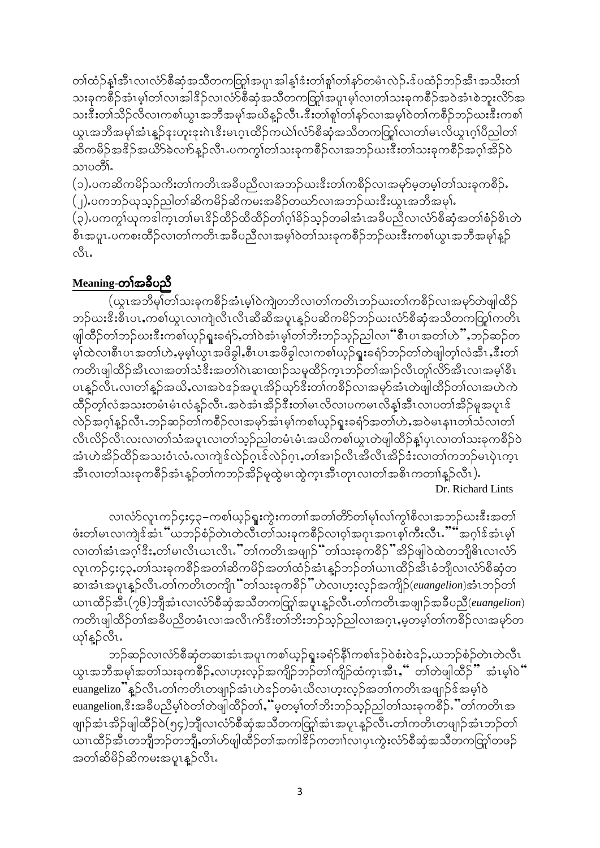တၢ်ထံဉ်နှၤ်အီၤလၢလံာ်စီဆုံအသိတကတြှၢ်အပူၤအါနှၤ်ဒံးတၢ်စူၢ်တၢ်နှာ်တမံၤလဲဉ်ႉဒ်ပထံဉ်ဘဉ်အီၤအသိးတၢ် သးခုကစိဉ်အံၤမ္ပါတၤ်လၢအါ ${}^{2}_{3}$ ဉ်လၢလံာစိဆုံအသိတကတြု၊်အပူၤမ္ပါလၢတၤ်သးခုကစိဉ်အဝဲအံၤစဲဘူးလိာ်အ သးဒီးတၢ်သိဉ်လိလၢကစၢ်ယူၤအဘိအမှၢ်အယိန္ဥာလိၤႉဒီးတၢ်စူၢ်တၢ်နှာ်လၢအမှၢ်ဝဲတၢ်ကစီဉ်ဘဉ်ဃးဒီးကစၢ် ယွၤအဘီအမုၢ်အံၤန္ဥ်ာန္းဟူးဒုးဂဲၤဒီးမၤဂ္ၤထိဉ်ကယဲၤ်လံာ်စီဆုံအသီတကတြု၊်လၢတၢ်မၤလိယွၤဂ္ပ္၊ပိည္ပါတ္၊ ဆိကမိဉ်အဇိဉ်အယိ9်ခဲလျာနဉ်လီၤႉပကကွါတါသးခုကစီဉ်လ၊အဘဉ်ယးဒီးတါသးခုကစီဉ်အဂ္ဂါအိဉ်ဝဲ သၢပတိ၊်

(၁) ပကဆိကမိဉ်သကိႏတၢ်ကတိၤအခ်ီပညီလၢအဘဉ်ဃးဒီးတၢ်ကစိဉ်လၢအမှာ်မှတမ့ၢ်တၢ်သးခုကစိဉ်. (၂) ပကဘဉ်ယုသွဉ်ညါတၢ်ဆိကမိဉ်ဆိကမးအခိဉ်တယာ်လၢအဘဉ်ယးဒီးယွၤအဘိအမှ)် (၃) ပကကွါယုကဒါက္ၤတၢ်မၤဒိဉ်ထိဉ်ထိထိဉ်တၢ်ဂ္ဂါခိဉ်သူဉ်တခါအံၤအခ်ီပညီလၢလံာ်စီဆုံအတၢ်စံဉ်စိၤတဲ စိၤအပူၤ.ပကစးထိဉ်လၢတၢ်ကတိၤအခ်ီပညီလၢအမ္]်ဝဲတၢ်သးခုကစိဉ်ဘဉ်ဃးဒီးကစ္ပါယွၤအဘိအမှါနဉ်  $\mathring{\infty}$ l.

## Meaning-တၢ်အခ်ဳပညီ

(ယွၤအဘီမု၊်တၢ်သးခုကစိဉ်အံၤမ္၊်ဝဲကျဲတဘိလ၊တ၊်ကတိၤဘဉ်ယးတ၊်ကစိဉ်လၢအမှာ်တဲဖျါထိဉ် ဘဉ်ယးဒီးစီၤပၤႇကစၢ်ယွၤလၢကျဲလီၤလီၤဆီဆီအပူၤန္ဥပဆိကမိဉ်ဘဉ်ယးလံာ်စီဆုံအသိတကတြူကတိၤ ဖျါထိဉ်တၢ်ဘဉ်ယးဒီးကစၢ်ယှဉ်ရူးခရံှ်,တၢ်ဝဲအံၤမ့ၢ်တၢ်ဘိးဘဉ်သ္ဥညါလၢံံစီၤပၤအတၢ်ဟဲ",ဘဉ်ဆဉ်တ မ့္ပ်ထဲလ၊စီၤပၤအတၤ်ဟဲႇမ့မ့္ပ်ယ္လၤအဖိခ္ဂါႇစီၤပၤအဖိခွါလ၊ကစၤ်ယ့ဉ်ရူးခရံာ်ဘဉ်တၤ်တဲဖျါတ္ၤ်လီးႇဒီးတၤ် ကတိၤဖျါထိဉ်အီၤလၢအတၢ်သံဒီးအတၢ်ဂဲၤဆၢထၢဉ်သမှုထိဉ်က္ၤဘဉ်တၢ်အၢဉ်လီၤတူ၊်လိာ်အီၤလၢအမှ္<sup>ရှိ</sup>စီၤ ပၤန္နဉ်လီၤႉလၢတၢ်န္ဉာ်အယိႇလၢအဝဲအာမာအိုးအာမာမိုးတာကစိဉ်လၢအမှာ်အံၤတဲဖျါထိဉ်တၢ်လၢအဟဲကဲ ထိဉ်တ့ၢ်လံအသးတမံၤမံၤလံန္ဉ်လီၤႉအဝဲအံၤအိဉ်ဒီးတၢ်မၤလိလၢပကမၤလိန္၊်အီၤလၢပတၢ်အိဉ်မူအပူၤဒ် လဲဉ်အဂ္ဂါန္ဉ်ာလီၤ.ဘဉ်ဆဉ်တၢ်ကစိဉ်လၢအမှာ်အံၤမ့ၢ်ကစၢ်ယှဉ်ရူးခရံာ်အတၢ်ဟဲႇအဝဲမၤနၢၤတၢ်သံလၢတၢ် လီၤလိဉ်လီၤလးလၢတၢ်သံအပူၤလၢတၢ်သူဉ်ညါတမံၤမံၤအယိကစၢ်ယွၤတဲဖျါထိဉ်နှုပုၤလၢတၢ်သးခုကစိဉ်ဝဲ အံၤဟဲအိဉ်ထိဉ်အသးဝံၤလံႉလၢကျဲဒ်လဲဉ်ဂ္ၤဒ်လဲဉ်ဂ္ၤႇတၢ်အၢဉ်လီၤအီလီၤအိဉ်ဒံးလၢတၢ်ကဘဉ်မၤပုဲၤက္ၤ အီၤလၢတၢ်သးခုကစိဉ်အံၤန္ဥတၢ်ကဘဉ်အိဉ်မူထွဲမၤထွဲကူၤအီၤတုၤလၢတၢ်အစိၤကတၢၢ်နူဉ်လီၤ).

Dr. Richard Lints

လ၊လံာ်လူၤကဉ်၄း၄၃–ကစါယ့ဉ်ရူးကွဲးကတၢါအတၢ်တိာတ၊်မှါလ၊်ကွ၊်စိလ၊အဘဉ်ဃးဒီးအတ၊် ဖုံးတျ်မၤလၢကျဲဒ့်အံၤ်္ပယဘဉ်စံဉ်တဲၤတဲလိၤတၢ်သးခုကစိဉ်လၢဝ္နာအဂၤစ္စ္မာကိုးလိၤ… အဂ္ဂါဒ့်အံၤမ္နု လ၊တၢ်အံၤအဂ္ဂါဒီးႇတၢဴမၢလိၤယၤလီၤ.''တၢဴကတိၤအဖျုဉ်''တၢဴသးခုကစိဉ်''အိဉ်ဖျါဝဲထဲတဘိုုဓိၤလ၊လံာ် လူၤကဉ်၄း၄၃ႇတၢ်သးခုကစိဉ်အတၢ်ဆိကမိဉ်အတၢ်ထံဉ်အံၤန္ဥ်ဘဉ်တၢ်ယၢၤထိဉ်အီၤခံဘျီလၢလံာ်စီဆုံတ ဆၢအံၤအပူၤန္ဉာ်လီၤႉတၢ်ကတိၤတကျိၤ်ဴတၢသးခုကစိဉ်ႛႛဟဲလၢဟ္းလ္ၟာ်အကျိဉ်(euangelion)အံၤဘဉ်တၢ် ယၤထိဉ်အီၤ(၇၆)ဘျိအံၤလၤလံာ်စီဆုံအသိတကတြူကေမျာန္ဥလီၤႉတၢ်ကတိၤအဖျာဉ်အခ်ဳပညီ(euangelion) ကတိၤဖျါထိဉ်တၢ်အခ်ဳပညီတမံၤလၢအလီၤက်ဒီးတၢ်ဘိးဘဉ်သူဉ်ညါလၢအဂ္ဂၤ,မ့တမ့ၢ်တၢ်ကစိဉ်လၢအမှာ်တ ယုန္နဉ်လီး.

ဘဉ်ဆဉ်လ၊လံာ်စီဆုံတဆ၊အံၤအပူၤကစၢ်ယှဉ်ရူးခရံာ်နိ $\mathfrak f$ ကစၢ် $\mathfrak s$ ဉ်စဲ $\mathfrak s$ စဲအာဉ်စံဉ်တဲၤတဲလီၤ ယ္စ္ကၤအဘိအမုုအတုုသးခုုကစ္ခ်ဥ္နဲ႕လုုဟူးလ္ကဥ္မ်အကျိုဥဘဥတုုကျိုဥထုုက္ခ်ဳပ္မႈ္မ်ဳိး တုုတ္ဖြဲျထိ၌" အံ့ၤမ္နုု၀ဲ euangelizo"ိန္ဉ်လီၤႉတၢ်ကတိၤတဖျာဉ်အံၤဟဲဒဉ်တမံၤယိလၢဟူးလှဉ်အတၢ်ကတိၤအဖျာဉ်ဒ်အမ္iဝဲ euangelion, ဒီးအခ်ဳပညီမှ1်ဝဲတက်ပဲဖျါထိဉ်တၢ်ႇိမ္စတမ့္ပ်တၤ်ဘိးဘဉ်သူဉ်ညါတၤ်သးခုကစိဉ်ႉိတၤ်ကတိၤအ ဖျာဉ်အံၤအိဉ်ဖျါထိဉ်ဝဲ(၅၄)ဘိုုလၢလံာ်စီဆုံအသိတကတြွာ်အံၤအပူၤန္နဉ်လီၤ.တၢ်ကတိၤတဖျာဉ်အံၤဘဉ်တၢ် ယၢၤထိဉ်အီၤတဘျီဘဉ်တဘျိ,တၢ်ဟ်ဖျါထိဉ်တၢ်အကါဒိဉ်ကတၢၤ်လၢပုၤကွဲးလံာ်စီဆုံအသိတကတြူ၊်တဖဉ် အတၢ်ဆိမိဉ်ဆိကမးအပူၤန္နဉ်လီၤႉ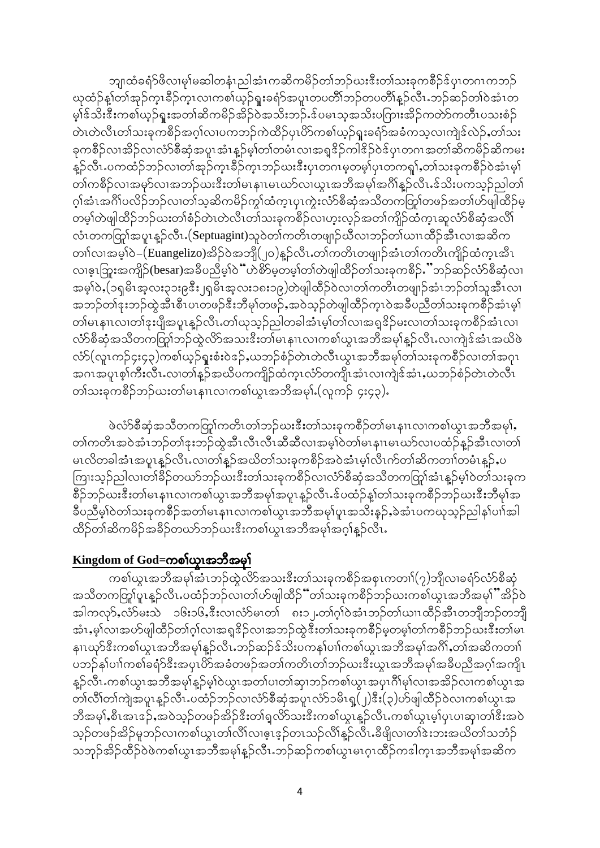ဘျ၊ထံခရံ $\mathcal S$ ဖိလၢမှၢ်မဆါတနံၤညါအံၤကဆိကမိဉ်တၢ်ဘဉ်ဃးဒီးတၢ်သးခုကစိဉ်ဒ်ပုၤတဂၤကဘဉ် $\,$ ယုထံဉ်နှုတ်၊အှဉ်ကူၤခိဉ်ကူၤလၢကစၢ်ယှဉ်ရူးခရံာ်အပူၤတပတိၢ်ဘဉ်တပတိၢ်နှဉ်လီၤ ဘဉ်ဆဉ်တၢ်ဝဲအံၤတ မ္နုန္ သုံးနွီးယစ္နက္စြားအထုုဆွယ္မည္ရွိသူမွာအသုံးသည္မွန္ ၀ရာဘီအတူး၀ယ္စြားအခုထုတ္ရွာထည္မွာစဥ္နဲ႔ တဲၤတဲလီၤတၢ်သးခုကစိဉ်အဂ္ဂါလၢပကဘဉ်ကဲထိဉ်ပုၤပိဉ်ကစၢ်ယှဉ်ရူးခရံာ်အခံကသူလၢကျဲဒ်လဲဉ်ႇတၢ်သး ခုကစိဉ်လၢအိဉ်လ၊လံာ်စီဆုံအပူၤအံၤန္နဉ်မ့္ပ်ာတ်တမံၤလၢအရှု<sup>ဒ္ဌ</sup>ဉ်ကါနည်ဝန်ပုၤတဂၤအတၢ်ဆိကမိဉ်ဆိကမး နူဉ်လီၤ.ပကထံဉ်ဘဉ်လၢတၢ်အုဉ်ကူၤခိဉ်ကူၤဘဉ်ဃးဒီးပုၤတဂၤမ္စတမ္န၊်ပုၤတကၡၢ်ႇတၢ်သးခုကစိဉ်ဝဲအံၤမ္န၊် တၢ်ကစိဉ်လၢအမှာ်လၢအဘဉ်ယးဒီးတ၊်မၤနၢၤမၤဃာ်လၢယွၤအဘိအမှၢ်အဂိၢန္ဥာလီၤႉဒ်သိးပကသွဉ်ညါတ၊် ဂုၢ်အံၤအဂိၢ်ပလိဉ်ဘဉ်လ၊တၢ်သ့ဆိကမိဉ်ကွၢ်ထံက္ၤပုၤကွဲးလံာ်စီဆုံအသိတကတြူ၊်တဖဉ်အတၢ်ဟ်ဖျါထိဉ်မဲ့ တမ္]တဲဖျါထိဉ်ဘဉ်ဃးတၢ်စံဉ်တဲၤတဲလီၤတၢ်သးခုကစိဉ်လၢဟူးလ္နာ်အတၢ်ကျိဉ်ထံကူၤဆူလံာ်စီဆုံအလိၤ် လံၤတကတြွာ်အပူၤန္ဥလိၤႉ(Septuagint)သူဝဲတၢ်ကတိၤတဖျာဉ်ယီလၢဘဉ်တၢ်ယၢၤထိဉ်အီၤလၢအဆိက တၢါလၢအမ္Sဝဲ–(Euangelizo)အိဉ်ဝဲအဘျိ(၂၀)န္ ဉ်လီၤႉတၢ်ကတိၤတဖျာဉ်အံၤတၢ်ကတိၤကျိဉ်ထံကူၤအီၤ လၢဇ့ၤဘြူးအကျိဉ်(besar)အခ်ဳပညီမှ1်ဝဲ်ယာစိ>်မှတမှ1်တ1်တဲဖျါထိဉ်တ1်သးခုကစိဉ်ႉိႆဘဉ်ဆဉ်လံာ်စီဆုံလၢ အမ္ါဝဲႇ(၁ရှမိၤအ့လး၃၁း၉ဒီး၂ရှမိၤအ့လး၁၈း၁၉)တဲဖျါထိဉ်ဝဲလၢတၢ်ကတိၤတဖျာဉ်အံၤဘဉ်တၢ်သူအီၤလၢ အဘဉ်တၢ်ဒုးဘဉ်ထွဲအီၤစီၤပၤတဖဉ်ဒီးဘီမှၢ်တဖဉ်ႇအဝဲသွဉ်တဲဖျါထိဉ်က္ၤဝဲအခ်ီပညီတၢ်သးခုကစီဉ်အံၤမ္၊် တၢ်မၤနၢၤလၢတၢ်ဒုးပျီအပူၤန္ဥလီၤႉတၢ်ယုသ္ဥည္ပါတခါအံၤမ္နုတၢလၤအရွ&်ဥမႈလၢတၢ်သးခုကစီဥ်အံၤလ၊ လံာ်စီဆုံအသိတကတြု၊်ဘဉ်ထွဲလိာ်အသးဒီးတ၊်မၤနၢၤလၢကစၢ်ယွၤအဘိအမှၢ်န္ဥာလီၤႉလၢကျဲဒ်အံၤအယိဖဲ လံာ်(လူၤကဉ်၄း၄၃)ကစၢ်ယှဉ်ရူးစံးဝဲဒဉ်ႇယဘဉ်စံဉ်တဲၤတဲလီၤယွၤအဘိအမှၢ်တၢ်သးခုကစိဉ်လၢတၢ်အဂုၤ အဂၤအပူၤစ္န္ပုံကိုးလီၤႉလၢတ္ပ္ပန္ဥ်ာအထိပက္ဤဉ်ထံကူၤလံာတက္ပိုးအံၤလၢကျဲဒ်အံၤႇယဘဉ်စံဉ်တဲၤတဲလီၤ တါသးခုကစီဉ်ဘဉ်ဃးတါမၤနၢၤလၢကစါယွၤအဘီအမု)် (လူကဉ် ၄း၄၃).

ဖဲလံာ်စီဆုံအသီတကတြှုကတိၤတၢ်ဘဉ်ဃးဒီးတၢ်သးခုကစိဉ်တ၊်မၤနၢၤလၢကစၢ်ယွၤအဘိအမှၢ်, တၢ်ကတိၤအဝဲအံၤဘဉ်တၢ်ဒုးဘဉ်ထွဲအီၤလီၤလီၤဆီဆီလၢအမှၢ်ဝဲတၢ်မၤနၢၤမၤဃာ်လၢပထံဉ်နူဉ်အီၤလၢတၢ် မၤလိတခါအံၤအပူၤန္ဉာ်လီၤႉလၢတၢ်န္ဥာအယိတၢ်သးခုကစီဉ်အဝဲအံၤမ္၊်လီၤက်တ၊်ဆိကတၢၢ်တမံၤန္ဥာ်ႇပ ကြားသူဉ်ညါလၢတၢ်ခိဉ်တဃာ်ဘဉ်ဃးဒီးတၢ်သးခုကစိဉ်လၢလံာ်စီဆုံအသိတကတြူ်အံၤန္ဉာမ့ၢ်ဝဲတၢ်သးခုက စိဉ်ဘဉ်ယးဒီးတ၊်မၤနၢၤလၢကစၢ်ယွၤအဘိအမှၢ်အပူၤန္ဥာလီၤႉဒ်ပထံဉ်နှုတ်၊်သးခုကစိဉ်ဘဉ်ယးဒီးဘိမှၢ်အ ခ်ီပညီမှါဝဲတါသးခုကစိဉ်အတါမၤနၢၤလၢကစါယွၤအဘိအမု၊်ပူၤအသိးန္ဉာ်,ခဲအံၤပကၰသွဉ်ညါနၢ်ပၢါအါ ထိဉ်တၢ်ဆိကမိဉ်အခိဉ်တယာ်ဘဉ်ယးဒီးကစၢ်ယွၤအဘိအမှၢ်အဂ္ဂါနူဉ်လီၤႉ

#### Kingdom of God=ကစါယု၊အဘီအမှါ

ကစ္ပါယ္) အသိအမုန္သြားဘာဝတဲ့လိုက္ရသူးနီးတုုသူးခုုကစီဉ်အစုုကတ္ကုုိ(၇)ဘူလျာခရုံဝလ်ာစီဆုံ အသီတကတြာပူၤန္ဥ်ာလီၤႉပထံဥ်ဘဥ်လၢတၢ်ပာ်ဖျါထိဉ်"တၢ်သးခုကစိဉ်ဘဉ်ဃးကစၢ်ယွၤအဘီအမု၊်"အိဉ်ဝဲ အါကလှာ်ႇလံာ်မးသဲ ၁၆း၁၆ႇဒီးလၢလံာ်မၤတၢ် ၈း၁၂ႉတၢ်ဂ္ၢါဝဲအံၤဘဉ်တၢ်ယၢၤထိဉ်အီၤတဘျီဘဉ်တဘျီ အံၤႇမ္(လၢအပ>်ဖျါထိဉ်တၢ်ဂ့္)လၢအရှုဒိဉ်လၢအဘဉ်ထွဲဒီးတၢ်သးခုကစီဉ်မှတမ္]တၢ်ကစီဉ်ဘဉ်ဃးဒီးတ၊်မၤ နၢၤဃုာ်ဒီးကစၢ်ယွၤအဘိအမှၢ်န္ဥာလိၤ.ဘဉ်ဆဉ်ဒ်သိးပကနၢ်ပၢၢ်ကစၢ်ယွၤအဘိအမှၢ်အဂိၢ်ႇတၢ်အဆိကတၢၢ် ပဘဉ်နှၤ်ပၢါကစၢ်ခရံဉ်ဒီးအပုၤပိဉ်အခံတဖဉ်အတၢ်ကတိၤတၢ်ဘဉ်ယးဒီးယွၤအဘိအမှၢ်အခိပညီအဂ္ဂါအကျိၤ နူဉ်လီၤႉကစၢ်ယွၤအဘိအမှၢ်နူဉ်မှၢ်ဝဲယွၤအတၢ်ပၢတၢ်ဆုၢဘဉ်ကစၢ်ယွၤအပုၤဂိၢ်မှၢ်လၢအအိဉ်လၢကစၢ်ယွၤအ တၢ်လိၢ်တ၊်ကျဲအပူၤန္ဥာလီၤႉပထံဥ်ဘဥ်လၢလံာ်စီဆုံအပူၤလံာ်၁မိၤရူ(၂)နီး(၃)ဟ်ဖျါထီဥ်ဝဲလၢကစၢ်ယွၤအ ဘီအမု)် စီၤအၤဒဉ် အဝဲသူဉ်တဖဉ်အိဉ်ဒီးတၢ်ရှလိာ်သးဒီးကစၢ်ယွၤန္ ဉ်လီၤ ကစၢ်ယွၤမ္ါပုၤပၢဆုၢတၢ်ဒီးအဝဲ သူဉ်တဖဉ်အိဉ်မူဘဉ်လၢကစၢ်ယွၤတၢ်လိၢ်လၢဇ့ၤဒ့ဉ်တၤသဉ်လိၢ်နှဉ်လီၤႉခီဖျိလၢတၢ်ဒဲးဘးအယိတၢ်သဘံဉ် သဘုဉ်အိဉ်ထိဉ်ဝဲဖဲကစၢ်ယွၤအဘိအမှၢ်နူဉ်လီၤ.ဘဉ်ဆဉ်ကစၢ်ယွၤမၤဂ္ၤထိဉ်ကဒါက္ၤအဘိအမှၢ်အဆိက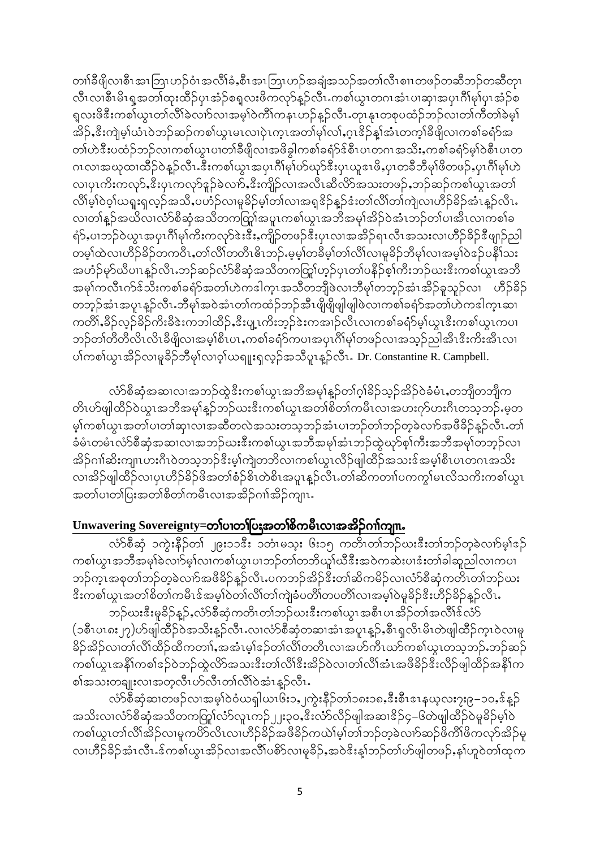တၢါခ်ိဖျိလၢစီၤအၤဘြၤဟဉ်ဝံၤအလိၢ်ခံႇစီၤအၤဘြၤဟဉ်အချံအသဉ်အတၢ်လိၤစၢၤတဖဉ်တဆိဘဉ်တဆိတုၤ လီၤလၢစီၤမိၤရူအတၢ်ထုးထိဉ်ပုၤအံ့ဉ်စရူလးဖိကလုာ်နူဉ်လီၤႉကစၢ်ယွၤတဂၤအံၤပၢဆုၢအပုၤဂိၢ်မု၊်ပုၤအံ့ဉ်စ ရလးဖိဒီးကစ $\overline{\text{1}}$ ယ္လၤတၢ်လိ $\overline{\text{1}}$ ခဲလၢအမဲ့ $\overline{\text{1}}$ ဝဲကိ $\overline{\text{1}}$ ကနၤဟဉ်နူဉ်လီၤ.တုၤနုၤတစုပထံဉ်ဘဉ်လၢတၢ်ကိတ $\overline{\text{1}}$ ခဲမ့ $\overline{\text{1}}$ အိဉ်ႇဒီးကျဲမှုလံၤဝဲဘဉ်ဆဉ်ကစါယွၤမၤလၢပုဲၤက္ၤအတၢ်မုၢ်လၢ်ႇဂ္ɪဒိဉ်န္[အံၤတက္႞ခ်ိဖျိလၢကစၢ်ခရံှာ်အ တၢ်ဟဲဒီးပထံဉ်ဘဉ်လၢကစၢ်ယွၤပၢတၢိခိဖျိလၢအဖိခွါကစၢ်ခရံ $\mathfrak{z}$ စိၤပၤတဂၤအသိးႇကစၢ်ခရံ $\mathfrak{z}$ မှၢ်ဝဲစီၤပၤတ ဂၤလၢအၰထၢထိဉ်ဝဲန္ဉာ်လီၤႉဒီးကစၢ်ယွၤအပုၤဂိၢ်မှၢ်ဟ်ဃှာ်ဒီးပုၤယူဒၤဖိႇပုၤတခ်ိဘိမှၢ်ဖိတဖဉ်ႇပုၤဂိၢ်မှၢ်ဟဲ လ၊ပုၤကိႏကလု9်ႇဒီးပုၤကလုာ်ဒူဉ်ခဲလၢ9်ႇဒီးကျိဉ်လၢအလီၤဆီလိ9်အသးတဖဉ်ႇဘဉ်ဆဉ်ကစၢ်ယွၤအတၢ် လိၢိမ္၊်ဝဲဝ့၊်ယရူးရှလှဉ်အသိႇပဟံဉ်လၢမှုခိဉ်မ့၊်တ၊်လ၊အရှုဒိဉ်နူဉ်ဒံးတ၊်လိ၊်တ၊်ကျဲလ၊ဟိဉ်ခိဉ်အံၤနူဉ်လီၤ. လ၊တၢ်နူဉ်အယိလ၊လံာ်စီဆုံအသိတကတြှာ်အပူၤကစၢ်ယွၤအဘိအမှၢ်အိဉ်ဝဲအံၤဘဉ်တၢ်ပၢအီၤလ၊ကစၢ်ခ ရံ>်ႇပၢဘဉ်ဝဲယွၤအပုၤဂိၢ်မုၢ်ကိႏကလုာ်ဒဲးဒီးႇကျိဉ်တဖဉ်ဒီးပုၤလၢအအိဉ်ရၤလီၤအသးလၢဟိဉ်ခိဉ်ဒီဖျာဉ်ညါ တမ္]်ထဲလၢဟိဉ်ခိဉ်တက၀ိၤႇတၢ်လိၢ်တတိၤဓိၤဘဉ်ႉမ့မ္]်တခ်ိမ္]်တၢ်လိၤ်လၢမှုခိဉ်ဘိမုၤ်လၢအမ္]်ဝဲဒဉ်ပနိၤ်သး အဟံဉ်မှာ်ယီပၢၤန္ဉာ်လီၤ.ဘဉ်ဆဉ်လံာ်စီဆုံအသိတကတြှု၊်ဟှဉ်ပုၤတၢ်ပနိဉ်စ့ၢ်ကီးဘဉ်ယးဒီးကစၢ်ယွၤအဘိ အမှၢ်ကလီၤက်ဒ်သိးကစၢ်ခရံာ်အတၢ်ဟဲကဒါက္ၤအသိတဘျိဖဲလၢဘိမှၢ်တဘ္ဉ်အံၤအိဉ်ခူသူဉ်လၢ ဟိဉ်ခိဉ် တဘုဉ်အံၤအပူၤန္ဉာ်လီၤႉဘီမု၊်အဝဲအံၤတၢ်ကထံဉ်ဘဉ်အီၤဖိုုဖိုုဖျဲုဖျဲပဲလၢကစၢ်ခရံာ်အတၢ်ဟဲကဒါက္ၤဆၢ ကတိၢ်ႇခဵဉ်လ္ဉ်ခဵဉ်ကိးခဵဒဲးကဘါထီဉ်ႇဒီးပျၤကိးဘ္ဥ်ားကအၢၟ်လီၤလၢကစၢ်ခရႆာ်မ္္ပါယ္။ဒီးကစၤ်ယွၤကပၢ ဘဉ်တၢ်တီတီလိၤလိၤခီဖျိလၢအမ္နှါစီၤပၤႇကစၢ်ခရံှာ်ကပၢအပုၤဂိၢ်မှၢ်တဖဉ်လၢအသူဉ်ညါအီၤဒီးကိးအီၤလ၊ ပါကစါယွၤအိဉ်လ၊မူခိဉ်ဘီမု၊်လ၊ဝ့၊်ယရူးရလ့ဉ်အသိပူၤန္နဉ်လီၤ. Dr. Constantine R. Campbell.

လံာ်စီဆုံအဆၤလၤအဘဉ်ထွဲဒီးကစၤ်ယွၤအဘိအမုၢ်နူဉ်တၢ်ဂ္ဂါခိဉ်သူဉ်အိဉ်ဝဲခံမံၤႇတဘျီတဘျီက တိၤဟ်ဖျါထိဉ်ဝဲယွၤအဘိအမှၢ်န္ဥာ်ဘဉ်ဃးဒီးကစၢ်ယွၤအတၢ်စိတၢ်ကမီၤလၢအဟးဂုာ်ဟးဂီၤတသ္စ္ကာဉ်ႉမ္စတ မ္နါကစါယွၤအတၢ်ပၢတၢ်ဆုၤလၢအဆီတလဲအသးတသူဘဉ်အံၤပၢဘဉ်တုံဘဉ်တုခဲလၢာ်အဖီခိဉ်နူဉ်လီၤ.တ၊် ခံမံၤတမံၤလံာ်စီဆုံအဆၤလၤအဘဉ်ဃးဒီးကစၤ်ယွၤအဘိအမှၤ်အံၤဘဉ်ထွဲယှာ်စ့ၤ်ကီးအဘိအမှၤ်တဘ္ဉ်လၤ အိဉ်ဂၢါဆိးကျၤဟးဂီၤဝဲတသ့ဘဉ်ဒီးမ့ၢ်ကျဲတဘိလၢကစၢ်ယွၤလိဉ်ဖျါထိဉ်အသးဒ်အမှါစီၤပၤတဂၤအသိး လၢအိဉ်ဖျါထိဉ်လၢပုၤဟိဉ်ခိဉ်ဖိအတၢ်စံဉ်စိၤတဲစိၤအပူၤန္ဥာလီၤႉတၢ်ဆိကတၢၤ်ပကကွၢ်မၤလိသကိးကစၢ်ယွၤ အတၤ်ပၢတၤ်ပြးအတၤ်စိတၤ်ကမီၤလၢအအိဉ်ဂၢါအိဉ်ကျၤၤ

#### Unwavering Sovereignty=တၢ်ပၢတၢ်ပြႏၷာတၢ်စိကမီၤလၢအအိဉ်ဂၢၢ်ကျ။.

လံာ်စီဆုံ ၁ကွဲးနိဉ်တ၊် ၂၉း၁၁ဒီး ၁တံၤမသူး ၆း၁၅ ကတိၤတၢ်ဘဉ်ယးဒီးတၢ်ဘဉ်တူခဲလၢာ်မဲ့ၫ်ဒဉ် ကစ္ပါယ္မွၤအဘိအမု)ခဲ့လည္ခ်မ္ပါလၤကစ္ပါယ္မွၤပၢဘၣတ္ပါတဘိယူုယ္ခ်ီးအဝဲကဆဲးပၢဒံးတ္ပါခါဆူညါလၤကပၤ ဘဉ်က္ၤအစုတၢ်ဘဉ်တဲ့ခဲလၢာ်အဖီခိဉ်နူဉ်လီၤႉပကဘဉ်အိဉ်ဒီးတၢ်ဆိကမိဉ်လၢလံာ်စီဆုံကတိၤတၢ်ဘဉ်ဃး ဒီးကစါယွၤအတၢ်စိတၢ်ကမီၤဒ်အမှါဝဲတၢ်လိၢ်တၢ်ကျဲခံပတိၢ်တပတိၢ်လၢအမှါဝဲမှုခိဉ်ဒီးဟိဉ်ခိဉ်နူဉ်လီၤႉ

ဘဉ်ယးဒီးမှုခိဉ်နှဉ်,လံာ်စီဆုံကတိၤတၢ်ဘဉ်ယးဒီးကစၢ်ယွၤအစီၤပၤအိဉ်တၢ်အလိၢ်ဒ်လံာ် (၁စီၤပၤ၈း၂၇)ဟ်ဖျါထိဉ်ဝဲအသိးန္ဥာလီၤႉလၢလံာ်စီဆုံတဆၢအံၤအပူၤန္ဥ်ာ,စီၤရုလိၤမိၤတဲဖျါထိဉ်က္ၤဝဲလၢမူ ခိဉ်အိဉ်လ၊တၢ်လိၢ်ထိဉ်ထိကတၢၢ်ႇအအံၤမ္းနဉ်တ၊်လိ၊်တတိၤလ၊အဟ်ကီၤယာ်ကစၢ်ယူၤတသ္ဘာဉ်ႉဘဉ်ဆဉ် ကစၢ်ယွၤအနိ1်ကစၢ်ဒဉ်ဝဲဘဉ်ထွဲလိ႒်အသးဒီးတၢ်လိၢ်ဒီးအိဉ်ဝဲလ၊တၢ်လိၢ်အံၤအဖီခိဉ်ဒီးလိဉ်ဖျါထိဉ်အနိ1်က စၢ်အသးတချုးလၢအတ္စလီၤဟ်လီၤတၢ်လိၢ်ဝဲအံၤန္ဉာလီၤႉ

လံာ်စီဆုံဆ၊တဖဉ်လ၊အမ့ၢ်ဝဲဝံယရှါယၤ၆း၁,ှုကွဲးနိဉ်တၢ်၁၈း၁၈ႇဒီးစီၤဒၤနယ့လး႒း၉–၁၀ႇဒ်န္ဝှ် အသိးလၢလံာ်စီဆုံအသိတကတြှာ်လံာ်လူၤကဉ်၂၂း၃၀ႇဒီးလံာ်လိဉ်ဖျါအဆၢဒိဉ်၄–၆တဲဖျါထီဉ်ဝဲမှုခိဉ်မှုါဝဲ ကစၢ်ယွၤတၢ်လိၢ်အိဉ်လ၊မူကပိဉ်လိၤလ၊ဟိဉ်ခိဉ်အဖိခိဉ်ကယဲ၊်မှ္၊်တၢ်ဘဉ်တဲ့ခဲလၢာ်ဆဉ်ဖိကိၢ်ဖိကလှာ်အိဉ်မှု လၢဟိဉ်ခိဉ်အံၤလီၤၗ်ကစၢ်ယွၤအိဉ်လၢအလိၢ်ပစိ႒်လၢမှုခိဉ်ႇအဝဲဒိးန္1်ဘဉ်တၢ်ဟ်ဖျါတဖဉ်ႇနၤ်ဟူဝဲတၢ်ထုက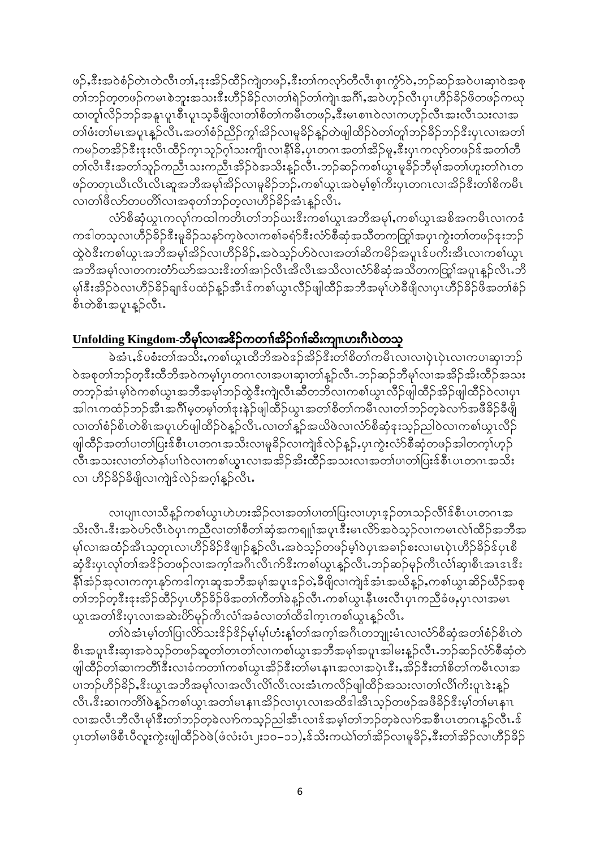ဖဉ်ႇၖိဳးအဝဲစံဉ်တဲၤတဲလီၤတၢ်ႇဒုးအိဉ်ထိဉ်ကျဲတဖဉ်ႇၖိဳးတၢ်ကလှာ်တီလီၤစုၤကွံာ်ဝဲႇဘဉ်ဆဉ်အဝဲပၢဆုၢဝဲအစု တၢ်ဘဉ်တူတဖဉ်ကမၤစဲဘူးအသးဒီးဟိဉ်ခိဉ်လၢတၢ်ရဲဉ်တၢ်ကျဲၤအဂိၢ်ႇအဝဲဟ္ဥာလီၤပုၤဟိဉ်ခိဉ်ဖိတဖဉ်ကယု ထ၊တူ၊်လိဉ်ဘဉ်အနူၤပူၤစီၤပူၤသ့ခ်ိဖျိလ၊တၢ်စိတ၊်ကမီၤတဖဉ်ႇဒီးမၤစၢၤ၀ဲလ၊ကဟ္၄်လီၤအးလီၤသးလၢအ တၢ်ဖံးတ၊်မၤအပူၤန္ဥလီၤႉအတၢ်စံဥ်ညီဥ်ကွၢ်အိဥ်လၢမှုခိဉ်နှဥ်တဲဖျါထိဉ်ဝဲတၢ်တူၢ်ဘဉ်ခီဥ်ဘဉ်ဒီးပုၤလၢအတၢ် ကမဉ်တအိဉ်ဒီးဒုးလိၤထိဉ်က္ၤသူဉ်ဂ္]သးကျိၤလၢနိ1ိခိႇပုၤတဂၤအတၢ်အိဉ်မူႇဒီးပုၤကလုာ်တဖဉ်ဒ်အတၢ်တီ တၢ်လိၤဒီးအတၢ်သူဉ်ကညီၤသးကညီၤအိဉ်ဝဲအသိးနူဉ်လီၤ.ဘဉ်ဆဉ်ကစၢ်ယွၤမှုခိဉ်ဘီမှၢ်အတၢ်ဟူးတၢ်ဂဲၤတ ဖဉ်တတုၤယီၤလိၤလိၤဆူအဘိအမုၢ်အိဉ်လၢမူခိဉ်ဘဉ်ႉကစၢ်ယွၤအဝဲမ့ၢ်စုၢ်ကိဳးပုၤတဂၤလၢအိဉ်ဒီးတၢ်စိကမီၤ လ၊တၢ်ဖိလာ်တပတိၢ်လ၊အစုတၢ်ဘဉ်တူလ၊ဟိဉ်ခိဉ်အံၤန္ဉာလီၤႉ

လံာ်စီဆုံယွၤကလုၤ်ကထါကတိၤတၤ်ဘဉ်ယးဒီးကစၤ်ယွၤအဘီအမုၤ်,ကစၤ်ယွၤအစိအကမီၤလၢကဒံ ကဒါတသ့လၢဟိဉ်ခိဉ်ဒီးမှုခိဉ်သနဉ်ကဲ့ဖဲလၢကစါခရံဉ်ဒီးလံာ်စီဆုံအသိတကတြု၊်အပုၤကွဲးတၢ်တဖဉ်ဒုးဘဉ် ထွဲဝဲဒီးကစါယွၤအဘိအမုၢ်အိဉ်လၢဟိဉ်ခိဉ်ႇအဝဲသုဉ်ဟ်ဝဲလၢအတၢ်ဆိကမိဉ်အပူၤဒ်ပကိႏအီၤလၢကစၢ်ယွၤ အဘိအမှၢ်လၢတကးတံာ်ယာ်အသးဒီးတၢ်အၢဉ်လီၤအိလီၤအသိလၢလံာ်စီဆုံအသိတကတြှၢ်အပူၤန္ဉာ်လီၤတိ မုၢိနီးအိဉ်ဝဲလၢဟိဉ်ခိဉ်ချ၊ဒ်ပထံဉ်နူဉ်အီၤဒ်ကစၢ်ယွၤလိဉ်ဖျါထိဉ်အဘိအမှၢ်ဟဲခီဖျိလၢပုၤဟိဉ်ခိဉ်ဖိအတၢ်စံဉ် စိၤတဲစိၤအပူၤန္**ဉ်**လီၤ.

### Unfolding Kingdom-ဘီမှါလၢအ&ဉ်ကတၢါအိဉ်ဂၢါဆိးကျ။ဟးဂီၤဝဲတသ္

ခဲ့အံၤႇန်ပစံးတၢ်အသိးႇကစ္ပါယ္ရွၤထိုဘို့အဝဲအခ်အိုခ်အိုးတ၊ိစိတ္ပါကမီၤလၤလၤပုံၤပုံၤလၤကပၢဆု၊ဘဉ် ဝဲအစုတၢ်ဘဉ်တဲ့ဒီးထိဘိအဝဲကမ့္ပ်ပုၤတဂၤလၢအပၢဆု၊တၢ်န္ဉ်လီၤႉဘဉ်ဆဉ်ဘိမုၤ်လၢအအိဉ်အိးထိဉ်အသး တဘ္ဥ်ာအုံးမ္ပါဝွယ္စစ္ပုက္သာသူအချိအမွန္သည္ အုံးယူတြင္သူတူသူတာမွာ တစ္ရာတူသူ သူတို႔ အသင္း အါဂၤကထံဉ်ဘဉ်အီၤအဂိၢ်မ့တမ့ၢ်တၢ်ဒုးနဲဉ်ဖျါထိဉ်ယွၤအတၢ်စိတၢ်ကမီၤလၢတၢ်ဘဉ်တဲ့ခဲလၢာ်အဖိခိဉ်ခီဖျိ လ၊တၢ်စံဉ်စိၤတဲစိၤအပူၤဟ်ဖျါထိဉ်ဝဲန္ဥလီၤႉလ၊တၢ်န္ဥအယိဖဲလ၊လံာ်စီဆုံဒုးသူဉ်ညါဝဲလ၊ကစၢ်ယူၤလီဉ် ဖျါထိဉ်အတၢ်ပၢတ၊်ပြးဒ်စီၤပၤတဂၤအသိးလၢမှုခိဉ်လၢကျဲဒ်လဲဉ်နူဉ်ႇပုၤကွဲးလံာ်စီဆုံတဖဉ်အါတက္န၊်ဟွဉ် လီၤအသးလၢတၢ်တဲနှၤ်ပၢါဝဲလၢကစၢ်ယွၤလၢအအိဉ်အိးထိဉ်အသးလၢအတၤ်ပၢတၢ်ပြးဒ်စီၤပၤတဂၤအသိး လ၊ ဟိဉ်ခိဉ်ခီဖျိလ၊ကျဲဒ်လဲဉ်အဂ္ဂါနဉ်လီၤႉ

လ၊ပျ၊ၤလ၊သိန္ဉာ်ကစၢ်ယွၤဟဲဟးအိဉ်လ၊အတၢ်ပ၊တၢ်ပြးလ၊ဟူၤဒ္နာ်တၤသဉ်လိၢိန်စီၤပၤတဂၤအ သိးလီၤႉဒီးအဝဲဟ်လီၤဝဲပုၤကညီလၢတၢ်စီတၢ်ဆုံအကၡူၫ်အပူၤဒီးမၤလိ>်အဝဲသ္ဉ်လၢကမၤလဲၢ်ထိဉ်အဘီအ မှၢ်လၢအထံဉ်အီၤသ္စတုၤလၢဟိဉ်ခိဉ်ဒီဖျာဉ်နူဉ်လီၤႉအဝဲသူဉ်တဖဉ်မှၢ်ဝဲပုၤအခၢဉ်စးလၢမၤပုဲၤဟိဉ်ခိဉ်ဒ်ပုၤစီ ဆုံဒီးပုၤလု႞တၢ်အဒိဉ်တဖဉ်လၢအက္န၊်အဂ်ီၤလိၤက်ဒီးကစၢ်ယွၤန္ဉာလိၤ.ဘဉ်ဆဉ်မှဉ်ကီၤလံ၊်ဆု၊စီၤအၤဒၤဒီး နိ1်အံ့ဉ်အုလၢကက္နၤန္နာ်ကဒါက္နၤဆူအဘီအမုၢ်အပူၤဒဉ်ဝဲႇခ်ီဖျိလၢကျဲဒ်အံၤအယိန္ဥ်ႇကစၢ်ယွၤဆိဉ်ယိဉ်အစု တၢဴဘဉ်တူဒီးဒုးအိဉ်ထိဉ်ပုၤဟိဉ်ခိဉ်ဖိအတၢ်ကိတၢ်ခဲန္ဥာလီၤ.ကစၢ်ယွၤနီၤဖးလီၤပုၤကညီခံဖႇပုၤလၢအမၤ ယူၤအတၢ်ဒီးပုၤလၢအဆဲးပိ>်မှဉ်ကီၤလံၢ်အခံလ၊တၢ်ထီဒါက္ၤကစၢ်ယွၤန္ဉာလီၤႉ

တၢ်ဝဲအံၤမ္၊်တ၊်ပြၤလိ>်သးဒိဉ်ဒိဉ်မှ၊်မှ၊်ဟံးနှ၊်တ၊်အက္ခ၊်အဂီၤတဘျုးမံၤလၢလံာ်စီဆုံအတၢ်စံဉ်စိၤတဲ စိၤအပူၤဒီးဆုၤအဝဲသူဉ်တဖဉ်ဆူတၢ်တၤတၢ်လၢကစၢ်ယွၤအဘိအမုၢ်အပူၤအါမးနူဉ်လီၤႉဘဉ်ဆဉ်လံာ်စီဆုံတဲ ဖျါထိဉ်တၢ်ဆၢကတိၢိဒီးလၢခံကတၢၢ်ကစၢ်ယွၤအိဉ်ဒီးတ၊်မၤနၢၤအလၢအပုံၤဒီးႇအိဉ်ဒီးတၢ်စိတၢ်ကမိၤလၢအ ပၢဘဉ်ဟီဉ်နိဉ်ႇဒီးယွၤအဘိအမှၢ်လၢအလီၤလိၤ်လီၤလးအံၤကလီဉ်ဖျါထီဉ်အသးလၢတၢ်လိၢ်ကိႈပူၤဒဲးန္ဉဉ် လီၤႉဒီးဆၢကတိိၢိဖဲန္ဉာိကစၢ်ယ္ပၤအတၢ်မၤနၢၤအိဉ်လၢပုၤလၢအထိဒါအီၤသ္ဉ်ာတဖဉ်အဖီခိဉ်ဒီးမ့ၢ်တၢ်မၤနၢၤ လၢအလီၤဘီလီၤမုါဒီးတၢ်ဘဉ်တူခဲလၢာ်ကသူဉ်ညါအီၤလၢဒ်အမ္န၊်တၢ်ဘဉ်တူခဲလၢာ်အစီၤပၤတဂၤနူဉ်လီၤ.ဒ် ပုၤတၢ်မၢဖိစီၤပီလူးကွဲးဖျါထိဉ်ဝဲဖဲ(ဖံလံးပံၤ၂း၁၀–၁၁),န်သိးကယ်ၤ်တၢ်အိဉ်လၢမှုခိဉ်,နီးတၢ်အိဉ်လၢဟိဉ်ခိဉ်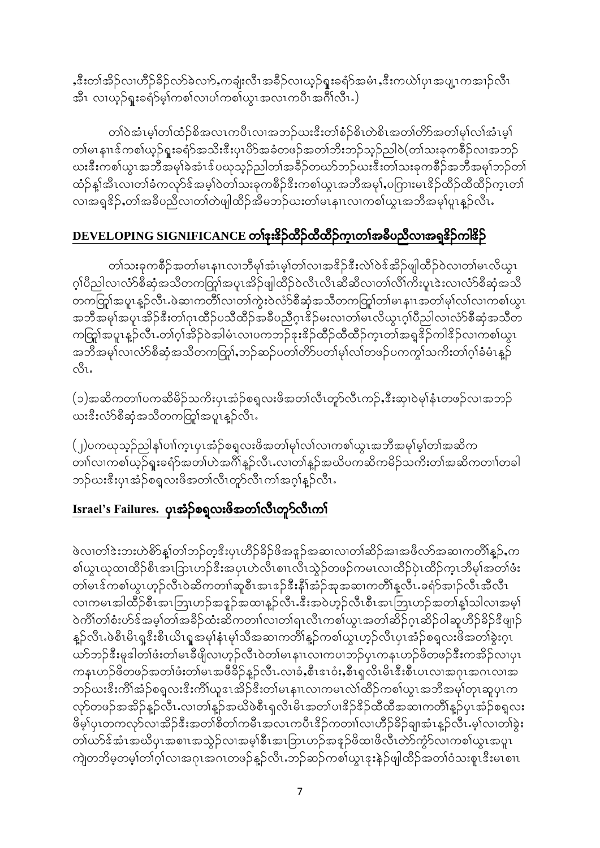ႇၖိဳးတၢ်အိဉ်လ၊ဟိဉ်ခိဉ်လာ်ခဲလၢာ်ႇကချံးလိၤအခိဉ်လၢယူဉ်ရူးခရံာ်အမံၤႇၖိဳးကယ်ၢ်ပုၤအပျူးကအၢဉ်လီၤ .<br>အီၤ လၢယ့ဉ်ရူးခရံာ်မ့<sup>1</sup>ကစါလၢပါကစါယွၤအလၤကပီၤအဂိၢ်လီၤ.)

တၢ်ဝဲအံၤမ္နုတုတုံတွဲစွဲအတၤယဂ္ဂဟာအသဉ်စားဒူးတျစုံဉှစွဲ၊တွစ္စ၊အထုပ္သည့်အထုမျှတုဆုံးမျှ တၢ်မၤနၢၤဒ်ကစၢ်ယှဉ်ရူးခရံဉ်အသိးဒီးပုၤပိဉ်အခံတဖဉ်အတၢ်ဘိးဘဉ်သူဉ်ညါဝဲ(တၢ်သးခုကစိဉ်လၢအဘဉ် ယးဒီးကစါယွၤအဘိအမှါခဲ့အံၤဒ်ပယုသူဉ်ညါတၢ်အခိဉ်တယာ်ဘဉ်ယးဒီးတၢ်သးခုကစိဉ်အဘိအမှါဘဉ်တ၊် ထံဉ်နှုံအီၤလ၊တၢ်ခံကလုာ်ဒ်အမှုါဝဲတၢ်သးခုကစီဉ်ဒီးကစၢ်ယွၤအဘီအမှၢ်,ပကြားမၤဒိဉ်ထီဉ်ထီထိဉ်က္ၤတၢ် လၢအရှုဒိုဉ်ႇတၢ်အခ်ဳပညီလ၊တၢ်တဲဖျါထိဉ်အိမဘဉ်ဃးတ၊်မၤနၢၤလ၊ကစၢ်ယွၤအဘိအမှၢ်ပူၤန္ဉာလီၤႉ

# DEVELOPING SIGNIFICANCE တ1်နးဒိဉ်ထိဉ်ထိထိဉ်က္ခၤတ1်အခိပညီလၢအရှုဒိဉ်ကါဒိဉ်

တၢဴသးခုကစီဉ်အတၢ်မၤနၢၤလၢဘိမုၢ်အံၤမ့ၢ်တၢ်လၢအဒိဉ်ဒီးလဲၢ်ဝဲဒ်အိဉ်ဖျါထိဉ်ဝဲလ၊တ၊်မၤလိယွၤ ု့ဂ်ပိညါလၢလံာ်စီဆုံအသိတကတြှု်အပူၤအိဉ်ဖျါထိဉ်ဝဲလီၤလီၤဆီဆီလၢတၢ်လိၢ်ကိႈပူၤဒဲးလၢလံာ်စီဆုံအသိ တကကြွ၊်အပူၤန္ဉာလီၤႉဖဲဆၢကတိိၢလၢတၢ်ကွဲးဝဲလံာ်စီဆုံအသိတကတြွု၊်တၢ်မၤနၢၤအတၢ်မု၊်လ၊်လ၊ကစၢ်ယွၤ အဘိအမှၢ်အပူၤအိဉ်ဒီးတၢ်ဂုၤထိဉ်ပသိထိဉ်အခ်ိပညိဂူၤဒိဉ်မးလၢတၢ်မၤလိယ္လၤဂူၢ်ပိညါလၢလံာ်စီဆုံအသိတ ကတြာအပူးနူဉ်လီး တဂ်ဂွါအိဉ်ဝဲအါမံးလ၊ပကဘဉ်ဒုးဒိဉ်ထိဉ်ထိထိဉ်ကူးတ၊်အရှုဒိဉ်ကါဒိဉ်လ၊ကစ၊်ယွၤ အဘိအမှၢ်လၢလံာ်စီဆုံအသိတကတြှာ်,ဘဉ်ဆဉ်ပတၢ်တိာ်ပတၢ်မှၢ်လၢ်တဖဉ်ပကကွၢ်သကိႏတၢ်ဂူၢ်ခံမံၤန္ဉာ် ನೆ.

(၁)အဆိကတၢၤ်ပကဆိမိဉ်သကိႏပုၤအံ့ဉ်စရူလးဖိအတၤ်လီၤတူာ်လီၤကဉ်ႇဒီးဆု၊၀ဲမုၤ်နံၤတဖဉ်လၢအဘဉ် .<br>ယးဒီးလံာ်စီဆုံအသီတကတြှု်အပူၤန္**ဉ်**လီၤ.

(၂)ပကၰသ့ဉ်ညါန1်ပၢါက္ၤပုၤအံ့ဉ်စရ့လးဖိအတါမု1်လ1်လၢကစၢ်ယွၤအဘိအမု1်မ္1တၢ်အဆိက တၢါလၢကစါယ့ဉ်ရှုးခရံာ်အတၢ်ဟဲအင်္ဂါန္ဉာလီၤႉလၢတၢ်န္<sub></sub>ဉ်အယိပကဆိကမိဉ်သကိႏတၢ်အဆိကတၢၢ်တခါ ဘဉ်ယးဒီးပုၤအံ့ဉ်စရူလးဖိအတၢ်လီၤတွာလီၤကၢ်အဂ္ဂါနူဉ်လီၤ

# Israel's Failures. ပု၊အံ့ဉ်စရ္ခလးဖိအတၢ်လီးတူ၁်လီးကၤ်

ဖဲလ၊တါဒဲးဘးဟဲစိ႒်န္၊်တၢ်ဘဉ်တဲ့ဒီးပုၤဟိဉ်ခိဉ်ဖိအဒူဉ်အဆၤလ၊တၢ်ဆိဉ်အၢအဖီလာ်အဆၤကတိၢိန္ဉဉ်ႇက စၢိယ္မွၤဃုထၢထိဉ်စီၤအၤြာၤဟဉ်ဒီးအပုၤဟဲလီၤစၢၤလီၤသွဲဉ်တဖဉ်ကမၤလၢထိဉ်ပုဲၤထိဉ်က္ၤဘိမုၢ်အတၢ်ဖံး တၢ်မၤဒ်ကစၢ်ယွၤဟုဉ်လီၤဝဲဆိကတၢၢ်ဆူစီၤအၤဒဉ်ဒီးနိ1်အံ့ဉ်အုအဆၢကတိၢ်နူလီၤ ခရံဉ်အၢဉ်လီၤအီလီၤ လ၊ကမၤအါထိဉ်စီၤအၤဘြၤဟဉ်အဒူဉ်အထၢန့ဉ်လီၤႉဒီးအဝဲဟ့ဉ်လီၤစီၤအၤဘြၤဟဉ်အတၢ်န္1သါလ၊အမ္1 ဝဲကိၢိတၢ်စံးဟ်ဒ်အမှ္ပါတ၊်အခိဉ်ထံးဆိကတၢါလ၊တ၊်ရၤလီၤကစ၊်ယွၤအတၢ်ဆိဉ်ဂ္ၤဆိဉ်ဝါဆူဟိဉ်ခိဉ်ဒီဖျာဉ် နူဉ်လီၤႉဖဲစီၤမိၤရူဒီးစီၤယိၤရူအမှ႞နှံၤမု႞သီအဆၢကတိ႞နူဉ်ကစၢ်ယွၤဟုဉ်လီၤပုၤအံ့ဉ်စရူလးဖိအတၢ်ခဲ့းဂူၤ ယာ်ဘဉ်ဒီးမှုဒါတါဖံးတါမၤခီဖျိလၢဟ့ဉ်လီၤဝဲတါမၤနၢၤလၢကပၢဘဉ်ပုၤကနၤဟဉ်ဖိတဖဉ်ဒီးကအိဉ်လၢပုၤ ကနၤဟဉ်ဖိတဖဉ်အတၢ်ဖံးတ၊်မၤအဖိခိဉ်နူဉ်လီၤႉလၢခံႇစီၤဒၤဝံးႇစီၤရှလိၤမိၤဒီးစီၤပၤလၢအဂုၤအဂၤလၢအ ဘဉ်ယးဒီးကိၢိအံ့ဉ်စရ္ခလးဒီးကိၢိယူဒၤအိဉ်ဒီးတ၊်မၤနၢၤလၢကမၤလဲ၊်ထိဉ်ကစၢ်ယူၤအဘိအမှၢ်တုၤဆူပုၤက လှာ်တဖဉ်အအိဉ်နူဉ်လီၤႉလၢတၢ်နူဉ်အယိဖဲစီၤရှလိၤမိၤအတၢ်ပၢဒိဉ်ဒိဉ်ထိထိအဆၢကတိၢ်နူဉ်ပုၤအံ့ဉ်စရူလး ဖိမ့္ပ်ပုၤတကလုာ်လၢအိဉ်ဒီးအတၢိစိတၢ်ကမီၤအလၤကပီၤဒိဉ်ကတၢၤ်လ၊ဟိဉ်ခိဉ်ချ၊အံၤန္ဉာလီၤ.မ့္ပ်လ၊တၢ်ခွဲး တၢဴယာ်ဒ်အံၤအယိပုၤအစၢၤအသွဲဉ်လၢအမှါစီၤအၤြာာၤဟဉ်အဒူဉ်ဖိထၢဖိလီၤတဲာ်ကွံာ်လၢကစၢ်ယွၤအပူၤ ကျဲတဘိမ္ခတမ္န္ပါတ္ပါလ္၊အဂုၤအဂၤတဖဉ်န္ဥာလီၤ.ဘဉ်ဆဉ်ကစ္ပါယ္စၤုဒူးနဲ့ဉ်ဖျါထိဉ်အတ္ပါဝံသးစူၤဒီးမၤစၢၤ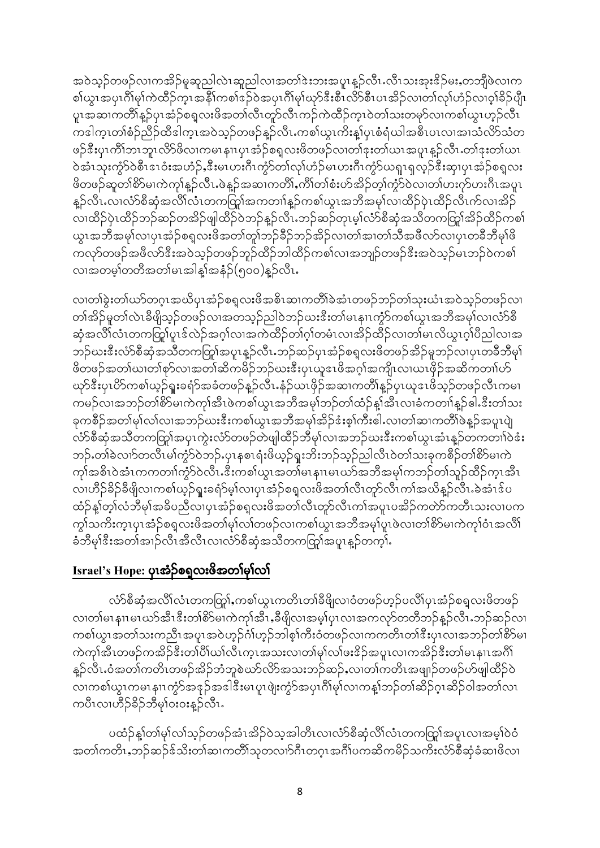အဝဲသူဉ်တဖဉ်လၢကအိဉ်မူဆူညါလဲၤဆူညါလၢအတၢ်ဒဲးဘးအပူၤနူဉ်လီၤႉလီၤသးအုးဒိဉ်မႈႇတဘျိုဖဲလၢက စါယွၤအပုၤဂိၢိမုၢ်ကဲထိဉ်က္ၤအနိၤ်ကစၤ်ဒဉ်ဝဲအပုၤဂိၢိမုၤ်ယှာ်ဒီးစီၤလိာ်စီၤပၤအိဉ်လၢတၤ်လုၤ်ဟုဉ်လၢဝ္ုခိဉ်ပျီၤ ပူးအဆၢကတိၢိန္ဥ်ပုၤအံ့ဥ်စရ္ပလးဖိအတ္ပါလီၤတူာလီၤကဥ်ကဲထိဥ်က္ၤဝဲတၢ်သးတမှာ်လၢကစ္ပါယူၤဟ္ဥ်လီၤ ကဒါကူၤတၢ်စံဉ်ညီဉ်ထီဒါကူၤအဝဲသူဉ်တဖဉ်နူဉ်လီၤႉကစၢ်ယွၤကိႈန္နုံပုၤစံရံယါအစီၤပၤလၢအၢသံလိ>်သံတ ဖဉ်ဒီးပုၤကိၢိဘၤဘူၤလိ $5$ ဖိလၢကမၤနၢၤပုၤအံ့ဉ်စရူလးဖိတဖဉ်လၢတၢ်ဒုးတၢ်ယၤအပူၤန္ဉာလီၤႉတၢ်ဒုးတၢ်ယၤ ဝဲအံၤသုးကွဲာ်ဝဲစီၤဒၤဝံးအဟံဉ်ႇဒီးမၤဟးဂိၤကွဲာ်တၢ်လုၤ်ဟုံဉ်မၤဟးဂိၤကွဲာ်ယရူၤရလ္ဉ်ဒီးဆုၤပုၤအံ့ဉ်စရူလး ဖိတဖဉ်ဆူတၢ်စိ>်မၢကဲကုၢ်နူဉ်လီၤႉဖဲန္ဉာိအဆၢကတိၢ်ႇကိၢိတၢ်စံးဟ်အိဉ်တ့ၢ်က္ပံ၁်လ၊တၢ်ဟးဂုာ်ဟးဂိၤအပူၤ နူဉ်လီၤႉလၢလံာ်စီဆုံအလိၢ်လံၤတကတြှၢ်အကတၢါနူဉ်ကစၢ်ယွၤအဘိအမှၢ်လၢထိဉ်ပုဲၤထိဉ်လီၤက်လၢအိဉ် လ၊ထိဉ်ပုံၤထိဉ်ဘဉ်ဆဉ်တအိဉ်ဖျါထိဉ်ဝဲဘဉ်နူဉ်လီၤ.ဘဉ်ဆဉ်တုၤမ့ၢ်လံာ်စီဆုံအသိတကတြူ၊်အိဉ်ထိဉ်ကစၢ် ယွၤအဘီအမှၢ်လၢပုၤအံ့ဉ်စရူလးဖိအတၢ်တူၢ်ဘဉ်ခိဉ်ဘဉ်အိဉ်လၢတၢ်အၢတၢ်သီအဖိလာ်လၢပုၤတခီဘီမှၢ်ဖိ ကလုာ်တဖဉ်အဖိလာ်<sup>ဒွ</sup>ီးအဝဲသုဉ်တဖဉ်ဘူဉ်ထိဉ်ဘါထိဉ်ကစၢ်လၢအဘျဉ်တဖဉ်<sup>ဒွီ</sup>းအဝဲသုဉ်မၤဘဉ်ဝဲကစၢ် လၢအတမ္)တတိအတ္ပါမၤအါန္)အနံ့ဉ်(၅၀၀)န္ဥာလိၤႉ

လ၊တၢ်ခွဲးတၢ်ယာ်တဂူၤအယိပုၤအံ့ဉ်စရူလးဖိအစိၤဆ၊ကတိၢ်ခဲအံၤတဖဉ်ဘဉ်တၢ်သုးယံၤအဝဲသူဉ်တဖဉ်လ၊ တၢ်အိဉ်မူတၢ်လဲၤခီဖျိသ္ဥ်ာတဖဉ်လၢအတသွဉ်ညါဝဲဘဉ်ဃးဒီးတၢ်မၤနၢၤကၠံာ်ကစၢ်ယွၤအဘီအမှၢ်လၢလံာ်စီ ဆုံအလိ်္ဂလံၤတကတြွှုပူၤဒ်လဲဉ်အဂ္ဂါလၢအကဲထိဉ်တၢ်ဂ္ဂါတမံၤလ၊အိဉ်ထိဉ်လ၊တ၊်မၤလိယွၤဂ္ဂါပီညါလ၊အ ဘဉ်ယးဒီးလံာ်စီဆုံအသီတကတြှၢ်အပူၤန္ဥာလီၤႉဘဉ်ဆဉ်ပုၤအံ့ဉ်စရူလးဖိတဖဉ်အိဉ်မူဘဉ်လၢပုၤတခီဘီမု၊် ဖိတဖဉ်အတၢ်ဃၢတၢ်စုာ်လၢအတၢ်ဆိကမိဉ်ဘဉ်ဃးဒီးပုၤယူဒၤဖိအဂ္ဂါအကျိၤလ၊ယၤဖိုဉ်အဆိကတၢၢ်ဟ် ယှာ်ဒီးပုၤပိဉ်ကစၢ်ယူဉ်ရူးခရံဉ်အခံတဖဉ်နူဉ်လီၤႉနံဉ်ယၤဖိုဉ်အဆၢကတိၢ်နူဉ်ပုၤယူဒၤဖိသူဉ်တဖဉ်လီၤကမၢ ကမဉ်လၢအဘဉ်တၢိစိ>်မ၊ကဲကုၢ်အီၤဖဲကစၢ်ယွၤအဘိအမှၢ်ဘဉ်တၢ်ထံဉ်နှၤ်အီၤလၢခံကတၢၢ်နှဉ်ဓါႉဒီးတၢ်သး ခုကစိဉ်အတၢ်မှၢ်လၢ်လ၊အဘဉ်ဃးဒီးကစၢ်ယွၤအဘိအမှၢ်အိဉ်ဒံးစ့ၢ်ကီးဓါႉလ၊တၢ်ဆ၊ကတိၢ်ဖဲန္ဉာ်အပူၤပျဲ လံာ်စီဆုံအသိတကတြှာ်အပုၤကွဲးလံာ်တဖဉ်တဲဖျါထိဉ်ဘီမှၢ်လၢအဘဉ်ယးဒီးကစၢ်ယွၤအံၤန္ဉာ်တကတၢါဝဲဒံး ဘဉ်ႉတၢ်ခဲလၢာ်တလီၤမၢ်ကွံာ်ဝဲဘဉ်ႉပုၤနှစၤရံးဖိယ့ဉ်ရူးဘိးဘဉ်သူဉ်ညါလီၤဝဲတၢ်သးခုကစီဉ်တၢ်စိာ်မၢကဲ ကုန်အစိၤဝဲအံၤကကတၢါ်ကွဲ၁်ဝဲလီၤႉဒီးကစါယွၤအတါမၤနၢၤမၤဃာ်အဘိအမှၢ်ကဘဉ်တၢ်သူဉ်ထိဉ်ကူၤအီၤ လ၊ဟိဉ်ခိဉ်ခီဖျိလ၊ကစၢ်ယှဉ်ရူးခရံှမွ်းလ၊ပုၤအံ့ဉ်စရူလးဖိအတၢ်လီၤတှာ်လီၤကၢ်အယိန္ဥာလီၤႉခဲအံၤဒ်ပ ထံဉ်နှုတ့်္ဂလံဘီမု၊်အခိပညီလ၊ပုၤအံ့ဉ်စရူလးဖိအတ၊်လီၤတူာ်လီၤကၢ်အပူၤပအိဉ်ကတိာကတီၤသးလ၊ပက က္ခါသကိုးက္နယုယ္မွာ စစ္မယူမွအသုံမွာလည္ေလးလစ္ခါလုပ္ရွာအသို့အမွန္႔ကစားလုပ္ခြဲေၾကာင္းအထို ခံဘိမု၊်<sup>ဇွ</sup>းအတၤ်အ၊ဉ်လီၤအီလီၤလ၊လံာ်စီဆုံအသိတကတြူကေပူၤန္ဉာ်တက္၊်.

## Israel's Hope: ပု၊အံ့ဉ်စရ္ခလးဖိအတၢ်မှါလ၊်

လံာ်စီဆုံအလိၢ်လံၤတကတြှာ်ႇကစၢ်ယွၤကတိၤတၢ်ခ်ိဖြိုလၢဝံတဖဉ်ဟုဉ်ပလိၢ်ပုၤအံဉ်စရူလးဖိတဖဉ် လ၊တၢ်မၤနၢၤမၤဃာ်အီၤဒီးတၢိစိာ်မၢကဲကုၢ်အီၤႇခီဖျိလၢအမှု၊ပုၤလၢအကလှာ်တတီဘဉ်န္ဉာ်လီၤႉဘဉ်ဆဉ်လ၊ ကစါယွၤအတၢ်သးကညီၤအပူၤအဝဲဟ့ဉ်ဂံၢ်ဟ့ဉ်ဘါစ့ၢ်ကီးဝံတဖဉ်လၢကကတိၤတၢ်ဒီးပုၤလၢအဘဉ်တၢိစိ>်မ၊ ကဲကုါအီၤတဖဉ်ကအိဉ်ဒီးတါပိါယါလီၤက္ၤအသးလၢတါမုါလါဖးဒိဉ်အပူၤလၢကအိဉ်ဒီးတါမၤနၢၤအဂိါ နူဉ်လီၤႉဝံအတၢ်ကတိၤတဖဉ်အိဉ်ဘံဘူစဲယာ်လိာ်အသးဘဉ်ဆဉ်ႇလၢတၢ်ကတိၤအဖျုဉ်တဖဉ်ဟ်ဖျါထိဉ်ဝဲ လၢကစါယွၤကမၤနၢၤကၠံာ်အဒုဉ်အဒါဒီးမၤပူၤဖျဲးကွဲာ်အပုၤဂိါမု႞လၢကန္[ဘဉ်တၤ်ဆိဉ်ဂူၤဆိဉ်ဝါအတၤ်လၤ ကပီၤလၢဟိဉ်ခိဉ်ဘီမှၢ်၀း၀းန္Pလီၤႉ

ပထံဉ်နှုတ်၊မု၊်လ၊်သ္ဥ်တဖဉ်အံၤအိုဥ်ဝဲသ္အအါတီၤလ၊လံာ်စီဆုံလိ၊်လံၤတကတြွ၊်အပူၤလ၊အမ္ပါဝဲဝံ အတၢ်ကတိၤႇဘဉ်ဆဉ်ဒ်သိးတၢ်ဆၢကတိၢ်သုတလၢာ်ဂီၤတဂ္ၤအဂိၢ်ပကဆိကမိဉ်သကိးလံာ်စီဆုံခံဆၢဖိလ၊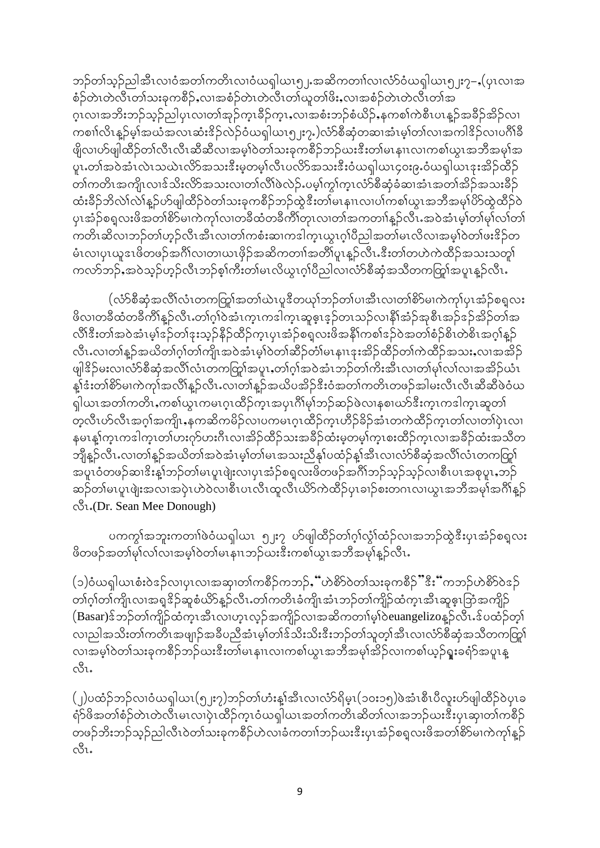ဘဉ်တၢ်သူဉ်ညါအီၤလၢဝံအတၢ်ကတိၤလၢဝံယရှါယၤ၅၂ အဆိကတၢၢ်လၢလံာ်ဝံယရှါယၤ၅၂း၇–ႇ(ပုၤလၢအ စံဉ်တဲၤတဲလီၤတၢ်သးခုကစိဉ်ႇလၢအစံဉ်တဲၤတဲလီၤတၢ်ယူတၢ်ဖိႏႇလၢအစံဉ်တဲၤတဲလီၤတၢ်အ ဂူးလ္လာအဘိးဘဉ်သူဉ်ည္ပါပုၤလ္လာတစ္ခ်ဆိုက္၊နိဉ်က္၊ႇလ္ယာအစီးဘဉ်စံယိဉ်ႇနကစ္စ္ပါကစ္စီးပၤန္ဥအခ်ိဳဥအခ်ိုလ္၊ ကစၢါလိၤန္ဝိမ္နါအယံအလၤဆံးဒိုခ်လဲခ်ဝံယရှါယၤ၅၂း၇ႇ)လံာ်စီဆုံတဆၤအံၤမ္နါတၤ်လၤအကါဒိုခ်လၤပဂိၢိခိ ဖျိလ၊ဟ်ဖျါထိဉ်တၢ်လီၤလီၤဆီဆီလၢအမ္1်ဝဲတၢ်သးခုကစီဉ်ဘဉ်ဃးဒီးတၢ်မၤနၢၤလ၊ကစၢ်ယူၤအဘီအမှၢ်အ ပူးတၢ်အဝဲအံၤလဲၤသယဲၤလိ႒်အသးဒီးမှတမ့ၢ်လီၤပလိ႒်အသးဒီးဝံယရျါယၤ၄၀း၉ႇဝံယရျါယၤဒုးအိဉ်ထိဉ် တၢ်ကတိၤအကျိုးလျှဒ်သိုးလိွှာအသးလ၊တ၊်လိ၊်ဖဲလဲဉ်းပမ္န၊်က္န၊်က္န၊လံာစီဆုံခံဆ၊အံၤအတ၊်အိဉ်အသးခီဉ် ထံးခိဉ်ဘိလဲၤ်လဲၤ်နူဉ်ဟ်ဖျါထိဉ်ဝဲတၤ်သးခုကစိဉ်ဘဉ်ထွဲဒီးတၤ်မၤနၢၤလၢပၤ်ကစၤ်ယွၤအဘိအမုၤ်ဟိတွဲထိဉ်ဝဲ ပုၤအံ့ဉ်စရူလးဖိအတၢ်စိဉ်မၢကဲကု႞လၢတခ်ီထံတခ်ီကိၢိတုၤလၢတၢ်အကတၢၢ်နူဉ်လီၤႉအဝဲအံၤမ့ၢ်တၢ်မှၢ်လၢ်တၢ် ကတိၤဆိလၢဘဉ်တၢ်ဟ္၄်လီၤအီၤလၢတၢ်ကစံးဆၢကဒါက္ၤယ္ၤဂ္ပ္ပုပ္ခ်ည္ပါအတ္ပ္ပါမၤလိလၢအမ္§ဝဲတၤ်ဖးဒိဉ်တ မံၤလၢပုၤယူဒၤဖိတဖဉ်အင်္ဂိၤလၢတၢယၤဖိုဉ်အဆိကတၢၢ်အတိၢ်ပူၤန္ဥာလီၤႉဒီးတၢ်တဟဲကဲထိဉ်အသးသတူ၊် ကလာ်ဘဉ်ႇအဝဲသူဉ်ဟုဉ်လီၤဘဉ်စ့ၢ်ကီးတ၊်မၤလိယ္လၤဂ္၊်ပိည္ပါလၢလံာ်စီဆုံအသိတကတြူ၊်အပူၤန္ဉာလီၤႉ

(လံာ်စီဆုံအလိ်္ဂလံၤတကတြှု်အတ၊်ယဲၤပူဒီတယု႞ဘဉ်တၢ်ပၢအီၤလ၊တ၊်စိာ်မၢကဲကု႞ပုၤအံ့ဉ်စရူလး ဖိလ၊တခ်ီထံတခ်ီကိ်ါန္ဥ်လီၤ.တၢ်ဂ္ဂါဝဲအံၤက္ၤကဒါက္ၤဆူဇ္းဒ္ဥ်တၤသဥ်လၢနိၤ်အံ့ဥ်အုစီၤအဥ်ဒဥ်အိဥ်တၤ်အ လိ\်ဒီးတၤ်အဝဲအံၤမုၤ်ဒဉ်တၤ်ဒုးသုဉ်နိဉ်ထိဉ်ကူၤပုၤအံ့ဉ်စရူလးဖိအနိၤ်ကစၤ်ဒဉ်ဝဲအတၤ်စံဉ်စိၤတဲစိၤအဂ္ဂါနူဉ် လီၤႉလၢတၢ်န္ဉာ်အယိတၢ်ဂ္ဂၢ်တၢ်ကျိၤအဝဲအံၤမ့္ပါဝဲတၢ်ဆိဉ်တံၢ်မၤနၢၤဒုးအိဉ်ထိဉ်တၢ်ကဲထိဉ်အသးႇလၢအအိဉ် ဖျါဒိဉ်မးလၢလံာ်စီဆုံအလိၢ်လံၤတကတြှုကေများတက်ုက်အဝဲအံၤဘဉ်တၢ်ကိုးအီၤလၢတၢ်မှၢ်လ၊်လၢအအိဉ်ယံၤ နှုန်းတ၊်စိ>်မၢကဲကုၢ်အလိၢနူဉ်လီၤႉလၢတၢ်နူဉ်အယိပအိဉ်နီးဝံအတၢ်ကတိၤတဖဉ်အါမးလီၤလီၤဆီဆီဖဲဝံယ ရှါယၤအတၢ်ကတိၤႇကစၢ်ယွၤကမၤဂ္ဂၤထိဉ်က္ၤအပုၤဂိၢိမုၢ်ဘဉ်ဆဉ်ဖဲလၢနစၢဃာ်ဒီးက္ၤကဒါက္ၤဆူတၢ် တဲ့လီၤဟ်လီၤအဂ္ဂါအကျိၤႇနကဆိကမိဉ်လၢပကမၤဂူၤထိဉ်ကူၤဟိဉ်ခိဉ်အံၤတကဲထိဉ်ကူၤတၤ်လၢတၤ်ပုဲၤလၢ နမၤန္1်က္ၤကဒါက္ၤတၤ်ပားဂုာ်ပားဂ်ီၤလၢအိဉ်ထိဉ်သးအခ်ိဉ်ထံးမှတမ္]်က္ၤစးထိဉ်က္ၤလၢအခ်ိဉ်ထံးအသိတ ဘျီန္ဥ်လီၤႉလၢတၢ်န္ဥ်အဃိတၢ်အဝဲအံၤမ္န၊်တ၊်မၤအသးညီနှၤ်ပထံဉ်န္န၊်အီၤလၢလံာ်စီဆုံအလိၤ်လံၤတကတြူ၊် ...<br>အပူၤဝံတဖဉ်ဆၢ<sup>ငွ</sup>းန့ၤ်ဘဉ်တၢ်မၤပူၤဖျံးလၢပုၤအံဉ်စရလးဖိတဖဉ်အင်္ဂါဘဉ်သ့ဉ်လျစီၤပၤအစုပူၤႇဘဉ် ဆဉ်တၢ်မၤပူၤဖျဲးအလၢအပုံၤဟဲဝဲလၢစီၤပၤလီၤထူလီၤယိာ်ကဲထိဉ်ပုၤခၢဉ်စးတဂၤလၢယ္ၤအဘီအမု၊်အဂ်ိၢန္ဉာ် ιδι.(Dr. Sean Mee Donough)

ပကကွါအဘူးကတၢါ်ဖဲဝံယၡါယၤာ၂ႈ၇ ဟ်ဖျါထိဉ်တၢ်ဂ့ၢ်လွှဲါထံဉ်လၢအဘဉ်ထွဲဒီးပုၤအံ့ဉ်စရလး ဖိတဖဉ်အတၢ်မှၢ်လ၊လ၊အမ္ဂါဝဲတ၊်မၤနၢၤဘဉ်ဃးဒီးကစၢ်ယွၤအဘိအမှၢ်နူဉ်လီၤႉ

(၁)ဝံယရှါယၤစံးဝဲဇဉ်လ၊ပုၤလၢအဆု၊တၢ်ကစီဉ်ကဘဉ်ႇိံဟဲစိ႒်ဝဲတၢ်သးခုကစီဉ်"ီးိး်ကဘဉ်ဟဲစိ႒်ဝဲဇဉ် တၢ်ဂ္ဂၢ်တၢ်ကျိၤလၢအရှုဒိဉ်ဆူစံယိာနူဉ်လီၤႉတၢ်ကတိၤခံကျိၤအံၤဘဉ်တၢ်ကျိဉ်ထံကူၤအီၤဆူဇူၤဘြံအကျိဉ် (Basar)ဒ်ဘဉ်တၢ်ကျိဉ်ထံကူၤအီၤလ၊ဟူၤလ့ဉ်အကျိဉ်လ၊အဆိကတၢၢ်မဲ့ၢ်ဝဲeuangelizoန္ ဉ်လီၤႉဒ်ပထံဉ်တ့ၢ် လၢညါအသိးတၢ်ကတိၤအဖျာဉ်အခ်ီပညီအံၤမ့ၢ်တၢ်ဒ်သိးသိးဒီးဘဉ်တၢ်သူတ့ၢ်အီၤလၢလံာ်စီဆုံအသိတကတြွာ၊် လၢအမှါဝဲတါသးခုကစိဉ်ဘဉ်ဃးဒီးတါမၤနၢၤလၢကစါယွၤအဘိအမှါအိဉ်လၢကစါယှဉ်ရူးခရံာ်အပူၤန္  $\mathring{\mathcal{C}}$ u

(၂)ပထံဉ်ဘဉ်လၢဝံယရှါယၤ(၅၂း၇)ဘဉ်တၢ်ဟံးန္1်အီၤလၢလံာ်ရိမ္(၁၀း၁၅)ဖဲအံၤစီၤပီလူးဟ်ဖျါထီဉ်ဝဲပုၤခ ရံဉ်ဖိအတၢ်စံဉ်တဲၤတဲလီၤမၤလၢပုံၤထိဉ်ကူၤဝံယရှါယၤအတၢ်ကတိၤဆိတၢ်လၢအဘဉ်ဃးဒီးပုၤဆု၊တၢ်ကစီဉ် တဖဉ်ဘိးဘဉ်သူဉ်ညါလီၤဝဲတၢ်သးခုကစိဉ်ဟဲလၢခံကတၢၢ်ဘဉ်ဃးဒီးပုၤအံ့ဉ်စရူလးဖိအတၢ်စိဉ်မၢကဲကုၢ်နူဉ်  $\mathcal{C}^{\mathsf{S}}$ l.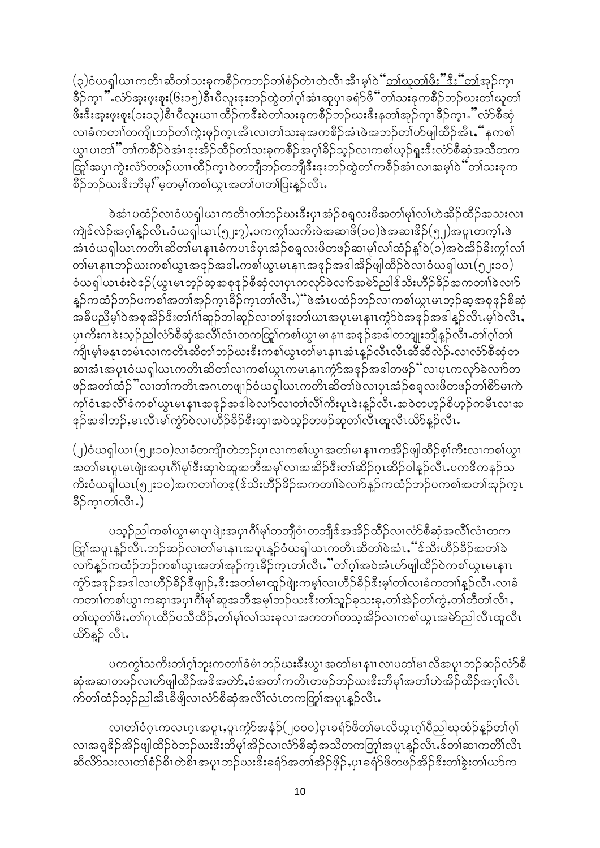(၃)ဝံယရှါယၤကတိၤဆိတၤ်သးခုကစိဉ်ကဘဉ်တၢ်စံဉ်တဲၤတဲလီၤအီၤမ့ၢ်ဝဲ<u>်ံတ၊်ယူတၢ်ဖိး"ီးီး်တ</u>၊်အုဉ်ကူၤ ခ်ိဉ်က္ၤ''်လံာ်အူးဖူးစူး(၆း၁၅)စီၤပီလူးဒုးဘဉ်ထွဲတၢ်ဂ္၊်အံၤဆူပုၤခရံာဖိ်ံိတၢ်သးခုကစီဉ်ဘဉ်ယးတ၊်ယူတ၊် ဖိးဒီးအူးဖူးစူး(၁း၁၃)စီၤပီလူးယၢၤထိဉ်ကဒီးဝဲတၢ်သးခုကစိဉ်ဘဉ်ယးဒီးနတၢ်အုဉ်က္ၤခိဉ်က္ၤ "လံာ်စီဆုံ လၢခံကတၢါတကျိၤဘဉ်တၢ်ကွဲးဖှဉ်ကူၤအီၤလၢတၢ်သးခုအကစိဉ်အံၤဖဲအဘဉ်တၢ်ဟ်ဖျါထိဉ်အီၤႇိံနကစၢ် ယွၤပၢတၢိဳတၢ်ကစိဉ်ဝဲအံၤဒုးအိဉ်ထိဉ်တၢ်သးခုကစိဉ်အဂ္ဂါခိဉ်သူဉ်လၢကစၢ်ယူဉ်ရူးဒီးလံာ်စီဆုံအသိတက တြှၢ်အပုၤကွဲးလံာ်တဖဉ်ယၢၤထိဉ်က္ၤဝဲတဘျိဘဉ်တဘျိဒီးဒုးဘဉ်ထွဲတၢ်ကစိဉ်အံၤလၢအမှါဝဲ်တ၊်သးခုက စိဉ်ဘဉ်ယးဒီးဘီမှ $\vec{i}$ 'မ့တမ့ါကစါယွၤအတါပၢတါပြးန္ဝ်ာလီၤ $\cdot$ 

ခဲ့အံၤပထံဉ်လၢဝံယရှါယၤကတိၤတၢ်ဘဉ်ဃးဒီးပုၤအံ့ဉ်စရှလးဖိအတၢ်မှၢ်လၢ်ဟဲအိုဉ်ထိဉ်အသးလၢ ကျဲဒ်လဲဉ်အဂ္ဂါနူဉ်လီၤ.ဝံယရျါယၤ(၅၂း၇),ပကက္ဂါသကိႏဖဲအဆၢဖိ(၁၀)ဖဲအဆၢ $\frac{3}{2}$ (၅၂)အပူၤတက္ဂါႉဖဲ အံၤဝံယရှါယၤကတိၤဆိတၢ်မၤနၢၤခံကပၤဒ်ပုၤအံ့ဉ်စရူလးဖိတဖဉ်ဆၢမှၢ်လၢ်ထံဉ်န္1်ဝဲ(၁)အဝဲအိဉ်ခိႏက္ဂၤ်လၢ် တါမၤနၢၤဘဉ်ဃးကစါယွၤအဒုဉ်အဒါ.ကစါယွၤမၤနၢၤအဒုဉ်အဒါအိဉ်ဖျါထိဉ်ဝဲလၢဝံယရျါယၤ(၅၂း၁၀) ဝံယရှါယၤစံးဝဲဒဉ်(ယူၤမၤဘ္ဥ်ဆ္စအစုဒုဉ်စီဆုံလၢပုၤကလုာ်ခဲလၢာ်အမဲာ်ညါဒ်သိးဟီဉ်ခိဉ်အကတၢါခဲလၢာ် နူဉ်ကထံဉ်ဘဉ်ပကစၢ်အတၢ်အုဉ်ကူၤခိဉ်ကူၤတၢ်လီၤႇဲ်ပဲအံၤပထံဉ်ဘဉ်လၢကစၢ်ယွၤမၤဘ္၃်ဆ္စအစုဒုဉ်စီဆုံ အခ်ီပညီမှါဝဲအစုအိဉ်ဒီးတၢ်ဂံ၊်ဆူဉ်ဘါဆူဉ်လ၊တၢ်ဒုးတ၊်ယၤအပူၤမၤနျၤကၠံာ်ဝဲအဒုဉ်အဒါနူဉ်လီၤ.မှု၊်ဝဲလီၤ. ပုၤကိႏဂၤဇဲးသုဉ်ညါလ်ာ်စီဆုံအလိၤလံၤတကတြှာ်ကစါယွၤမၤနၢၤအဒုဉ်အဒါတဘျုးဘျီနဉ်လီၤ.တၢ်ဂ့ၢ်တၢ် ကျိုးမွှါမနုၤတမံၤလၢကတိၤဆိတၢ်ဘဉ်ဃးဒီးကစၢ်ယွၤတၢ်မၤနၢၤအံၤန္ဉာလီၤလီၤဆီဆီလဲဉ်ႉလၢလံာ်စီဆုံတ ဆ၊အံၤအပူၤဝံယရှါယၤကတိၤဆိတၢ်လၢကစၢ်ယွၤကမၤနၢၤကံ့႒်အဒုဉ်အဒါတဖဉ်"လၢပုၤကလု႒်ခဲလၢာ်တ ဖဉ်အတၢ်ထံဉ်"လ၊တၢ်ကတိၤအဂၤတဖျ၊ဉ်ဝံယရှါယၤကတိၤဆိတၢ်ဖဲလ၊ပုၤအံ့ဉ်စရူလးဖိတဖဉ်တၢ်စိဉ်မ၊ကဲ ကုုဝံၤအလိုုခံကစါယွၤမၤနၢၤအဒုဉ်အဒါခဲလၢာ်လၢတၢ်လိ၊်ကိႏပူၤဒဲးနူဉ်လီၤႉအဝဲတဟုဉ်စိဟုဉ်ကမီၤလၢအ နဉ်အဒါဘဉ်,မၤလီၤမါကွံာ်ဝဲလၢဟိဉ်ခိဉ်ဒီးဆု၊အဝဲသု့ဉ်တဖဉ်ဆူတၢ်လီၤထူလီၤယိဉ်နူဉ်လီၤႉ

(၂)ဝံယရှါယၤ(၅၂း၁၀)လၢခံတကျိၤတဲဘဉ်ပုၤလၢကစၢ်ယွၤအတၢ်မၤနၢၤကအိဉ်ဖျါထိဉ်စ့ၢ်ကီးလၢကစၢ်ယွၤ အတၢ်မၤပူၤမၤဖျဲးအပုၤဂိၢမု၊်ဒီးဆု၊ဝဲဆူအဘီအမှၢ်လၢအအိဉ်ဒီးတၢ်ဆိဉ်ဂ္ဂၤဆိဉ်ဝါန္ဉာလီၤႉပကဒိကနဉ်သ ကိႏဝံယရှါယၤ(၅၂း၁၀)အကတၢါတဒ့(ဒ်သိးဟိဉ်ခိဉ်အကတၢါခဲလၢာ်နူဉ်ကထံဉ်ဘဉ်ပကစၢ်အတၢ်အှဉ်က္ၤ နိဉ်က္Iတ္လ်လီၤ.)

ပသူဉ်ညါကစၢ်ယွၤမၤပူၤဖျဲးအပုၤဂိၢ်မှၢ်တဘျိုဝံၤတဘျိုဒ်အအိဉ်ထိဉ်လၢလံာ်စီဆုံအလိၢ်လံၤတက ကြွာ်အပူၤန္ဥာလီၤ.ဘဉ်ဆဉ်လၢတၢ်မၤနၢၤအပူၤန္ဥာဝံယရှါယၤကတိၤဆိတၢ်ဖဲအံၤႇ်ံံဒိသိးဟိဉ်ခိဉ်အတၢ်ခဲ လၢာ်နူဉ်ကထံဉ်ဘဉ်ကစၢ်ယွၤအတၢ်အှဉ်ကူၤခိဉ်ကူၤတၢ်လီၤ…်ိတၢ်ဂူ၊်အဝဲအံၤဟ်ဖျါထီဉ်ဝဲကစၢ်ယွၤမၤနၢၤ ကွံာ်အဒုဉ်အဒါလ၊ဟိဉ်ခိဉ်ဒီဖျာဉ်ႇဒီးအတၢ်မၤထူဉ်ဖျဲးကမ့ၢ်လ၊ဟိဉ်ခိဉ်ဒီးမ့ၢ်တၢ်လၢခံကတၢၢ်နှဉ်လီၤႉလၢခံ ကတၢၢ်ကစၢ်ယွၤကဆု၊အပုၤဂိၢမု၊်ဆူအဘီအမု၊်ဘဉ်ယးဒီးတၢ်သူဉ်ခုသးခုႇတၢ်အဲ့ဉ်တၢ်ကွံႇတၢ်တိတၢ်လိၤႇ တၢဴယူတၢိဖိႏႇတၢဴဂုၤထိဉ်ပသိထိဉ်ႇတၢဴမှၢ်လၢဴသးခုလၢအကတၢၢ်တသူအိဉ်လၢကစၢဴယွၤအမဲာ်ညါလီၤထူလီၤ ယိ>န္β လီၤ.

ပကကွါသကိႏတၢ်ဂူါဘူးကတၢါခံမံၤဘဉ်ယးဒီးယွၤအတၢ်မၤနၢၤလၢပတၢ်မၤလိအပူၤဘဉ်ဆဉ်လံာ်စီ ဆုံအဆ၊တဖဉ်လ၊ဟ်ဖျါထိဉ်အဒိအတ်ာ်,ဝံအတ၊်ကတိၤတဖဉ်ဘဉ်ဃးဒီးဘီမှ၊်အတ၊်ဟဲအိဉ်ထိဉ်အဂ္ဂါလီၤ က်တ၊်ထံဉ်သူဉ်ညါအီၤခီဖျိလၢလံာ်စီဆုံအလိၤ်လံၤတကတြွာ်အပူၤန္ဉာလီၤ

လၢတၢ်ဝံဂုၤကလၤဂုၤအပူၤႇပူၤကွံာ်အနံဉ်(၂၀၀၀)ပှၤခရံာ်ဖိတၢ်မၤလိယွၤဂုၢ်ပိညါယုထံဉ်န့ဉ်တၢ်ဂုၢ် လၢအရှုဒိုဉ်အိဉ်ဖျါထိဉ်ဝဲဘဉ်ယးဒီးဘီမှၢ်အိဉ်လၢလံာ်စီဆုံအသီတကတြှာ်အပူၤန္ဉာလီၤန်တၢ်ဆၢကတိၢ်လီၤ ဆီလိ>်သးလၢတၢ်စံဉ်စိၤတဲစိၤအပူၤဘဉ်ယးဒီးခရံဉ်အတၢ်အိဉ်ဖိုဉ်ႇပုၤခရံဉ်ဖိတဖဉ်အိဉ်ဒီးတၢ်ခွဲးတၢ်ယာ်က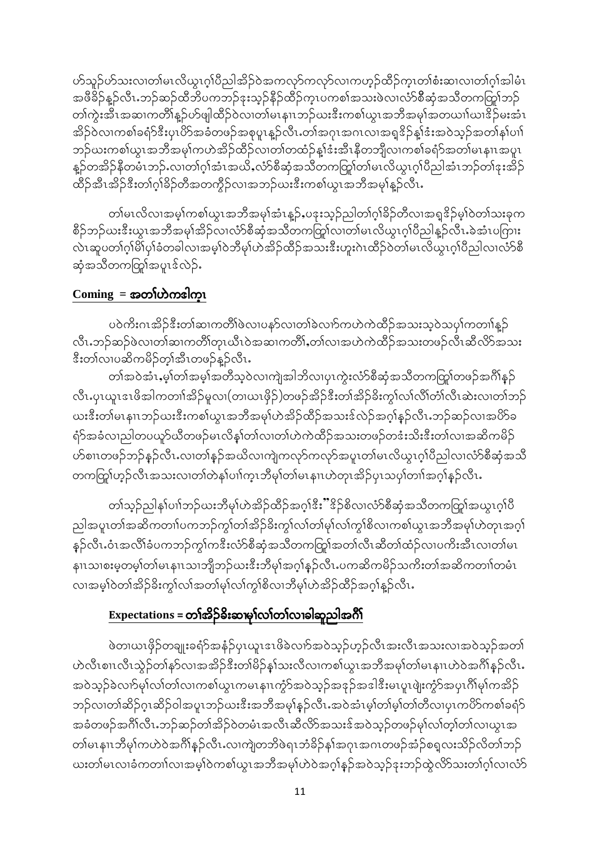ဟ်သူဉ်ဟ်သးလၢတါမၤလိယ္လၤဂ့ါပီညါအိဉ်ဝဲအကလုာ်ကလုာ်လၢကဟ္ဥာ်ထိဉ်ကူၤတၢ်စီးဆၢလၢတၢ်ဂူၢ်အါမံၤ အဖိခိဉ်နူဉ်လီၤ.ဘဉ်ဆဉ်ထိဘိပကဘဉ်ဒုးသ့ဉ်နိဉ်ထိဉ်ကူၤပကစၢ်အသးဖဲလၢလံာ်စီဆုံအသိတကတြု၊်ဘဉ် တၢ်ကွဲးအီၤအဆၢကတိၢိန္ဉ်ပာ်ဖျါထိဉ်ဝဲလၢတၢ်မၤနၢၤဘဉ်ဃးဒီးကစၢ်ယွၤအဘိအမှၢ်အတယၢၢ်ဃၢဒိဉ်မးအံၤ အိဉ်ဝဲလၢကစါခရံာ်ဒီးပုၤပိာ်အခံတဖဉ်အစုပူၤန္ဉာလီၤ.တါအဂုၤအဂၤလၢအရှုဒိဉ်န္1်ဒီးအဝဲသူဉ်အတၢ်န၊်ပၢါ ဘဉ်ဃးကစၢ်ယွၤအဘိအမှၢ်ကဟဲအိဉ်ထိဉ်လၢတၢ်တထံဉ်နျ်ဒံးအီၤနိတဘျီလၢကစၢ်ခရံဉ်အတၢ်မၤနၢၤအပူၤ နူဉ်တအိဉ်နီတမံၤဘဉ်ႉလၢတၢ်ဂုၤ်အံၤအယိႇလံာ်စီဆုံအသိတကတြူာ်တၤ်မၤလိယ္လၤဂုၤ်ပီညါအံၤဘဉ်တၤ်ဒုးအိဉ် ထိဉ်အီၤအိဉ်ဒီးတၢ်ဂ္ဂါခိဉ်တီအတကွိဉ်လၢအဘဉ်ဃးဒီးကစါယွၤအဘိအမှၢ်န္**ဉ်**လီၤႉ

တၢ်မၤလိလၢအမ့ၢ်ကစၢ်ယွၤအဘိအမုၢ်အံၤန္βႇပဒုးသုဉ်ညါတၢ်ဂုၢ်ခိဉ်တိလၢအရှု<sup>ဒွ</sup>ဉ်မ့ၢ်ဝဲတၢ်သးခုက စိဉ်ဘဉ်ယးဒီးယွၤအဘီအမု၊်အိဉ်လ၊လံာ်စီဆုံအသီတကတြှ၊်လ၊တ၊်မၤလိယွၤဂ္၊်ပီညါနူဉ်လီၤ ခဲအံၤပကြား လဲၤဆူပတၢ်ဂူါမိါပုါခံတခါလၢအမ္ဒါဝဲဘီမု၊်ဟဲအိဉ်ထိဉ်အသးဒီးဟူးဂဲၤထိဉ်ဝဲတ၊်မၤလိယ္ဂၤဂူါပီညါလၢလံာ်စီ ဆုံအသီတကတြှုကအပူၤဒ်လဲဉ်.

## $Coming =$ အတၤ်ဟဲကၖါက္၊

ပဝဲကိႏဂၤအိဉ်ဒီးတၢ်ဆၢကတိိၢဖဲလ၊ပနၥ်လ၊တၢ်ခဲလၢာ်ကဟဲကဲထိဉ်အသးသဲ့ဝဲသပု၊်ကတၢၢ်နှဉ် လီၤ.ဘဉ်ဆဉ်ဖဲလၢတၢ်ဆၢကတိၢ်တုၤယီၤ၀ဲအဆၢကတိၢ်ႇတၢ်လၢအဟဲကဲထိဉ်အသးတဖဉ်လီၤဆီလိာ်အသး ီးတၢ်လၢပဆိကမိဉ်တ္၊်အီၤတဖဉ်နဉ်လီၤႉ

တၢ်အဝဲအံၤႇမ့္ပ်တၢ်အမ္န၊အတိသ့ဝဲလ၊ကျဲအါဘိလ၊ပုၤကွဲးလံာ်စီဆုံအသိတကတြှု၊်တဖဉ်အဂိၢ်နှဉ် လီၤ.ပှၤယူၤဒၤဖိအါကတၢါအိဉ်မူလၢ(တၢယၤဖိုဉ်)တဖဉ်အိဉ်ဒီးတၢ်အိဉ်ခိးကွၢ်လၤ်လိၤ်တာ၊လီၤဆဲးလၢတၢ်ဘဉ် ယးဒီးတါမၤနၢၤဘဉ်ယးဒီးကစါယွၤအဘီအမုၢ်ဟဲအိဉ်ထိဉ်အသးဒ်လဲဉ်အဂ္ဂါနဉ်လီၤ.ဘဉ်ဆဉ်လၢအပိ>်ခ ရံဉ်အခံလၢညါတပယူဉ်ယီတဖဉ်မၤလိန္1်တၤ်လ၊တၤ်ဟဲကဲထိဉ်အသးတဖဉ်တဒံးသိးဒီးတၤ်လၢအဆိကမိဉ် ဟ်စၢၤတဖဉ်ဘဉ်နဉ်လီၤႉလၢတၢ်နှဉ်အယိလၢကျဲကလှာ်ကလှာ်အပူၤတၢ်မၤလိယွၤဂ္ဂၢ်ပီညါလၢလံာ်စီဆုံအသိ တကတြူံဟ့ဉ်လီၤအသးလၢတၢ်တဲန၊်ပၢါက္ၤဘိမုၢ်တၢ်မၤနၢၤဟဲတုၤအိဉ်ပုၤသပှၢ်တၢၢ်အဂ္ဂၢ်နှဉ်လီၤႉ

တၢဴသ္ဥ်ာညါနဉ်ပၢါဘဉ်ယးဘီမှၤ်ဟဲအိဉ်ထိဉ်အဂ္ဂါဒီး"ိဒိုဉ်စိလၤလံာ်စီဆုံအသီတကတြာၤ်အယွၤဂ္ဂါပီ ညါအပူၤတၢ်အဆိကတၢၤ်ပကဘဉ်ကွၢ်တ၊်အိဉ်ခိႏကွၢ်လၢ်တ၊်မှၢ်လၢ်ကွၢ်စိလၢကစၢ်ယွၤအဘိအမှၢ်ဟဲတုၤအဂ္ဂါ နှဉ်လီၤႉဝံၤအလိၢ်ခံပကဘဉ်ကွၢ်ကဒီးလံာ်စီဆုံအသိတကတြှု၊်အတၢ်လီၤဆီတၢ်ထံဉ်လၢပကိႈအီၤလၢတၢ်မၤ နၢၤသၢစးမှတမ့ါ်တါမၤနၢၤသၢဘျိဘဉ်ဃးဒီးဘီမု၊်အဂ္ဂါန္ဉ်လီၤႉပကဆိကမိဉ်သကိးတၢ်အဆိကတၢၢ်တမံၤ လ၊အမှါဝဲတၢ်အိဉ်ခိႏက္ဂါလ၊်အတ၊်မု၊်လ၊်ကွ၊်စိလ၊ဘီမု၊်ဟဲအိဉ်ထိဉ်အဂ္ဂါနူဉ်လီၤ.

# Expectations = တၢ်အိ>်ခိးဆၢမှၢ်လၢ်တၢ်လၢခါဆူညါအဂိါ

ဖဲတ၊ယၤဖိုဉ်တချုးခရံဉ်အနံဉ်ပုၤယူၤဒၤဖိခဲလၢာ်အဝဲသူဉ်ဟုဉ်လီၤအးလီၤအသးလၢအဝဲသူဉ်အတၢ် ဟဲလီၤစၢၤလီၤသွဲဉ်တၢ်နဉ်လၢအအိဉ်ဒီးတၢ်မိဉ်နှၤ်သးလီလၢကစၢ်ယွၤအဘီအမှၢ်တၢ်မၤနၢၤဟဲဝဲအဂိၢ်နှဉ်လီၤႉ အဝဲသူဉ်ခဲလၢာ်မှၢ်လၢ်တၢ်လၢကစၢ်ယွၤကမၤနၢၤကွံာ်အဝဲသူဉ်အဒုဉ်အဒါဒီးမၤပူၤဖျံးကွံာ်အပုၤဂိၢ်မှၢ်ကအိဉ် ဘဉ်လ၊တၢ်ဆိဉ်ဂူၤဆိဉ်ဝါအပူၤဘဉ်ဃးဒီးအဘီအမှၢ်နှဉ်လီၤႉအဝဲအံၤမ့္ပါတ၊်မ့္ပါတ၊်တီလ၊ပုၤကပိဉ်ကစၢ်ခရံှာ် အခံတဖဉ်အင်္ဂါလီၤ.ဘဉ်ဆဉ်တၢ်အိဉ်ဝဲတမံၤအလီၤဆီလိာ်အသးဒ်အဝဲသ့ဉ်တဖဉ်မှါလၢ်တ့ၢ်တၢ်လၢယွၤအ တၢ်မၤနၢၤဘီမု၊်ကဟဲဝဲအင်္ဂါန္ဉ်လီၤႉလၢကျဲတဘိဖဲရၤဘံခိဉ်န၊်အဂုၤအဂၤတဖဉ်အံ့ဉ်စရူလးသိဉ်လိတၢ်ဘဉ် ယးတ္ပါမၤလၢခံကတ္ပ္ကျပားအမ္ပါဝယ္စစ္ပါက္ခံ၊ အသွအမ္ပါက္ဝွအပ္ခံျခံသူတိုင္းသဥ္မွတ္ခံတားသုပ္ပြဲတြယ္ခ်ာ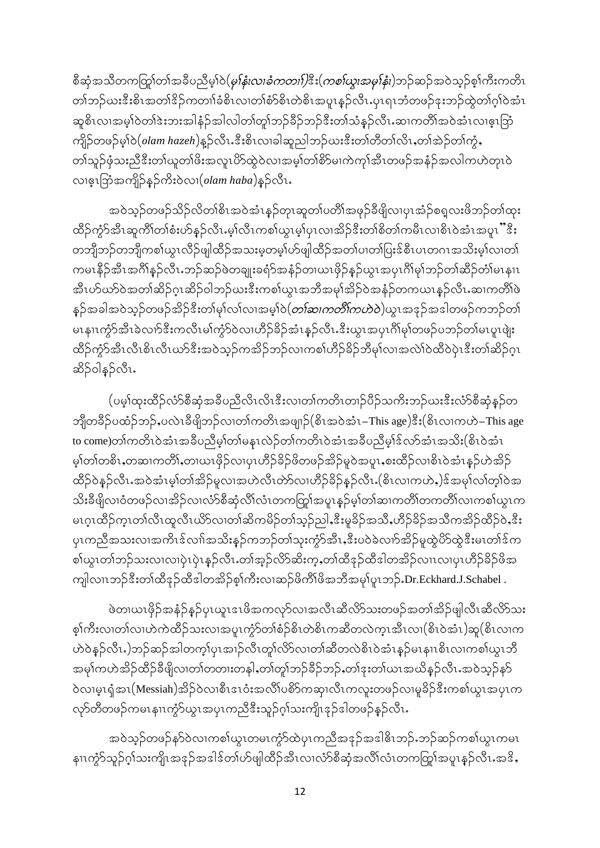စီဆုံအသီတကတြုတ်၊အခ်ီပညီမ့္ပါဝဲ(*မု)နံးလ၊ခံကတၢါ)*ဒီး(*ကစၤ်ယွ၊အမု)နံ၊*)ဘဉ်ဆဉ်အဝဲသုဉ်စ့္ပ်ကီးကတိၤ တၢ်ဘဉ်ယးဒီးစိၤအတၢိဒိဉ်ကတၢၢ်ခံစိၤလၢတၢ်စံာ်စိၤတဲစိၤအပူၤန္ဉာလီၤ.ပုၤရၤဘံတဖဉ်ဒုးဘဉ်ထွဲတၢ်ဂ့ၢ်ဝဲအံၤ ဆူစိၤလၢအမ့ၢ်ဝဲတၢ်ဒဲးဘးအါနံဉ်အါလါတၢ်တူၢ်ဘဉ်ခိဉ်ဘဉ်ဒီးတၢ်သံနှဉ်လီၤႉဆၢကတိၢ်အဝဲအံၤလၢဇ့ၤဘြံ ကျိဉ်တဖဉ်မှ1်ဝ(olam hazeh)နူဉ်လီၤႉဒီးစိၤလၢခါဆူညါဘဉ်ဃးဒီးတၢ်တိတၢ်လိၤႇတၢ်အဲ့ဉ်တၢ်ကွဲႇ တၢဴသူဉ်ဖုံသးညီဒီးတၢ်ယူတၢိဖိးအလူၤပိ>်ထွဲဝဲလၢအမ့ၢ်တၢ်စိ>်မၢကဲကုၢ်အီၤတဖဉ်အနံဉ်အလါကဟဲတုၤဝဲ လ၊ဇ္န၊ဘြံအကျိဉ်နဉ်ကိုးဝဲလ၊ (olam haba)နဉ်လီး.

အဝဲသ့ဉ်တဖဉ်သိဉ်လိတၢ်စိၤအဝဲအံၤန္ဉာိတုၤဆူတၢ်ပတိၢ်အဖုဉ်ခီဖျိလၢပှၤအံ့ဉ်စရလးဖိဘဉ်တၢ်ထုး ထိဉ်ကွဲာ်အီၤဆူကိၢိတၢ်စံးဟ်နဉ်လီၤ.မ့ၢ်လီၤကစၢ်ယွၤမ့ၢ်ပုၤလၢအိဉ်ဒီးတၢ်စိတၢ်ကမီၤလၢစိၤဝဲအံၤအပူၤ"ီဒီး တဘျီဘဉ်တဘျီကစၢ်ယွၤလိဉ်ဖျါထိဉ်အသးမ့တမ့ၢ်ဟ်ဖျါထိဉ်အတၢ်ပၢတၢ်ပြးဒ်စီၤပၤတဂၤအသိးမ့ၢ်လၢတၢ် ကမၤနိဉ်အီၤအဂ်ိၢန္ဉ်လီၤ.ဘဉ်ဆဉ်ဖဲတချုးခရံာ်အနံဉ်တၤယၤဖိုဉ်နှဉ်ယွၤအပုၤဂိၢ်မု၊်ဘဉ်တၢ်ဆိဉ်တံ၊မၤနၢၤ အီၤဟ်ဃာ်ဝဲအတၢ်ဆိဉ်ဂ္ၤဆိဉ်ဝါဘဉ်ဃးဒီးကစၢ်ယွၤအဘိအမုၢ်အိဉ်ဝဲအနံဉ်တကယၤနဉ်လီၤႉဆၢကတိၢ်ဖဲ နှဉ်အခါအဝဲသုဉ်တဖဉ်အိဉ်ဒီးတၢ်မှၢ်လ၊်လ၊အမ့ၢ်ဝဲ $(\sigma$ ာ်ဆ၊*ကတိၤ်ကဟဲဝဲ*)ယွၤအဒုဉ်အဒါတဖဉ်ကဘဉ်တ၊် မၤနၢၤကွႆာ်အီၤခဲလၢာ်ဒီးကလီၤမၢ်ကွႆာ်ဝဲလၢဟိဉ်ခိဉ်အံၤန္ဉ်လီၤႉဒီးယွၤအပှၤဂိၢ်မုၢ်တဖဉ်ပဘဉ်တၢ်မၤပူၤဖျဲး ထိဉ်ကွဲာ်အီၤလီၤစိၤလီၤယာ်ဒီးအဝဲသွဉ်ကအိဉ်ဘဉ်လၢကစၢ်ဟိဉ်ခိဉ်ဘီမှၢ်လၢအလဲၢ်ဝဲထိဝဲပုံၤဒီးတၢ်ဆိဉ်ဂူၤ ဆိ}်ဝါနဉ်လီၤ.

(ပမ္)်ထူးထိဉ်လံာ်စီဆုံအခ်ီပညီလိၤလိၤဒီးလၢတၢ်ကတိၤတၢဉ်ပိဉ်သကိးဘဉ်ဃးဒီးလံာ်စီဆုံနှဉ်တ ဘျီတခဵဉ်ပထံဉ်ဘဉ်ႇပလဲၤခဵဖျိဘဉ်လၢတၢ်ကတိၤအဖျၢဉ်(စိၤအဝဲအံၤ–This age)ဒီး(စိၤလၢကဟဲ–This age to come)တါကတိၤဝဲအံၤအခ်ီပညီမှါတါမနၤလဲဉ်တါကတိၤဝဲအံၤအခ်ီပညီမှါဒ်လာ်အံၤအသိး(စိၤဝဲအံၤ မ့ၢ်တ၊်တစိၤႇတဆၢကတိၢ်ႇတၢယၤဖိုဉ်လၢပုၤဟိဉ်ခိဉ်ဖိတဖဉ်အိဉ်မူဝဲအပူၤႇစးထိဉ်လၢစိၤဝဲအံၤန္ဉ်ဟဲအိဉ် ထိဉ်ဝဲနဉ်လီၤႉအဝဲအံၤမ့္ပ်တ္ပါအိဉ်မူလၢအဟဲလီၤတဲာ်လၢဟိဉ်ခိဉ်နဉ်လီၤႉ(စိၤလၢကဟဲႇ)ဒ်အမှၤ်လျ်တ္ပါဝဲအ သိးခီဖျိလၢဝံတဖဉ်လၢအိဉ်လ၊လံာ်စီဆုံလိၢ်လံၤတကတြွ၊်အပူၤန္နဉ်မ့္ပ်တ္၊်ဆၢကတိ၊်တကတိ၊်လၢကစ္၊်ယွၤက မၤဂ္ၤထိဉ်က္ၤတၢ်လီၤထူလီၤယိ႒်လၢတၢ်ဆိကမိဉ်တၢ်သ္ဉ်ည]ႇဒီးမူခိဉ်အသီႇဟိဉ်ခိဉ်အသီကအိဉ်ထိဉ်ဝဲႇဒီး ပုၤကညီအသးလၢအကိၤဒ်လၢ်အသိးန္ဉာ်ကဘဉ်တၢ်သုးကွဲာ်အီၤႇဒီးပဝဲခဲလၢာ်အိဉ်မူထွဲပိာ်ထွဲဒီးမၤတၢ်ဒ်က စါယွၤတၢ်ဘဉ်သးလၢလၢပှဲၤပှဲၤနှဉ်လီၤ.တၢ်အ့ဉ်လိာ်ဆိးက့ႇတၢ်ထီဒုဉ်ထီဒါတအိဉ်လၢၤလၢပှၤဟီဉ်ခိဉ်ဖိအ ကျါလၤၤဘဉ်ဒီးတၢ်ထီဒုဉ်ထီဒါတအိဉ်စ့ၢ်ကီးလၢဆဉ်ဖိကိၢိဖိအဘီအမှၢ်ပူၤဘဉ်.Dr.Eckhard.J.Schabel .

ဖဲတ၊ယၤဖိုဉ်အနံဉ်နဉ်ပုၤယူၤဒၤဖိအကလှာ်လၢအလီၤဆီလိာ်သးတဖဉ်အတၢ်အိဉ်ဖျါလီၤဆီလိာ်သး စ့ါကီးလ၊တါလ၊ဟဲကဲထိဉ်သးလ၊အပူၤကွံာ်တါစံဉ်စိၤတဲစိၤကဆီတလဲက္ၤအီၤလ၊(စိၤဝဲအံၤ)ဆူ(စိၤလ၊က ဟဲဝဲနဉ်လီၤႉ)ဘဉ်ဆဉ်အါတက့ၢ်ပုၤအၢဉ်လီၤတူ၊်လိ>်လၢတၢ်ဆီတလဲစိၤဝဲအံၤန္ဉာ်မၤနၢၤစိၤလၢကစၢ်ယွၤဘိ အမုၢ်ကဟဲအိဉ်ထိဉ်ခီဖျိလ၊တ၊်တတၢးတနါႇတၢ်တူ၊်ဘဉ်ခီဉ်ဘဉ်ႇတၢ်ဒုးတ၊်ယၤအယိနဉ်လီၤႉအဝဲသ့ဉ်နဉ် ဝဲလၢမ့ၤရုံအၤ(Messiah)အိဉ်ဝဲလၢစီၤဒၤဝံးအလိၤ်ပစိၥ်ကဆု၊လီၤကလူးတဖဉ်လၢမှုခိဉ်ဒီးကစၤ်ယွၤအပုၤက လှာ်တီတဖဉ်ကမၤနၢၤကၠံာ်ယွၤအပုၤကညီဒီးသူဉ်ဂုၤ်သးကျိၤနဉ်ဒါတဖဉ်နဉ်လီၤႉ

အဝဲသ့ဉ်တဖဉ်န**်**ဝဲလၢကစၢ်ယွၤတမၤကွံာ်ထဲပှၤကညီအဒုဉ်အဒါ<sup>္</sup>ဓိၤဘဉ်ႉဘဉ်ဆဉ်ကစၢ်ယွၤကမၤ နၢၤကွဲာ်သူဉ်ဂ့ၢ်သးကျိၤအဒုဉ်အဒါဒ်တၢဴပာ်ဖျါထိဉ်အီၤလၢလံာ်စီဆုံအလိၤ်လံၤတကတြူၤ်အပူၤန္ဉာ်လီၤႉအဒိႇ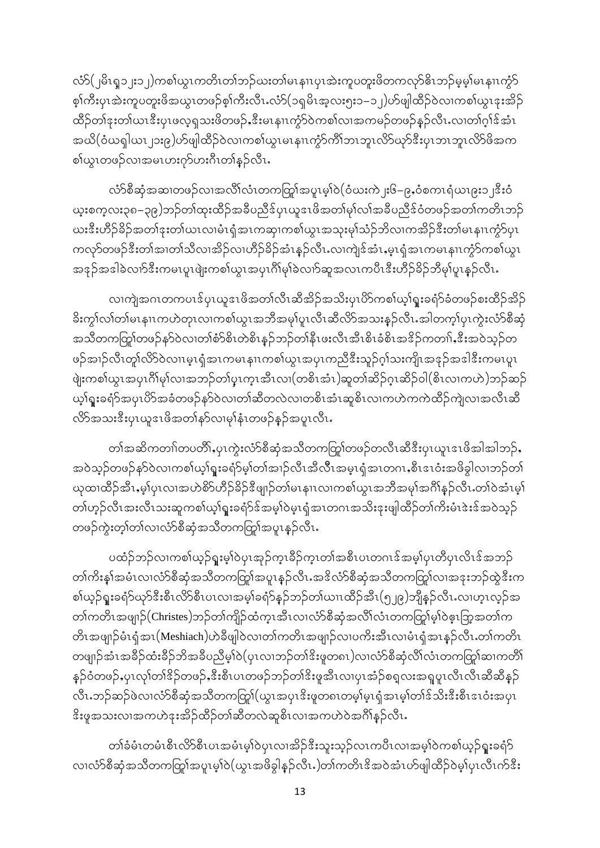လံာ်(၂မိၤရ္၁၂း၁၂)ကစါယွၤကတိၤတၢ်ဘဉ်ဃးတါမၤနၢၤပုၤအဲးကူပတူးဖိတကလုာ်ဗိၤဘဉ်မှမ့္ပါမၤနၢၤက္ဂံာ စ့ၢ်ကီးပုၤအဲးကူပတူးဖိအယွၤတဖဉ်စ့ၢ်ကီးလီၤႉလံာ်(၁ရှမိၤအ့လး၅း၁–၁၂)ဟ်ဖျါထိဉ်ဝဲလၢကစၢ်ယွၤဒုးအိဉ် ထိဉ်တၢ်ဒုးတၢ်ယၤဒီးပုၤဖလ့ရသးဖိတဖဉ်ႇဒီးမၤနၢၤကၠႆာ်ဝဲကစၢ်လၢအကမဉ်တဖဉ်နဉ်လီၤႉလၢတၢ်ဂ္၊်ဒ်အံၤ အယိ(ဝံယၡါယၤ၂၁း၉)ဟ်ဖျါထိဉ်ဝဲလၢကစၢ်ယွၤမၤနၢၤက္ငံာ်ကိၢ်ဘၤဘူၤလိာ်ယုာ်ဒီးပှၤဘၤဘူၤလိာ်ဖိအက စါယွၤတဖဉ်လၢအမၤဟးဂုာ်ဟးဂီၤတၢ်နှဉ်လီၤ.

လံာ်စီဆုံအဆၢတဖဉ်လၢအလိၢ်လံၤတကတြှာ်အပူၤမ့ၢ်ဝဲ $($ ဝံဃးကဲ၂း၆–၉ႇဝံစကၤရံယၤ၉း၁၂ $\mathring{\mathbf{z}}$ းဝံ ယူးစက္စလး၃၈–၃၉)ဘဉ်တၢ်ထုးထိဉ်အခ်ီပညီဒ်ပုၤယူဒၤဖိအတၢ်မုၢ်လၢ်အခ်ီပညီဒ်ဝံတဖဉ်အတၢ်ကတိၤဘဉ် ဃး<sup>စွ</sup>ီးဟိဉ်ခိဉ်အတၢ်ဒုးတၢ်ယၤလၢမံၤရှံအၤကဆု၊ကစၢ်ယွၤအသုးမုၢ်သံဉ်ဘိလၢကအိဉ်<sup>စွ</sup>ီးတၢ်မၤနၢၤကံ့ာ်ပုၤ ကလုာ်တဖဉ်ဒီးတၢ်အၢတၢ်သိလၢအိဉ်လ၊ဟိဉ်ခိဉ်အံၤန္ဉာလီၤႉလ၊ကျဲဒ်အံၤႇမ့ၤရုံအၤကမၤနၢၤကွံာ်ကစၢ်ယွၤ အဒုဉ်အဒါခဲလၢာ်ဒီးကမၤပူၤဖျဲးကစၢ်ယွၤအပုၤဂိၢမုၢ်ခဲလၢာ်ဆူအလၤကပီၤဒီးဟိဉ်ခိဉ်ဘီမု၊်ပူၤန္ဉာလီၤႉ

လၢကျဲအဂၤတကပၤဒ်ပုၤယူဒၤဖိအတၢ်လီၤဆီအိဉ်အသိးပုၤဟိကစၢ်ယ့ၢ်ရူးခရံာ်ခံတဖဉ်စးထိဉ်အိဉ် ိးကွ<sup>ှ</sup>လၢ်တ၊်မၤနၢၤကဟဲတုၤလၢကစၢ်ယွၤအဘိအမု၊်ပူၤလိၤဆိလိ်ာအသးနှဉ်လိၤ*အ*ါတက့၊်ပုၤကွဲးလံာ်စီဆုံ အသိတကတြှုကဖဉ်နၵ်ဝဲလ၊တၢ်စံာ်စိၤတဲစိၤန္ဉာဘဉ်တၢ်နီၤဖးလီၤအီၤစိၤခံစိၤအဒိဉ်ကတၢၢ်ႇဒီးအဝဲသ့ဉ်တ ဖဉ်အၢဉ်လီၤတု႞လိ>်ဝဲလၢၤမ့ၤရုံအၤကမၤနၢၤကစၢ်ယွၤအပုၤကညီဒီးသူဉ်ဂ္ဂါသးကျိၤအနဉ်အဒါဒီးကမၤပူၤ ဖျဲးကစါယွၤအပုၤဂိၢိမု႞လၢအဘဉ်တၢ်ပုၤက္ၤအီၤလၢ(တစိၤအံၤ)ဆူတၢ်ဆိဉ်ဂ္ၤဆိဉ်ဝါ(စိၤလၢကဟဲ)ဘဉ်ဆဉ် ယ့ၢ်ရူးခရံာ်အပုၤပိာ်အခံတဖဉ်နာ်ဝဲလ၊တ၊်ဆီတလဲလ၊တစိၤအံၤဆူစိၤလ၊ကဟဲကကဲထိဉ်ကျဲလ၊အလီၤဆိ လိ႒်အသးဒီးပုၤယူဒၤဖိအတၢ်နဉ်လ၊မုၢ်နံၤတဖဉ်နဉ်အပူၤလီၤႉ

တၢ်အဆိကတၢ်တပတိ်ႏႇပုၤကွဲးလံာ်စီဆုံအသိတကတြှာ်တဖဉ်တလီၤဆီဒီးပုၤယူၤဒၤဖိအါအါဘဉ်ႇ အဝဲသ့ဉ်တဖဉ်နၵ်ဝဲလၢကစၢ်ယ့ၢ်ရူးခရံာ်မ့၊်တၢ်အၢဉ်လီၤအီလီၤအမ္ၤရှံအၤတဂၤ,စီၤၖၤဝံးအဖိခွါလၢဘဉ်တ၊် ယုထၢထိဉ်အီၤႇမ့္ပ်ပုၤလၢအဟဲစိဉ်ဟိဉ်ခိဉ်ဒီဖျာဉ်တၢ်မၤနၢၤလၢကစၢ်ယွၤအဘီအမုၢ်အဂိၢိန္ဉ်လီၤႉတၢ်ဝဲအံၤမ့္ပ် တၢဴဟုဉ်လီၤအးလီၤသးဆူကစၢ်ယ့ၢ်ရူးခရံဉ်ဒ်အမှါဝဲမှၤရှံအၤတဂၤအသိးဒုးဖျါထိဉ်တၢ်ကိးမံၤဲးးဒ်အဝဲသုဉ် တဖဉ်ကွဲးတ့ၢ်တၢ်လၢလံာ်စီဆုံအသိတကတြှု၊်အပူၤန္ဉာလီၤ

ပထံဉ်ဘဉ်လၢကစါယ့ဉ်ရူးမ့ၢ်ဝဲပှၤအုဉ်က္ၤခ်ိဉ်က္ၤတါအစီၤပၤတဂၤဒ်အမ္ါပှၤတိပှၤလိၤဒ်အဘဉ် တၢ်ကိႏနၵ်အမံၤလၢလံာ်စီဆုံအသိတကတြှာအပူၤန္ဉာလီၤႉအဒိလံာ်စီဆုံအသိတကတြှာ်လၢအဒုးဘဉ်ထွဲဒီးက စါယ့ဉ်ရူးခရံာ်ယုာ်ဒီးစီၤလိာစီၤပၤလၢအမ့ါ်ခရံာ်နဉ်ဘဉ်တါယၢၤထိဉ်အီၤ(၅၂၉)ဘျိနဉ်လီၤႉလၢဟ့ၤလ့ဉ်အ တၢ်ကတိၤအဖျုဉ် $(C$ hristes)ဘဉ်တၢ်ကျိဉ်ထံကူၤအီၤလၢလံာ်စီဆုံအလိၢ်လံၤတကတြူ်မ့ၢ်ဝဲဓ့ၤဘြာ့အတၢ်က တိၤအဖျာဉ်မံၤရုံအၤ(Meshiach)ဟဲခ်ီဖျါဝဲလၢတၢ်ကတိၤအဖျာဉ်လၢပကိႏအီၤလၢမံၤရုံအၤနှဉ်လီၤ.တၢ်ကတိၤ တဖျာဉ်အံၤအခဵဉ်ထံးခဵဉ်ဘိအခဵပညီမှ႞၀ဲ(ပုၤလၢဘဉ်တၢၲဒိးဖူတ၈ၤ)လၢလံာ်စီဆုံလိၢ်လံၤတကတြူာ်ဆၢကတိၢ် နှဉ်ဝံတဖဉ်ႇပုၤလုၢ်တၢ် $\frac{2}{3}$ ဉ်တဖဉ်ႇ $\stackrel{2}{\sim}$ းစီၤပၤတဖဉ်ဘဉ်တၢ် $\stackrel{2}{\ll}$ းဖူအီၤလၢပုၤအံဉ်စရ $\;$ လးအရူပူၤလီၤလီၤဆီဆီနှဉ် လီၤႉဘဉ်ဆဉ်ဖဲလၢလံာ်စီဆုံအသီတကတြှာ်(ယွၤအပှၤဒိးဖူတ၈ၤတမ့္ပ်မ္ၤရုံအၤမ့္ပ်ာက်ဒ်သိးဒီးစီၤဒၤဝံးအပှၤ းိပူအသးလၢအကဟဲဒုးအိဉ်ထိဉ်တၢ်ဆီတလဲဆူစိၤလၢအကဟဲဝဲအင်္ဂါနဉ်လီၤ**.** 

တၢ်ခံမံၤတမံၤစီၤလိ်ာစီၤပၤအမံၤမ့ၢ်ဝဲပှၤလၢအိဉ်ဒီးသူးသ့ဉ်လၤကပီၤလၢအမ့ၢ်ဝဲကစၢ်ယ့ဉ်ရူးခရံာ် လၢလံာ်စီဆုံအသိတကတြု၊်အပူးမ့္ပါဝဲ(ယွၤအဖိခွါန္ဥ်လီး.)တၤ်ကတိၤဒိအဝဲအံၤဟ်ဖျါထိဉ်ဝဲမ္န၊်ပုၤလီၤက်ဒီး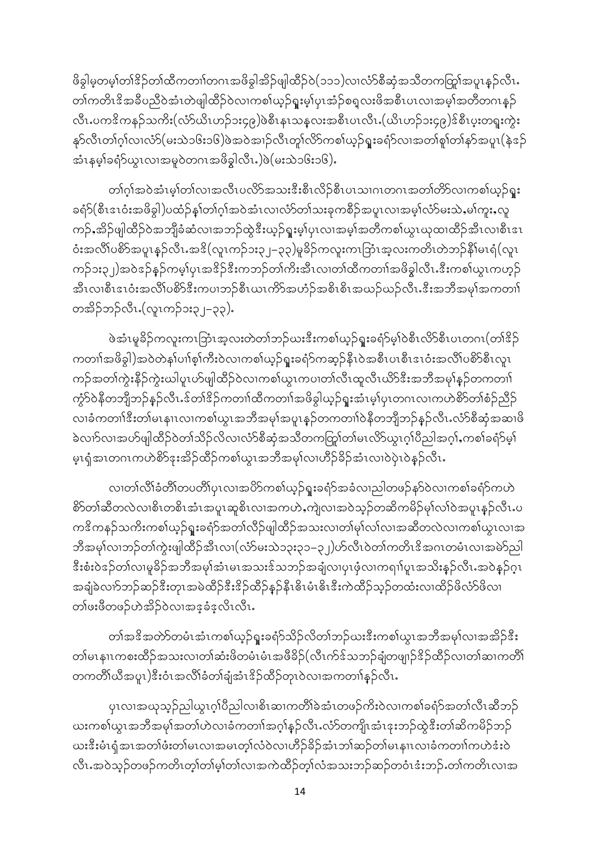ဖိခွါမဲ့တမ့်္ဂတၢ်ဒိဉ်တၢ်ထိကတၢၤ်တဂၤအဖိခွါအိဉ်ဖျါထိဉ်ဝဲ(၁၁၁)လၤလံာ်စီဆုံအသိတကတြူကျေးနှဉ်လီၤ. တၢ်ကတိၤဒိအခ်ိပညီဝဲအံၤတဲဖျါထိဉ်ဝဲလၢကစၢ်ယှဉ်ရူးမ့၊်ပုၤအံ့ဉ်စရူလးဖိအစီၤပၤလၢအမ့ၢ်အတိတဂၤနှဉ် လီၤႉပကဒိကနဉ်သကိႏ(လံာ်ယိၤဟဉ်၁း၄၉)ဖဲစီၤနၤသန္ဝားအစီၤပၤလီၤႉ(ယိၤဟဉ်၁း၄၉)ဒ်စီၤပူးတရူးကွဲး နှာ်လီၤတၢ်ဂ္ဂါလၢလံာ်(မးသဲ၁၆း၁၆)ဖဲအဝဲအၢဉ်လီၤတုၤ်လိာ်ကစၤ်ယူဉ်ရူးခရံာ်လၢအတၢ်စူၢ်တၢ်နာ်အပူၤ(နဲ့အဉ် အံၤနမ္န္ကုခရံု လ္က႑လ၊အမူဝဲတဂၤအဖိခ္ဂါလီၤ.)ဖဲ(မးသဲ၁၆း၁၆).

တၢ်ဂ္ဂါအဝဲအံၤမ္န၊်တၢ်လၢအလီၤပလိ>်အသးဒီးစီၤလိဉ်စီၤပၤသၢဂၤတဂၤအတၢ်တိာ်လၢကစၢ်ယ့ဉ်ရူး ခရံ $5($ စီၤဒၤဝံးအဖိခွါ)ပထံဉ်နှၤ်တၢ်ဂ္ဂါအဝဲအံၤလၢလံာ်တၤ်သးခုကစိဉ်အပူၤလၢအမ္<code>i</code>လံာ်မးသဲႇမၤ်ကူးႇလူ ကဉ်ႇအိဉ်ဖျါထိဉ်ဝဲအဘျီခံဆံလၢအဘဉ်ထွဲဒီးယ့ဉ်ရူးမ့္ပ်ပုၤလၢအမ္န၊်အတိကစ္ပ်ယွၤယုထ၊ထိဉ်အီၤလ၊စီၤဒၤ ဝံးအလိၤ်ပစိၥ်အပူၤန္ဉာလီၤႉအဒိ(လူၤကဉ်၁း၃၂–၃၃)မူခိဉ်ကလူးကၤဘြာၤအ့လးကတိၤတဲဘဉ်နီၤ်မၤရံ(လူၤ ကဉ်၁း၃၂)အဝဲဒဉ်နဉ်ကမ့္ပ်ပုၤအဒိဉ်ဒီးကဘဉ်တၢ်ကိုးအီၤလ၊တၢ်ထိကတၢၢ်အဖိခွါလီၤႉဒီးကစၢ်ယွၤကဟ့ဉ် အီၤလၢစီၤဒၤဝံးအလိၤ်ပစိ>်ဒီးကပၢဘဉ်စီၤယၤကိ>်အဟံဉ်အစိၤစိၤအဃဉ်ယဉ်လီၤႉဒီးအဘီအမှၢ်အကတၢၢ် တအိဉ်ဘဉ်လီၤ (လူၤကဉ်၁း၃၂–၃၃).

ဖဲအံၤမူခ်ိဉ်ကလူးကၤဘြာၤအ့လးတဲတၢ်ဘဉ်ယးဒီးကစၢ်ယှဉ်ရူးခရံှမှ်၊ပဲစီၤလိ်ာစီၤပၤတဂၤ(တၢ်ဒိုဉ် ကတၢၢ်အဖိခွါ)အဝဲတဲနှၤ်ပၢါစ္ဥကြီးဝဲလၤကစၤ်ယ္ဉ်ရူးခရံဉ်ကဆ္ဥနီၤဝဲအစီၤပၤစီၤဒၤဝံးအလိၤ်ပစိဉ်စီၤလူၤ ကဉ်အတၢ်ကွဲးနိဉ်ကွဲးဃါပူၤဟ်ဖျါထိဉ်ဝဲလၢကစၢ်ယွၤကပၢတၢ်လီၤထူလီၤယိ5်ဒီးအဘိအမှၢ်နှဉ်တကတၢၢ် ကံ့ာ်ဝဲနိတဘျီဘဉ်နှဉ်လီၤႉဒ်တၢ်ဒိဉ်ကတၢၢ်ထိကတၢၢ်အဖိခွါယ့ဉ်ရူးအံၤမ့၊်ပုၤတဂၤလၢကဟဲစိာ်တၢ်စံဉ်ညီဉ် လၢခံကတၢါဒီးတ၊်မၤနၢၤလၢကစၢ်ယွၤအဘိအမှၢ်အပူၤန္ဉာ်တကတၢၢ်ဝဲနိတဘျိဘဉ်နှဉ်လီၤႉလံာ်စီဆုံအဆၢဖိ ဲ့ လက်လၢအဟ်ဖျါထိဉ်ဝဲတၢ်သိဉ်လိလ၊လံာ်စီဆုံအသီတကတြှာ်တ၊်မၤလိာ်ယူၤဂ္ဂၢ်ပီညါအဂ္ဂၢ်ႇကစၢ်ခရံာ်မှ၊ မှၤရုံအၤတဂၤကဟဲစိ႒်ဒုးအိဉ်ထိဉ်ကစၢ်ယွၤအဘီအမှၢ်လၢဟိဉ်ခိဉ်အံၤလၢဝဲပုံၤဝဲနှဉ်လီၤႉ

လ၊တၢ်လိၢိခံတိၢိတပတိၢ်ပုၤလ၊အပိ႒်ကစၢ်ယူဉ်ရူးခရံ႒်အခံလ၊ညါတဖဉ်နာ်ဝဲလ၊ကစၢ်ခရံ႒်ကဟဲ စိ>်တၢ်ဆီတလဲလၢစိၤတစိၤအံၤအပူၤဆူစိၤလၢအကဟဲႇကဲျလၢအဝဲသူဉ်တဆိကမိဉ်မှၢ်လၢ်ဝဲအပူၤန္ဉာလီၤ.ပ ကၖိကနဉ်သကိႏကစၢ်ယ့ဉ်ရူးခရံာ်အတၢ်လီဉ်ဖျါထီဉ်အသးလၢတၢ်မှၢ်လၢ်လၢအဆီတလဲလၢကစၢ်ယွၤလၢအ ဘီအမှၢ်လၢဘဉ်တၢ်ကွဲးဖျါထိဉ်အီၤလၢ(လံာ်မးသဲ၁၃း၃၁–၃၂)ဟ်လီၤဝဲတၢ်ကတိၤဒိအဂၤတမံၤလၢအမဲာ်ညါ းိစံးဝဲဒဉ်တါလ၊မူခိဉ်အဘိအမှါအံၤမၤအသးဒ်သဘဉ်အချံလ၊ပုၤဖုံလ၊ကရၢါပူၤအသိးနှဉ်လီၤႉအဝဲနှဉ်ဂူၤ အချံခဲလၢာ်ဘဉ်ဆဉ်ဒီးတုၤအမဲထိဉ်ဒီးဒိဉ်ထိဉ်နှဉ်နိုၤမိၤမီးဒီးကဲထိဉ်သုဉ်တထံးလၢထိဉ်ဖိလံာ်ဖိလ၊ တၢဴဖးဖိတဖဉ်ဟဲအိဉ်ဝဲလၢအဒ္ဒခံဒုလိၤလီၤ.

တၢ်အဖိအတဲာ်တမံၤအံၤကစၢ်ယူဉ်ရူးခရံာ်သိဉ်လိတၢ်ဘဉ်ဃးဖီးကစၢ်ယူၤအဘီအမှၢ်လၢအအိဉ်ဖီး တါမၤနၢၤကစးထိဉ်အသးလၢတါဆံးဖိတမံၤမံၤအဖီခိဉ်(လီၤက်ဒ်သဘဉ်ချံတဖျာဉ်<sup>ဒွ</sup>ဉ်ထိဉ်လၢတါဆၢကတိါ တကတိၢ်ယီအပူၤ)ဒီးဝံၤအလိၢ်ခံတ၊်ချံအံၤဒိဉ်ထိဉ်တုၤဝဲလၢအကတၢၢ်နှဉ်လီၤႉ

ပုၤလၢအၰသွဉ်ညါယွၤဂုၢိပီညါလၢစိၤဆၢကတိၢ်ခဲအံၤတဖဉ်ကိႏဝဲလၢကစၢ်ခရံာ်အတၢ်လီၤဆီဘဉ် ယးကစါယွၤအဘိအမုၢ်အတၢ်ဟဲလၢခံကတၢၢ်အဂ္ဂၢ်န္ဉ်လီၤႉလံာ်တကျိၤအံၤဒုးဘဉ်ထွဲဒီးတၢ်ဆိကမိဉ်ဘဉ် ယးဒီးမံၤရုံအၤအတၢ်ဖံးတ၊်မၤလၢအမၤတ့ၢ်လံဝဲလၢဟိဉ်ခိဉ်အံၤဘၢ်ဆဉ်တ၊်မၤနၢၤလၢခံကတၢၢ်ကဟဲဒံးဝဲ လီၤႉအဝဲသူဉ်တဖဉ်ကတိၤတ့ၢ်တ၊်မ့္ပ်တၢ်လၢအကဲထိဉ်တဲ့ၤ်လံအသးဘဉ်ဆဉ်တဝံၤဒံးဘဉ်ႉတၢ်ကတိၤလၢအ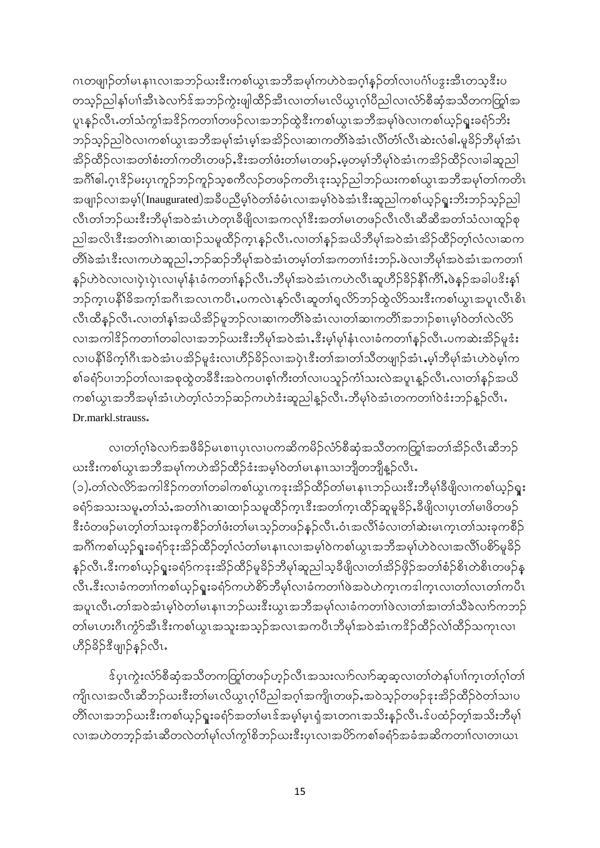ဂၤတဖျာဉ်တါမၤနၢၤလၢအဘဉ်ဃးဒီးကစါယွၤအဘိအမှါကဟဲဝဲအဂ္ဂါနဉ်တါလၢပင်္ဂါပဒူးအီၤတသ္ဒဒီးပ တသူဉ်ညါန1်ပၢါအီၤခဲလၢာ်ဒ်အဘဉ်ကွဲးဖျါထိဉ်အီၤလ၊တ1်မၤလိယွၤဂူၢိပိညါလ၊လံာ်စီဆုံအသိတကတြူအ ပူးနှဉ်လီး တၢ်သံကွၢ်အ<sup>ဒွ</sup>ဉ်ကတၢၢ်တဖဉ်လၢအဘဉ်ထွဲဒီးကစၢ်ယွၤအဘီအမှၢ်ဖဲလၢကစၢ်ယှဉ်ရူးခရံာ်ဘိး ဘဉ်သူဉ်ညါဝဲလၢကစၢ်ယွၤအဘိအမှၢ်အံၤမ့ၢ်အအိဉ်လ၊ဆၢကတိၢ်ခဲအံၤလိၢ်တိၤဆဲးလံဓါႉမှုခိဉ်ဘီမှၢ်အံၤ အိဉ်ထိဉ်လၢအတၢ်စံးတ၊်ကတိၤတဖဉ်ႇဒီးအတၢ်ဖံးတ၊်မၤတဖဉ်ႇမ့တမ္]ဘီမျာ်ဝဲအံၤကအိဉ်ထိဉ်လၢခါဆူညါ အဂ်ိုဓါ.ဂူၤ $\frac{2}{3}$ ဉ်မႈပုၤကူဉ်ဘုဉ်ကူဉ်သူစကီလဉ်တဖဉ်ကတိၤဒုးသူဉ်ညါဘဉ်ဃးကစၢ်ယွၤအဘီအမှၢ်တၢ်ကတိၤ အဖျာဉ်လၢအမှ)(Inaugurated)အခ်ီပညီမှ1်ဝတ1်ခံမံၤလ၊အမှ1်ဝဲခဲအံၤဒီးဆူညါကစၢ်ယှဉ်ရူးဘိးဘဉ်သွဉ်ညါ လီၤတၢ်ဘဉ်ယးဒီးဘီမှၢ်အဝဲအံၤဟဲတုၤခီဖျိလၢအကလုၢ်ဒီးအတၢ်မၤတဖဉ်လီၤလီၤဆီဆီအတၢ်သံလၢထူဉ်စု ညါအလိၤဒီးအတၢ်ဂဲၤဆၢထၢဉ်သမှုထိဉ်က္ၤန္ဉ်လီၤႉလၢတၢ်န္ဉ်အယိဘီမု၊်အဝဲအံၤအိဉ်ထိဉ်တ့ၢ်လံလၢဆက တိ၊်ခဲအံၤဒီးလၢကဟဲဆူညါႇဘဉ်ဆဉ်ဘီမု၊်အဝဲအံၤတမ္၊်တ၊်အကတၢါဒံးဘဉ်ႉဖဲလ၊ဘီမု၊်အဝဲအံၤအကတၢါ နှဉ်ဟဲဝဲလ၊လ၊ပုံၤပုံၤလ၊မု၊်နုံၤခံကတၢါနှဉ်လီၤ.ဘီမု၊်အဝဲအံၤကဟဲလီၤဆူဟိဉ်ခိဉ်နိ၊်ကိၢ်,ဖဲနှဉ်အခါပဒိးနှ၊် ဘဉ်ကူၤပနိ1်ခ်ိအက္ခါအဂိၤအလၤကပီၤႇပကလဲၤနှာ်လီၤဆူတၢ်ရှလိာ်ဘဉ်ထွဲလိာ်သးဒီးကစၢ်ယွၤအပူၤလီၤစိၤ လီၤထိနဉ်လီၤႉလၢတၢ်နှၤ်အယိအိဉ်မူဘဉ်လၢဆၢကတိၢ်ခဲအံၤလၢတၢ်ဆၢကတိၢ်အဘၢဉ်စၢၤမ့ၢ်ဝဲတၢ်လဲလိဉ် လၢအကါဒိဉ်ကတၢါတခါလ၊အဘဉ်ဃးဒီးဘီမှၢ်အဝဲအံၤႇဒီးမ့၊်မှၢ်နံၤလၢခံကတၢါနှဉ်လီၤႉပကဆဲးအိဉ်မူဒံး လ၊ပနိ1်ခိက္1်ဂီၤအဝဲအံၤပအိဉ်မူဒံးလ၊ဟိဉ်ခိဉ်လ၊အပဲုၤဒီးတၢ်အ၊တၢ်သီတဖျာဉ်အံၤ,မ္ဒ၊်ဘီမု၊်အံၤဟဲဝဲမ္ဒ၊်က စါခရံာ်ပၢဘဉ်တါလၢအစုထွဲတခ်ိဒီးအဝဲကပၢစ္၊်ကီးတါလၢပသူဉ်ကံ၊်သးလဲအပူၤန္ဉာ်လီၤႉလၢတၢ်န္ဉာ်အယိ ကစါယွၤအဘိအမုါအံၤဟဲတ့ၢ်လံဘဉ်ဆဉ်ကဟဲဒံးဆူညါနူဉ်လီၤႉဘိမုၢ်ဝဲအံၤတကတၢါဝဲဒံးဘဉ်နူဉ်လီၤႉ Dr.markl.strauss.

လ၊တၢ်ဂ္ဂါခဲလၢာ်အဖီခိဉ်မၤစၢၤပုၤလ၊ပကဆိကမိဉ်လံာ်စီဆုံအသီတကတြုၤ်အတၢ်အိဉ်လီၤဆီဘဉ် ယးဒီးကစါယွၤအဘီအမှၢ်ကဟဲအိဉ်ထိဉ်ဒံးအမှါဝဲတါမၤနၢၤသၢဘိုတဘိုုနူဉ်လီၤႉ (၁) တော်လဲလိ>်အကါဒိဉ်ကတၢၢ်တခါကစၢ်ယွၤကဒုးအိဉ်ထိဉ်တၢ်မၤနၢၤဘဉ်ယးဒီးဘီမှၢ်ခီဖျိလၢကစၢ်ယ့ဉ်ရူး ခရံာ်အသးသမှု,တၢ်သံ,အတၢ်ဂဲၤဆၢထၢဉ်သမှုထိဉ်က္ၤဒီးအတၢ်က္ၤထိဉ်ဆူမှုခိဉ်,ခီဖျိလၢပုၤတၢ်မၢဖိတဖဉ် းိ၀ံတဖဉ်မၤတ့ၢ်တၢ်သးခုကစိဉ်တၢ်ဖံးတ၊်မၤသ့ဉ်တဖဉ်နဉ်လီၤႉဝံၤအလိၢ်ခံလၢတၢ်ဆဲးမၤက္ၤတၢ်သးခုကစိဉ် အဂိၢိကစၢ်ယူဉ်ရူးခရံဉ်ဒုးအိဉ်ထိဉ်တဲ့ၤ်လာပ်မၤနျၤလၢအမူ့္ပါတစၤ်ယွၤအဘီအမှၤ်ဟဲဝဲလၢအလိၤ်ပစိဉ်မူခိဉ် နှဉ်လီၤႉဒီးကစၢ်ယှဉ်ရူးခရံဉ်ကဒုးအိဉ်ထိဉ်မှုခိဉ်ဘီမှၢ်ဆူညါသ့ခီဖျိလ၊တၢ်အိဉ်ဖိုဉ်အတၢ်စံဉ်စိၤတဲစိၤတဖဉ်နှ လီၤႉဒီးလၢခံကတၢါကစါယူဉ်ရူးခရံဉ်ကဟဲစိဉ်ဘီမု၊်လၢခံကတၢါဖဲအဝဲဟဲက္ၤကဒါက္ၤလၢတၢ်လၤတၢ်ကပီၤ အပူၤလီၤႉတၢ်အဝဲအံၤမ္နါဝဲတၢ်မၤနၢၤဘဉ်ဃးဒီးယွၤအဘီအမှၢ်လၢခံကတၢါဖဲလ၊တၢ်အၢတၢ်သီခဲလၢာ်ကဘဉ် တၢ်မၤဟးဂိၤကွဲာ်အီၤဒီးကစၢ်ယွၤအသူးအသုဉ်အလၤအကပီၤဘီမု၊်အဝဲအံၤကဒိဉ်ထိဉ်လဲ၊်ထိဉ်သကုၤလ၊ ဟိ5်ခို ၁ ဖျာဉ်နဉ်လီး.

ဒ်ပုၤကွဲးလံာ်စီဆုံအသိတကတြု၊်တဖဉ်ဟုဉ်လီၤအသးလၢာ်လၢာ်ဆုဆုလၢတၢ်တဲန၊်ပၢါက္ၤတၢ်ဂ္၊်တ၊် ကျိၤလၢအလီၤဆီဘဉ်ယးဒီးတၢ်မၤလိယ္လၤဂ့ၢ်ပိညါအဂ္ဂၢ်အကျိၤတဖဉ်ႇအဝဲသ့ဉ်တဖဉ်ဒုးအိဉ်ထိဉ်ဝဲတၢ်သၢပ တိၢိလၢအဘဉ်ယးဒီးကစၢ်ယှဉ်ရူးခရံဉ်အတၢ်မၤဒ်အမှ၊်မှၤရုံအၤတဂၤအသိးနှဉ်လီၤႉဒ်ပထံဉ်တဲ့၊်အသိးဘီမှ၊် လၢအဟဲတဘွဉ်အံၤဆီတလဲတါမု႞လၢ်ကွၢ်စိဘဉ်ဃးဒီးပုၤလၢအပိဉ်ကစၢ်ခရံဉ်အခံအဆိကတၢၢ်လ၊တ၊ယၤ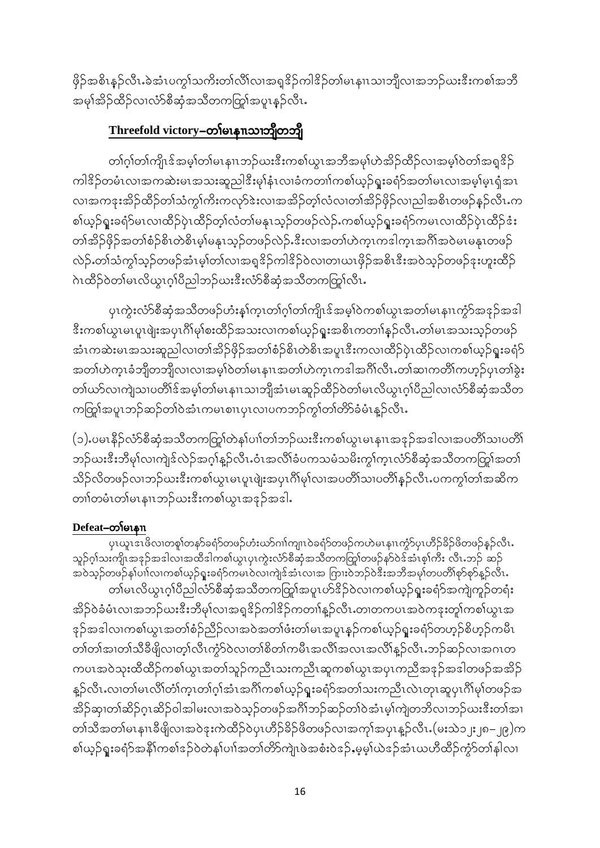ဖိုဉ်အစိၤနဉ်လီၤႉခဲအံၤပက္ဂၤ်သကိႏတၤ်လိၤ်လၢအရှုဒိဉ်ကါဒိဉ်တၤ်မၤနၢၤသၢဘျီလၢအဘဉ်ယးဒီးကစၤ်အဘိ ာ<br>အမှၢအိဉ်ထိဉ်လၢလံာ်စီဆုံအသိတကတြု၊်အပူၤနဉ်လီၤ.

# Threefold victory-တါမၤနπသၢဘိုတဘို

တၢဴဂ့ၢ်တၢ်ကျိၤဒ်အမှၢ်တ၊်မၤနၢၤဘဉ်ယးဒီးကစၢ်ယွၤအဘိအမု၊်ဟဲအိဉ်ထိဉ်လၢအမ့ၢ်ဝဲတၢ်အရှဒိဉ် ကါဒိဉ်တမံၤလၢအကဆဲးမၤအသးဆူညါဒိီးမှါနံၤလၢခံကတၢါကစါယ့ဉ်ရူးခရံာ်အတၢ်မၤလၢအမ့ါမ့ၤရုံအၤ လၢအကဒုးအိဉ်ထိဉ်တၢ်သံကွ၊်ကိႏကလုာ်ဒဲးလ၊အအိဉ်တှ၊်လံလ၊တ၊်အိဉ်ဖိုဉ်လ၊ညါအစိၤတဖဉ်နဉ်လီၤႉက စါယှဉ်ရူးခရံာ်မၤလၢထိဉ်ပုံၤထိဉ်တ့ၢ်လံတၢ်မနုၤသ့ဉ်တဖဉ်လဲဉ်ႉကစၢ်ယှဉ်ရူးခရံာ်ကမၤလၢထိဉ်ပုံၤထိဉ်ဒံး တၢ်အိဉ်ဖှိဉ်အတၢ်စံဉ်စိၤတဲစိၤမ့ၢ်မနုၤသ့ဉ်တဖဉ်လဲဉ်ႉဒီးလၢအတၢ်ဟဲက္ၤကဒါက္ၤအဂိၢ်အဝဲမၤမနုၤတဖဉ် လဲဉ်ႉတၢ်သံကွၢ်သ့ဉ်တဖဉ်အံၤမ့ၢ်တၢ်လၢအရှုဒိဉ်ကါဒိဉ်ဝဲလ၊တ၊ယၤဖိုဉ်အစိၤဒီးအဝဲသ့ဉ်တဖဉ်ဒုးဟူးထိဉ် ာ<br>ဂဲၤထီဉ်ဝဲတၢ်မၤလိယ္ငၤဂ့ၢ်ပီညါဘဉ်ယးဒီးလံာ်စီဆုံအသီတကတြော်လီၤ

ပုၤကွဲးလံာ်စီဆုံအသီတဖဉ်ဟံးနှၤ်က္ၤတၢ်ဂ့ၢ်တၢ်ကျိၤဒ်အမှၤ်ဝဲကစၤ်ယွၤအတၤ်မၤနၢၤကွံာ်အဒုဉ်အဒါ းကစါယွၤမၤပူၤဖျဲးအပှၤဂိၢ်မု၊်စးထိဉ်အသးလၢကစါယ့ဉ်ရူးအစိၤကတၢါနှဉ်လီၤႉတၢ်မၤအသးသ့ဉ်တဖဉ် အံၤကဆဲးမၤအသးဆူညါလ၊တၢ်အိဉ်ဖှိဉ်အတၢ်စံဉ်စိၤတဲစိၤအပူၤဒီးကလ၊ထိဉ်ပှဲၤထိဉ်လ၊ကစၢ်ယ့ဉ်ရူးခရံဉ် အတၢ်ဟဲက္ၤခံဘျိတဘျိလၢလၢအမ့္ပ်ာတာ်မၤနၢၤအတၢ်ဟဲက္ၤကဒါအဂ်ိၢလီၤ တၢ်ဆၢကတိၢ်ကဟ့ဉ်ပုၤတၢ်ခွဲး တၢဴယာ်လၢကျဲသၢပတိၢိန်အမှ္ပါတၢ်မၤနၢၤသၢဘျိအံၤမၤဆူဉ်ထိဉ်ဝဲတၢ်မၤလိယွၤဂ့ၢ်ပိညါလၢလံာ်စီဆုံအသိတ ကတြူံအပူၤဘဉ်ဆဉ်တၢ်ဝဲအံၤကမၤစၢၤပှၤလၢပကဘဉ်ကွၢ်တၢ်တိာ်ခံမံၤန္ ဉ်လီၤ.

(၁) ပမၤနိဉ်လံာ်စီဆုံအသိတကတြှုတနှုပ်၊)တျာဘုံဃးဒီးကစ္ပါယွၤမၤနျၤအဒုဉ်အဒါလၢအပတိၢိသ၊ပတိၢ် ဘဉ်ဃးဒီးဘီမှၢ်လၢကျဲဒ်လဲဉ်အဂ္ဂါန္ဉာ်လီၤ.ဝံၤအလိၢ်ခံပကသမံသမိးကွၢ်က္ၤလံာ်စီဆုံအသီတကတြူကေတာ် သိဉ်လိတဖဉ်လၢဘဉ်ဃးဒီးကစါယွၤမၤပူၤဖျံးအပှၤဂိၢိမုၢ်လၢအပတိၢ်သၢပတိၢ်နှဉ်လီၤႉပကကွၢ်တၢ်အဆိက တၢါတမံၤတါမၤနၢၤဘဉ်ဃးဒီးကစါယွၤအဒုဉ်အဒါ.

### Defeat-oofoisn

\_\_\_\_\_\_\_\_\_<br>ပုၤယူၤဒၤဖိလၢတစူၢ်တနာ်ခရံာ်တဖဉ်ဟံးဃာ်ဂၢၢ်ကျၤဝဲခရံာ်တဖဉ်ကဟဲမၤနၢၤကွံာ်ပုၤဟိဉ်ခိဉ်ဖိတဖဉ်နှဉ်လီၤႉ သူဉ်ဂ္໋ာသးကျိၤအဒုဉ်အဒါလၤအထိဒါကစာယ္လၤပုၤက္ဂဲးလံာ်စီဆုံအသိတကတြူာ်တဖဉ်န9်ဝဲဒ်အဲၤစ္ာ်ကီး လီၤ.ဘဉ် ဆဉ် အဝဲသုဉ်တဖဉ်န $\tilde{\text{loil}}$ လၢကစ $\tilde{\text{lo}}$ ုးခရံဉ်ကမၤဝဲလၢကျဲ $\hat{\text{e}}$ အံၤလၢအ ဂြားဝဲဘဉ်ဝဲဒီးအဘီအမှ $\text{lo}$ ပတိႆါစုဉ်စုဉ်နူဉ်လီၤ တါမၤလိယွၤဂ့ၢ်ပိညါလံာ်စီဆုံအသိတကတြွၢ်အပူၤဟ်<sup>ဒွ</sup>ဉ်ဝဲလၢကစၢ်ယှဉ်ရူးခရံာ်အကျဲကူဉ်တရံး အိဉ်ဝဲခံမံၤလၢအဘဉ်ဃးဒီးဘီမှၤ်လၢအရှုဒိဉ်ကါဒိဉ်ကတၢါနူဉ်လီၤႉတၢတကပၤအဝဲကဒုးတူၢ်ကစၢ်ယွၤအ ဒုဉ်အဒါလၢကစၢ်ယွၤအတၢ်စံဉ်ညီဉ်လၢအဝဲအတၢ်ဖံးတ၊်မၤအပူၤန္ဉာ်ကစၢ်ယ့ဉ်ရူးခရံာ်တဟုဉ်စိဟုဉ်ကမီၤ တၢ်တၢ်အၢတၢ်သီခီဖျိလ၊တ့ၢ်လီၤကွံာ်ဝဲလ၊တၢ်စိတၢ်ကမီၤအလိၢ်အလၤအလိၢ်နူဉ်လီၤ.ဘဉ်ဆဉ်လ၊အဂၤတ ကပၤအဝဲသုးထိထိဉ်ကစၢ်ယွၤအတၢ်သူဉ်ကညီၤသးကညီၤဆူကစၢ်ယွၤအပှၤကညီအဒုဉ်အဒါတဖဉ်အအိဉ် နူဉ်လီၤႉလၢတၢ်မၤလိၢ်တံၤက္၊တၢ်ဂ့ၢ်အံၤအဂိၢ်ကစၢ်ယှဉ်ရူးခရံာ်အတၢ်သးကညီၤလဲၤတုၤဆူပုၤဂိၢ်မှၢ်တဖဉ်အ အိဉ်ဆု၊တါဆိဉ်ဂူးဆိဉ်ဝါအါမးလၢအဝဲသူဉ်တဖဉ်အင်္ဂါဘဉ်ဆဉ်တၢ်ဝဲအံၤမ္၊်ကျဲတဘိလ၊ဘဉ်ဃးဒီးတၢ်အ၊ တၢဴသီအတၢ်မၤနၢၤခီဖျိလၢအဝဲဒုးကဲထိဉ်ဝဲပုၤဟိဉ်ခိဉ်ဖိတဖဉ်လၢအကုၢ်အပုၤန္ဉာလီၤ (မးသဲ၁၂း၂၈–၂၉)က စါယ့ဉ်ရူးခရံာ်အနိုၤ်ကစၢ်ဒဉ်ဝဲတဲန၊်ပၢၤ်အတၢ်တိာ်ကျဲၤဖဲအစံးဝဲဒဉ်ႇမ့မ့္ပ်ယဲဒဉ်အံၤယဟိထိဉ်ကွဲာ်တၤ်နါလ၊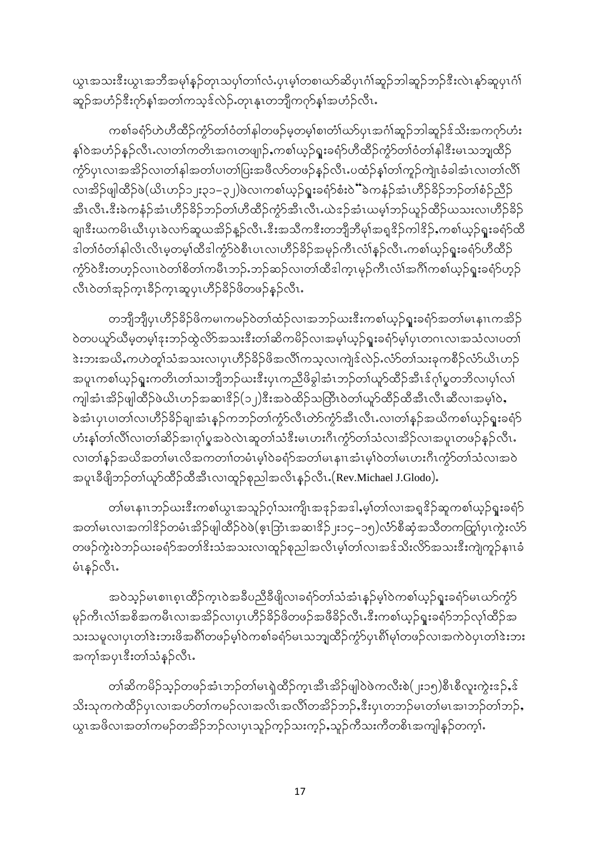ယွၤအသးဒီးယွၤအဘိအမု)န္ ဉ်တုၤသပှါတၢါလံႉပှၤမ့ါတစၢဃာ်ဆိပှၤဂံါဆူဉ်ဘါဆူဉ်ဘဉ်ဒီးလဲၤနုာ်ဆူပှၤဂံါ ဆူဉ်အဟံဉ်<sup>ဒွ</sup>ီးက်နှၤ်အတၢ်ကသ့ဒ်လဲဉ်.တုၤနုၤတဘျိကက်နှၤ်အဟံဉ်လီၤ.

ကစါခရံ>်ဟဲဟီထိဉ်ကွဲာ်တၢ်ဝံတၢ်နါတဖဉ်မဲ့တမ့ၢ်စၢတံၢ်ဃာ်ပှၤအင်္ဂၢိဆူဉ်ဘါဆူဉ်ဒ်သိးအကဂုာ်ဟံး နှၢ်ဝဲအဟံဉ်နဉ်လီၤႉလၢတၢ်ကတိၤအဂၤတဖျ<mark>ှ</mark>ဉ်ႇကစၢ်ယ့ဉ်ရူးခရံာ်ဟီထိဉ်ကွဲာ်တၢ်ဝံတၢ်နါဒီးမၤသဘျထိဉ် ကွဲ၁်ပုၤလၢအအိဉ်လ၊တၢ်နါအတၢ်ပ၊တ၊်ပြးအဖိလာ်တဖဉ်နဉ်လီၤႉပထံဉ်နှၤ်တ၊်ကူဉ်ကျဲၤခံခါအံၤလ၊တၢ်လိၢ် လၢအိဉ်ဖျါထီဉ်ဖဲ(ယိၤဟဉ်၁၂း၃၁–၃၂)ဖဲလၢကစၢ်ယ့ဉ်ရူးခရံာ်စံးဝဲ််ံခဲကနံဉ်အံၤဟိဉ်ခိဉ်ဘဉ်တၢ်စံဉ်ညီဉ် -<br>အီၤလီၤႉဒီးခဲကနံဉ်အံၤဟိဉ်ခိဉ်ဘဉ်တၢ်ဟိထိဉ်ကွံာ်အီၤလီၤႉယဲဒဉ်အံၤယမ့္ပ်ဘဉ်ယူဉ်ထိဉ်ယသးလၢဟိဉ်ခိဉ် ချ၊ဒီးယကမိၤယီၤပုၤခဲလၢာ်ဆူယအိဉ်နူဉ်လီၤႉဒီးအသီကဒီးတဘျိဘီမုၢ်အရှ<sup>ဒွ</sup>ဉ်ကါဒိဉ်ႇကစၢ်ယှဉ်ရူးခရံာ်ထိ <u>ါတ၊်ဝံတ၊်နါလိၤလိၤမ့တမ့၊်ထီဒါကွ</u>ံ $\delta$ ဝဲစီၤပၤလၢဟိဉ်ခိဉ်အမုဉ်ကီၤလံ၊်နဉ်လီၤႉကစၢ်ယ့ဉ်ရူးခရံာ်ဟီထိဉ်</u> ကွဲ၁်ဝဲဒီးတဟုဉ်လၢၤဝဲတၢ်စိတၢ်ကမီၤဘဉ်ႉဘဉ်ဆဉ်လ၊တၢ်ထီဒါက္ၤမှဉ်ကီၤလံၢ်အဂိၢ်ကစၢ်ယှဉ်ရူးခရံာ်ဟုဉ် လီၤဝဲတၢ်အုဉ်က္ၤနိဉ်က္ၤဆူပုၤဟိဉ်နိဉ်ဖိတဖဉ်နဉ်လီၤ.

တဘျီဘျီပုၤဟိ>်ခိဉ်ဖိကမၢကမဉ်ဝဲတၢ်ထံဉ်လၢအဘဉ်ယးဒီးကစၢ်ယှဉ်ရူးခရံာ်အတၢ်မၤနၢၤကအိဉ် ဝဲတပယူာ်ယီမဲ့တမ့်ၢ်ဒုးဘဉ်ထွဲလိာ်အသးဒီးတၢ်ဆိကမိဉ်လၢအမ့္ပ်ယ္ဉ်ရူးခရံာ်မ့္ပ်ပုၤတဂၤလၢအသံလၢပတၤ် ဲအားအယိႇကဟဲတူ၊်သံအသးလၢပုၤဟိဉ်ခိဉ်ဖိအလိၢ်ကသ့လၢကျဲဒ်လဲဉ်ႉလံာ်တၢ်သးခုကစိဉ်လံာ်ယိၤဟဉ် အပူၤကစၢ်ယ့ဉ်ရူးကတိၤတၢ်သၢဘျီဘဉ်ဃးဒီးပုၤကညီဖိခွါအံၤဘဉ်တၢ်ယူာ်ထိဉ်အီၤဒ်ဂုၢ်ပ္စတဘိလၢပုၢ်လ၊် ကျါအံၤအိဉ်ဖျါထိဉ်ဖဲယိၤဟဉ်အဆၢ $\frac{2}{3}$ (၁၂) $\frac{3}{3}$ းအ၀ဲထိဉ်သတြီၤ၀ဲတ $\frac{1}{3}$ ယူာ်ထိဉ်ထိအီၤလီၤဆီလၢအမ့ $\frac{1}{3}$ ၀ဲ, ခဲအံၤပှၤပၢတၢ်လၢဟိဉ်ခိဉ်ချ၊အံၤနဉ်ကဘဉ်တၢ်ကွဲာ်လီၤတဲာ်ကွဲာ်အီၤလီၤႉလၢတၢ်နှဉ်အယိကစၢ်ယှဉ်ရူးခရံာ် ဟံးနှၢ်တၢ်လိၢ်လ၊တၢ်ဆိဉ်အၢဂုၢ်ပ္စအဝဲလဲၤဆူတၢ်သံဒီးမၤဟးဂီၤကွံာ်တၢ်သံလၢအိဉ်လၢအပူၤတဖဉ်နှဉ်လီၤႉ လ၊တၢ်နဉ်အယိအတၢ်မၤလိအကတၢၢ်တမံၤမ့ၢ်ဝဲခရံာ်အတၢ်မၤနၢၤအံၤမ့ၢ်ဝဲတၢ်မၤဟးဂီၤကွံာ်တၢ်သံလၢအဝဲ အပူၤခီဖျိဘဉ်တၤ်ယူာ်ထီဉ်ထီအီၤလၢထူဉ်စုညါအလိၤန္ဉ်လီၤႉ(Rev.Michael J.Glodo).

တၢ်မၤနၢၤဘဉ်ယးဒီးကစၢ်ယွၤအသူဉ်ဂ့ၢ်သးကျိၤအဒုဉ်အဒါ,မ့ၢ်တၢ်လၢအရှုဒိဉ်ဆူကစၢ်ယှဉ်ရူးခရံှာ အတၢ်မၤလၢအကါ<sup>ဥွ</sup>ဉ်တမံၤအိဉ်ဖျါထိဉ်ဝဲဖဲ(ဇ့ၤြဘံၤအဆၢ<sup>ဥွ</sup>ဉ် յး၁၄–၁၅)လံာ်စီဆုံအသိတကတြူ၊ပှၤကွဲးလံာ် တဖဉ်ကွဲးဝဲဘဉ်ဃးခရံာ်အတၢ်<sup>ဒွ</sup>းသံအသးလၢထူဉ်စုညါအလိၤမ့ၢ်တၢ်လၢအဒ်သိးလိ5်အသးဒီးကျဲကူဉ်နၢၤခံ မံၤနဉ်လီၤ $\cdot$ 

အဝဲသုဉ်မၤစၢၤစုၤထိဉ်က္ၤဝဲအခ်ီပညီခ်ီဖျိလၢခရံာ်တၢ်သံအံၤန္ဉ်မ့ၢ်ဝဲကစၢ်ယ့ဉ်ရူးခရံာ်မၤဃာ်ကံ့ာ် မှဉ်ကီၤလံၢ်အစိအကမီၤလၢအအိဉ်လ၊ပုၤဟိဉ်ခိဉ်ဖိတဖဉ်အဖိခိဉ်လီၤႉဒီးကစၢ်ယှဉ်ရူးခရံာ်ဘဉ်လှၢ်ထိဉ်အ သးသမူလၢပှၤတၢ်ဒဲးဘးဖိအရိၢ်တဖဉ်မ့ၢ်ဝဲကစၢ်ခရံာ်မၤသဘျထိဉ်ကွဲာ်ပှၤရိၢ်မု၊်တဖဉ်လၢအကဲဝဲပှၤတၢ်ဒဲးဘး အကုၢ်အပုၤးိးတၢ်သံနဉ်လီၤ.

တၢ်ဆိကမိဉ်သူဉ်တဖဉ်အံၤဘဉ်တၢ်မၤရဲထိဉ်က္ၤအီၤအိဉ်ဖျါဝဲဖဲကလီးစဲ(၂း၁၅)စီၤစီလူးကွဲးဒဉ်ႇဒ် သိးသုကကဲထိဉ်ပုၤလၢအဟ်တၢ်ကမဉ်လၢအလိၤအလိၢကအိဉ်ဘဉ်ႇဒီးပုၤတဘဉ်မၤတၢ်မၤအၢဘဉ်တၢ်ဘဉ်ႇ ယွၤအဖိလၢအတၢ်ကမဉ်တအိဉ်ဘဉ်လ၊ပှၤသူဉ်က့ဉ်သးက့ဉ်ႇသူဉ်ကီသးကီတစိၤအကျါနှဉ်တက့ၢ်ႉ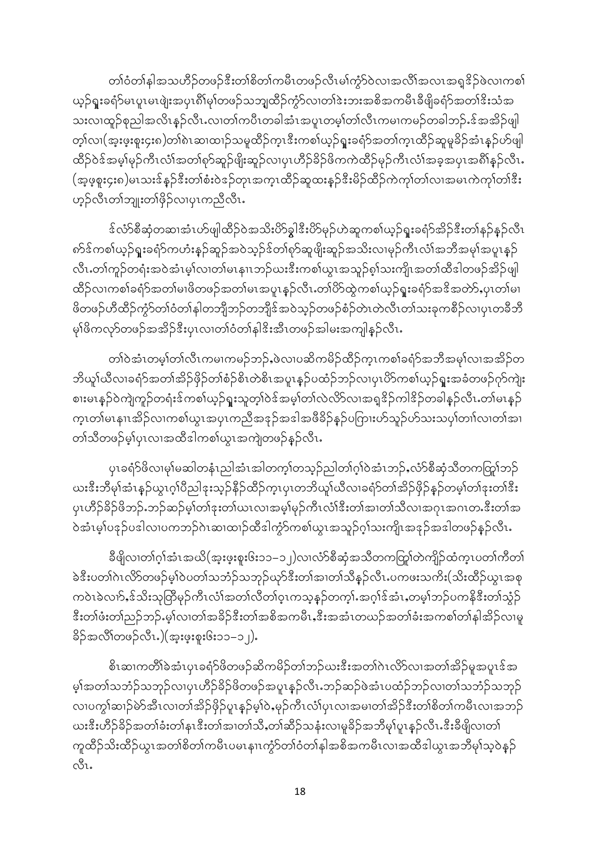တၢဴဝံတၢ်နါအသဟိဉ်တဖဉ်ဒီးတၢိစိတၢ်ကမီၤတဖဉ်လီၤမၢ်ကွဲာ်ဝဲလၢအလိၢ်အလၤအရှုဒိဉ်ဖဲလၢကစၢ် ယ့ဉ်ရူးခရံာ်မၤပူၤမၤဖျဲးအပှၤရိၢ်မု႞တဖဉ်သဘျှထိဉ်ကွဲာ်လၢတၢ်ဒဲးဘးအစိအကမီၤခီဖျိခရံာ်အတၢ်ဒိးသံအ သးလၢထူဉ်စုညါအလိၤန္ဉ်ာလီၤႉလၢတၢ်ကပိၤတခါအံၤအပူၤတမ္၊်တၢဴလီၤကမၢကမဉ်တခါဘဉ်ႉဒ်အအိဉ်ဖျါ တ့ၢ်လ၊(အူးဖူးစူး၄း၈)တၢ်ဲ၈ၤဆ၊ထၢဉ်သမူထိဉ်က္ၤဒီးကစၢ်ယ့ဉ်ရူးခရံာ်အတၢ်က္ၤထိဉ်ဆူမူခိဉ်အံၤန္ဉ်ပာ်ဖျါ ထိဉ်ဝဲဒ်အမှ၊်မှဉ်ကီၤလံ၊်အတၢ်ရာ်ဆူဉ်ဖျိးဆူဉ်လ၊ပုၤဟိဉ်ခိဉ်ဖိကကဲထိဉ်မှဉ်ကီၤလံ၊်အခဲ့အပုၤအရိၢိန္ဉ်လီၤႉ (အ့ဖ္စုႏ၄း၈)မၤသးဒ်န္ဉာဒီးတၢ်စံးဝဲဒဉ်တုၤအက္ၤထိဉ်ဆူထးန္ဉ်ဒီးမိဉ်ထိဉ်ကဲကုၢ်တၤအမၤကဲကုၢ်တၢ်ဒီး ဟ့ဉ်လီၤတၢ်ဘျုးတၢ်ဖိုဉ်လၢပုၤကညီလီၤ**.** 

ဒ်လံ>်စီဆုံတဆၢအံၤပာ်ဖျါထိဉ်ဝဲအသိးပိ>်ချွ<sup>ဒွိုး</sup>ပိ>်မှဉ်ဟဲဆူကစၢ်ယှဉ်ရူးခရံာ်အိဉ်ဒီးတၢ်နဉ်နဉ်လီၤ ၈ာ်ဒ်ကစၢ်ယှဉ်ရူးခရံာ်ကဟံးနှဉ်ဆူဉ်အဝဲသူဉ်ဒ်တၢ်ရာ်ဆူဖျိုးဆူဉ်အသိးလၢမှဉ်ကီၤလံၢ်အဘီအမှၢ်အပူၤန္နဉ် လီၤႉတၢ်ကူဉ်တရံးအဝဲအံၤမ့ၢ်လၢတၢ်မၤနၢၤဘဉ်ဃးဒီးကစၢ်ယွၤအသူဉ်စ့ၢ်သးကျိၤအတၢ်ထီဒါတဖဉ်အိဉ်ဖျါ ထိဉ်လၢကစၢ်ခရံာ်အတၢ်မၢဖိတဖဉ်အတၢ်မၤအပူၤန္ဉာလီၤႉတၢ်ပိာ်ထွဲကစၢ်ယ့ဉ်ရူးခရံာ်အဒိအတဲာ်ႇပှၤတၢ်မၢ ဖိတဖဉ်ဟီထိဉ်ကွံာ်တၢ်ဝံတၢ်နါတဘျိဘဉ်တဘျိဒ်အဝဲသ့ဉ်တဖဉ်စံဉ်တဲၤတဲလီၤတၢ်သးခုကစိဉ်လၢပှၤတခီဘိ မှၢ်ဖိကလှာ်တဖဉ်အအိဉ်ဒီးပုၤလၢတၢ်ဝံတၢ်နါဒိးအီၤတဖဉ်အါမးအကျါနှဉ်လီၤႉ

တၢ်ဝဲအံၤတမ္၊်တၢ်လီၤကမၢကမဉ်ဘဉ်ႇဖဲလၢပဆိကမိဉ်ထိဉ်က္ၤကစၢ်ခရံာ်အဘီအမှၢ်လၢအအိဉ်တ ဘိယူၢ်ယီလၢခရံာ်အတၢ်အိဉ်ဖှိဉ်တၢ်စံဉ်စိၤတဲစိၤအပူၤန္ဉာ်ပထံဉ်ဘဉ်လၢပှၤပိာ်ကစၢ်ယှဉ်ရူးအခံတဖဉ်ကု်ကျဲး စၢးမၤန္ဉ်ဝဲကျဲကူဉ်တရံးဒ်ကစၢ်ယ့ဉ်ရူးသူတ့ၢ်ဝဲဒ်အမှၢ်တၢ်လဲလိ>်လၢအရှုဒိဉ်ကါဒိဉ်တခါနှဉ်လီၤ.တၢ်မၤန္ဉဉ် က္ၤတၢ်မၤနၢၤအိဉ်လၢကစၢ်ယွၤအပှၤကညီအဒုဉ်အဒါအဖီခိဉ်နဉ်ပကြားဟ်သူဉ်ဟ်သးသပှၢ်တၢၢ်လၢတၢ်အၢ တၢဴသိတဖဉ်မ့ၢ်ပုၤလၢအထိဒါကစၢ်ယွၤအကျဲတဖဉ်နဉ်လီၤ*ႉ* 

ပုၤခရံာ်ဖိလၢမှၢ်မဆါတနံၤညါအံၤအါတက္၊်တသူဉ်ညါတၢ်ဂ္၊်ဝဲအံၤဘဉ်ႇလံာ်စီဆုံသီတကတြူ၊်ဘဉ် ယးဒီးဘီမု၊်အံၤနဉ်ယွၤဂ့ၢ်ပီညါဒုးသ့ဉ်နိဉ်ထိဉ်က္ၤပှၤတဘိယူ၊်ယီလၢခရံာ်တၢ်အိဉ်ဖှိဉ်နဉ်တမ့၊်တ၊်ဒုးတ၊်ဒီး ပုၤဟိဉ်ခိဉ်ဖိဘဉ်ႉဘဉ်ဆဉ်မ့ၢ်တၢ်ဒုးတ၊်ယၤလၢအမ့ၢ်မှဉ်ကီၤလံၢ်ဒီးတၢ်အ၊တၢ်သိလၢအဂုၤအဂၤတႉဒီးတၢ်အ .<br>ဝဲအံၤမ့္ပ်ပဒုဉ်ပဒါလ၊ပကဘဉ်ဂဲၤဆ၊ထၢဉ်ထီဒါကွံာ်ကစၤ်ယွၤအသူဉ်ဂ့ၢ်သးကျိၤအဒုဉ်အဒါတဖဉ်နဉ်လီၤ.

ခ်ိဖျိလ၊တၢ်ဂုၢ်အံၤအယိ(အူးဖူးဖူး၆း၁၁–၁၂)လ၊လံာ်စီဆုံအသိတကတြူကဲကျိဉ်ထံက့ၤပတၢ်ကိတၢ် ခဲဒီးပတၢ်ဂဲၤလိ>်တဖဉ်မှၢ်ဝဲပတၢ်သဘံဉ်သဘုဉ်ဃု>်ဒီးတၢ်အၢတၢ်သီနဉ်လီၤႉပကဖးသကိး(သိးထိဉ်ယွၤအစု ကဝဲၤခဲလၢာ်ႇဒ်သိးသုတြိမုဉ်ကီၤလံၢ်အတၢ်လီတၢ်ဝ့ၤကသ္နနဉ်တက္နၤ်.အဂ္ဂါဒ်အံၤႇတမ့ၢ်ဘဉ်ပကနိုဒီးတၢ်သွံဉ် ဒီးတၢ်ဖံးတၢ်ညဉ်ဘဉ်.မ့ၢ်လၢတၢ်အခိဉ်ဒီးတၢ်အစိအကမီၤႇဒီးအအံၤတယဉ်အတၢ်ခံးအကစၢ်တၢ်နါအိဉ်လ၊မူ ခိဉ်အလိၤ်တဖဉ်လီၤ.)(အူးဖူးစူး၆း၁၁–၁၂).

စိၤဆၢကတိၢ်ခဲအံၤပုၤခရ໋ှာဖိတဖဉ်ဆိကမိဉ်တၢ်ဘဉ်ဃးဒီးအတၢ်ဂဲၤလိဉ်လၢအတၢ်အိဉ်မှုအပူၤဒ်အ မ့ါအတါသဘံဉ်သဘုဉ်လၢပုၤဟိဉ်ခိဉ်ဖိတဖဉ်အပူၤန္ဉာလီၤႉဘဉ်ဆဉ်ဖဲအံၤပထံဉ်ဘဉ်လ၊တါသဘံဉ်သဘုဉ် လၢပက္ဂါဆၢဉ်မဲာ်အီၤလၢတၢ်အိဉ်ဖှိဉ်ပူၤန္ဉာ်မ့ၢ်ဝဲႇမုဉ်ကီၤလံ၊်ပှၤလၢအမၢတၢ်အိဉ်ဒီးတၢိစိတၢ်ကမီၤလၢအဘဉ် ယးဒီးဟိဉ်ခိဉ်အတၢ်ခံးတၢ်နၤဒီးတၢ်အ၊တၢ်သိႇတၢ်ဆိဉ်သနံးလ၊မူခိဉ်အဘိမု၊်ပူၤန္ဉာလီၤႉဒီးခီဖျိလ၊တၢ် ကူထိဉ်သိးထိဉ်ယွၤအတၢ်စိတၢ်ကမီၤပမၤနၢၤကွံာ်တၢ်ဝံတၢ်နါအစိအကမီၤလၢအထိဒါယွၤအဘိမုၢ်သ္ဝဲနဉ်  $\mathcal{C}^{\mathsf{S}}$ l.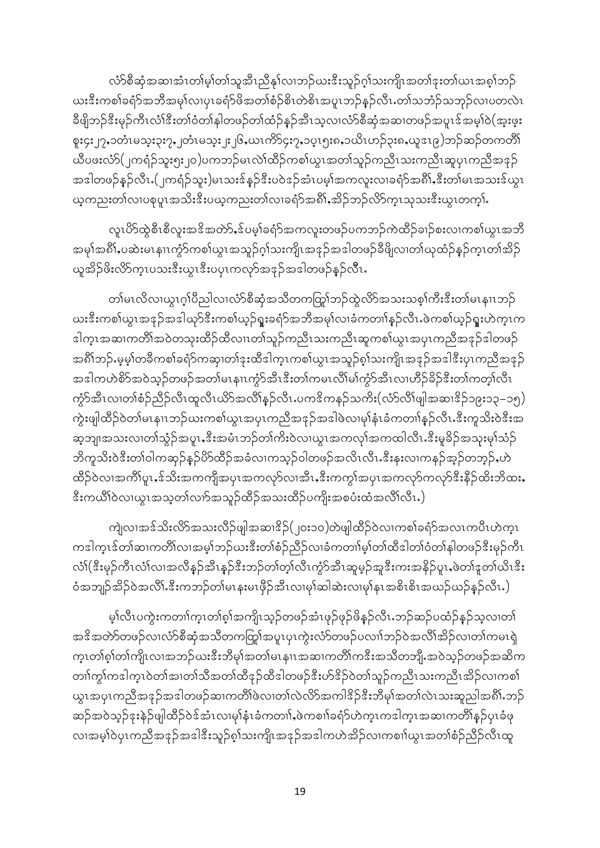လံာ်စီဆုံအဆၢအံၤတၢ်မ့ၢ်တၢ်သူအီၤညီနှၤ်လၢဘဉ်ယးဒီးသူဉ်ဂ့ၢ်သးကျိၤအတၢ်ဒုးတၢ်ယၤအစ့ၢ်ဘဉ် ယးဒီးကစါခရံာ်အဘိအမှါလၢပှၤခရံာ်ဖိအတါစံဉ်စိၤတဲစိၤအပူၤဘဉ်နဉ်လီၤႉတါသဘံဉ်သဘုဉ်လၢပတလဲၤ ခီဖျိဘဉ်ဒီးမှဉ်ကီၤလံၢ်ဒီးတၢ်ဝံတၢ်နါတဖဉ်တၢ်ထံဉ်နှဉ်အီၤသ့လၢလံာ်စီဆုံအဆၢတဖဉ်အပူၤဒ်အမှၢ်ဝဲ(အူးဖူး စူး၄း၂၇ႇ၁တံၤမသ္ႏ၃ႏ၇ႇ၂တံၤမသ္ႏ၂း၂၆ႇယၤကိ5၄ႏ၇ႇ၁ပ္ၤ၅း၈ႇ၁ယိၤဟဉ်၃း၈ႇယူဒၤ၉)ဘဉ်ဆဉ်တကတိၢိ ယီပဖးလံာ်(၂ကရံဉ်သူး၅း၂၀)ပကဘဉ်မၤလဲၤ်ထိဉ်ကစၤ်ယွၤအတၤ်သူဉ်ကညီၤသးကညီၤဆူပုၤကညီအဒုဉ် အဒါတဖဉ်နဉ်လီၤ.(၂ကရံဉ်သူး)မၤသးဒ်နှဉ်ဒီးပဝဲဒဉ်အံၤပမ့ါအကလူးလၢခရံာ်အရိ)်ႇဒီးတာ်မၤအသးဒ်ယွၤ .<br>ယ့ကညးတၢိလၢပစုပူၤအသိးဒီးပယ့ကညးတၢိလၢခရံာ်အရိ) အိဉ်ဘဉ်လိာ်ကၤသုသးဒီးယွၤတက္).

လူၤပိ>်ထွဲစီၤစီလူးအ<sup>ဒွ</sup>ိအတဲ>်ႇဒ်ပမ့ါ်ခရံ>်အကလူးတဖဉ်ပကဘဉ်ကဲထိဉ်ခၢဉ်စးလၢကစၢ်ယွၤအဘိ အမုၢိအရိ)်ႇပဆဲးမၤနၢၤကွံာ်ကစၢ်ယွၤအသူဉ်ဂ့ၢ်သးကျိၤအဒုဉ်အဒါတဖဉ်ခီဖိျလၢတၢ်ယုထံဉ်နဉ်က္ၤတၢ်အိဉ် ယူအိဉ်ဖိးလိ်ာက္ၤပသးဒီးယွၤဒီးပၦၤကလုာ်အဒုဉ်အဒါတဖဉ်နဉ်လီၤ**.** 

တၢ်မၤလိလၢယွၤဂ့ၢ်ပိညါလၢလံာ်စီဆုံအသိတကတြွာ်ဘဉ်ထွဲလိာ်အသးသစ္နၢ်ကီးဒီးတၢ်မၤနၢၤဘဉ် ဃးဒီးကစါယွၤအဒုဉ်အဒါယုဉ်ဒီးကစါယ့ဉ်ရှုးခရံဉ်အဘိအမုၢ်လၢခံကတၢါနှဉ်လီၤႉဖဲကစၢ်ယ့ဉ်ရူးဟဲက့ၤက ဒါက္ၤအဆၢကတိၢိအဝဲတသုးထိဉ်ထိလၢၤတၢ်သူဉ်ကညီၤသးကညီၤဆူကစၢ်ယွၤအပှၤကညီအဒုဉ်ဒါတဖဉ် အရိ)်ဘဉ်.မုမ္ခါတခ်ီကစါခရံာ်ကဆု၊တါဒုးထိဒါက္ၤကစါယွၤအသူဉ်စ္ပါသးကျိၤအဒုဉ်အဒါဒီးပုၤကညီအဒုဉ် အဒါကဟဲစိ>်အဝဲသ့ဉ်တဖဉ်အတၢ်မၤနၢၤကၠံ>်အီၤဒီးတၢ်ကမၤလိၢ်မၢ်ကၠံ>်အီၤလၢဟိဉ်ခိဉ်ဒီးတၢ်ကတ္၊်လီၤ ကွံာ်အီၤလၢတၢ်စံဉ်ညိဉ်လီၤထူလီၤယိာ်အလီၢ်နှဉ်လီၤႉပကဒိကနဉ်သကိး(လံာ်လိၢ်ဖျါအဆၢဒိဉ်၁၉း၁၃–၁၅) ကွဲးဖျါထိဉ်ဝဲတၢ်မၤနၢၤဘဉ်ယးကစၢ်ယွၤအပှၤကညီအဒုဉ်အဒါဖဲလ၊မုၢနံၤခံကတၢၢန္ဉာလိၤႉဒီးကူသိးဝဲဒီးအ ဆ့ဘျ၊အသးလ၊တၢ်သွံဉ်အပူၤႇၖိဳးအမံၤဘဉ်တၢ်ကိးဝဲလ၊ယွၤအကလုၤ်အကထါလီၤႉၖိးမူခိဉ်အသုးမုၢ်သံဉ် ဘိကူသိးဝဲဒီးတၢ်ဝါကဆုဉ်နဉ်ပိ>်ထိဉ်အခံလၢကသ္ဉ်ာဝါတဖဉ်အလိၤလီၤႉဒီးနးလၢကနဉ်အ့ဉ်တဘ့ဉ်ႇဟဲ ထိဉ်ဝဲလၢအကိၢိပူၤႇဒ်သိးအကကျီအပှၤအကလုာ်လ၊အီၤႇဒီးကကွၢ်အပှၤအကလုာ်ကလုာ်ဒီးနိဉ်ထိးဘိထးႇ းကယိၢိဝဲလၢယွၤအသ့တၢ်လၢာ်အသူဉ်ထိဉ်အသးထိဉ်ပကျိးအစပံးထံအလိၢ်လိၤ.)

ကျဲလၢအဒ်သိးလိ်ာအသးလိဉ်ဖျါအဆၢ<sup>8</sup>ဉ်(၂၀း၁၀)တဲဖျါထိဉ်ဝဲလၢကစၢ်ခရံာ်အလၤကပိၤဟဲက္ၤ ကဒါကူၤဒ်တၢ်ဆၢကတိၢ်လၢအမ့ၢ်ဘဉ်ယးဒီးတၢ်စံဉ်ညိဉ်လၢခံကတၢါမ့ၢ်တၢ်ထီဒါတၢ်ဝံတၢ်နါတဖဉ်ဒီးမှဉ်ကီၤ လံ\(«ီးမုဉ်ကီၤလံၤ်လၢအလီနဉ်အီၤနဉ်ဇီးဘဉ်တၢ်တ့ၤ်လီၤကွံာ်အီၤဆူမှဉ်အူဒီးကးအနိဉ်ပူၤႇဖဲတၢ်ဒူတၤ်ယိၤ«ီး ဝံအဘျာ်အိဉ်ဝဲအလိၢ်ိဳးးကဘဉ်တ၊်မၤနးမၤဖှိဉ်အီၤလၢမု၊်ဆါဆဲးလၢမု၊်နၤအစိၤစိၤအယဉ်ယဉ်နှဉ်လီၤ.)

မ့<sup>ှ</sup>လီၤပကွဲးကတၢါက့ၤတၢ်စ့ၢ်အကျိၤသ့ဉ်တဖဉ်အံၤဖုဉ်ဖုဉ်ဖိနှဉ်လီၤ.ဘဉ်ဆဉ်ပထံဉ်နှဉ်သ့လၢတၢ် အဒိအတ်ာ်တဖဉ်လၢလံာ်စီဆုံအသိတကတြူ၊်အပူၤပှၤကွဲးလံာ်တဖဉ်ပလၢၢ်ဘဉ်ဝဲအလိၢ်အိဉ်လ၊တၢ်ကမၤရှဲ က္ၤတၢ်စ္၊်တၢ်ကျိၤလၢအဘဉ်ယးဒီးဘီမု၊်အတၢ်မၤနၢၤအဆၢကတိၢ်ကဒီးအသိတဘျိႉအဝဲသ့ဉ်တဖဉ်အဆိက တၢါကွါကဒါက္ၤဝဲတါအၢတၢ်သီအတၢ်ထီဒုဉ်ထီဒါတဖဉ်ဒီးဟ်ဒိဉ်ဝဲတၢ်သူဉ်ကညီၤသးကညီၤအိဉ်လၢကစၢ် ယွၤအပုၤကညီအဒုဉ်အဒါတဖဉ်ဆၢကတိၢိဖဲလၢတၢ်လဲလိ5်အကါဒိဉ်ဒီးဘီမုၢ်အတၢ်လဲၤသးဆူညါအရိႆၤဘဉ် ဆဉ်အဝဲသ့ဉ်ဒုးနဲဉ်ဖျါထီဉ်ဝဲဒ်အံၤလ၊မု၊်နှံၤခံကတၢါႇဖဲကစၢါခရံာ်ဟဲက္ၤကဒါက္ၤအဆၢကတိၢိန္ဉ်ပှၤခံဖု လၢအမှါဝဲပုၤကညီအဒုဉ်အဒါဒီးသူဉ်စ့ၢ်သးကျိၤအဒုဉ်အဒါကဟဲအိဉ်လၢကစၢါယွၤအတၢ်စံဉ်ညီဉ်လီၤထူ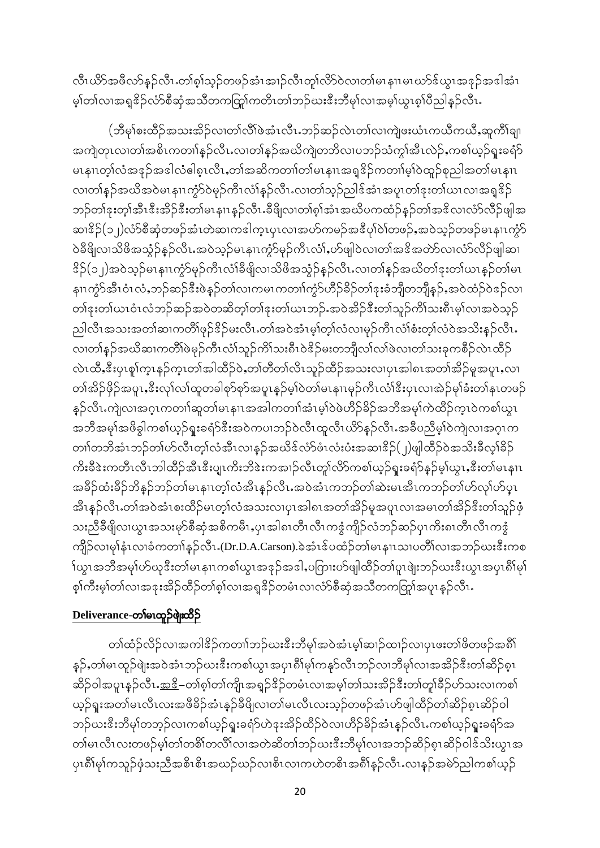လီၤယိဉ်အဖိလာ်နဉ်လီၤ.တၢ်စ္ပါသူဉ်တဖဉ်အံၤအၢဉ်လီၤတူါလိဉ်လၤတၢ်မၤနၢၤမၤဃာ်ဒ်ယွၤအဒုဉ်အဒါအံၤ မ့ါတါလၢအရှ<sup>8</sup>ဉ်လံာ်စီဆုံအသိတကတြူါကတိၤတၢ်ဘဉ်ဃးဒီးဘီမုါလၢအမ့ါယွၤစ့ါပီညါနှဉ်လီၤႉ

(ဘီမှၢ်စးထိဉ်အသးအိဉ်လၢတၢ်လိၢ်ဖဲအံၤလီၤ.ဘဉ်ဆဉ်လဲၤတၢ်လၢကျဲဖးယံၤကယိကယိႇဆူကိၢ်ချ၊ အကျဲတုၤလၢတၢ်အစိၤကတၢါနှဉ်လီၤႉလၢတၢ်နှဉ်အယိကျဲတဘိလၢပဘဉ်သံကွၢ်အီၤလဲဉ်ႇကစၢ်ယ့ဉ်ရူးခရံာ် မၤနၢၤတ္)်လံအနဉ်အဒါလံဓါစ္၊လီၤႇတၢ်အဆိကတၢၢ်တ၊်မၤနၢၤအရူဒိဉ်ကတၢၢ်မ့္ပ်ာထူဉ်စုညါအတၢ်မၤနၢၤ လ၊တၢ်နဉ်အယိအဝဲမၤနၢၤကွံာ်ဝဲမုဉ်ကီၤလံၢ်နဉ်လီၤႉလ၊တၢ်သ့ဉ်ညါဒ်အံၤအပူၤတၢ်ဒုးတ၊်ယၤလ၊အရှုဒိဉ် ဘဉ်တၢ်ဒုးတ့ၢ်အီၤဒီးအိဉ်ဒီးတ၊်မၤနၢၤနှဉ်လီၤ.ခီဖိျလၢတၢ်စ့ၢ်အံၤအယိပကထံဉ်နှဉ်တၢ်အဒိလၢလံာ်လီဉ်ဖျါအ ဆၢ $\frac{2}{3}$ (၁၂)လံ $\frac{5}{9}$ စီဆုံတဖဉ်အံၤတဲဆၢကဒါက္ၤပုၤလၢအဟ်ကမဉ်အဒီပု၊်ဲ၀ဲ၊တဖဉ်ႇအ၀ဲသ့ဉ်တဖဉ်မၤနၢၤက္ပံ $\delta$ ဝဲခ်ီဖိျလ၊သိဖိအသွံဉ်နဉ်လီၤႉအဝဲသ့ဉ်မၤနၢၤကွံာ်မုဉ်ကီၤလံၢ်ႇပာ်ဖျါဝဲလ၊တၢ်အဒိအတ်ာ်လ၊လံာ်လီဉ်ဖျါဆ၊ <u>  $\S$ ြံ ၂)အဝဲသုဉ်မၤနၢၤက</u>ွာ်မှဉ်ကီၤလံၢ်ခီဖျိလၢသိဖိအသွံဉ်နှဉ်လီၤႉလၢတၢ်နှဉ်အယိတၢ်ဒုးတၢ်ယၤနှဉ်တၢ်မၤ နၢၤကွႆာ်အီၤဝံၤလံႇဘဉ်ဆဉ်ဒီးဖဲနဉ်တၤ်လၢကမၤကတၢၤ်ကွႆာ်ဟိဉ်ခိဉ်တၢ်ဒုးခံဘျီတဘျီနဉ်ႇအဝဲထံဉ်ဝဲဒဉ်လၢ တၢ်ဒုးတ၊်ယၤဝံၤလံဘဉ်ဆဉ်အဝဲတဆိတ့ၢ်တၢ်ဒုးတ၊်ယၤဘဉ်ႉအဝဲအိဉ်ဒီးတ၊်သူဉ်ကိၢ်သးရီၤမ့၊်လၢအဝဲသ့ဉ် ညါလီၤအသးအတၢ်ဆၢကတိိၢဖုဉ်<sup>ဥ</sup>ဉ်မးလီၤႉတၢ်အဝဲအံၤမ့ါတ့ၢ်လံလၢမုဉ်ကီၤလံၢ်စံးတ့ၢ်လံဝဲအသိးနှဉ်လီၤႉ လ၊တၢ်နှဉ်အယိဆ၊ကတိၢ်ဖဲမှဉ်ကီၤလံၢ်သူဉ်ကိၢ်သးရီၤဝဲဒိဉ်မးတဘျီလ၊်လ၊်ဖဲလ၊တၢ်သးခုကစိဉ်လဲၤထိဉ် လဲၤထိႇၖိဳးပုၤစူၫ်က္ၤနဉ်က္ၤတၢ်အါထိဉ်ဝဲႇတၢ်တိတၢ်လိၤသူဉ်ထိဉ်အသးလၢပုၤအါ၈ၤအတၢ်အိဉ်မူအပူၤႇလၢ တၢ်အိဉ်ဖိုဉ်အပူၤႇဒီးလှၤ်လ၊်ထူတခါစု>်စှာ်အပူၤန္ဉာ်မ့ၢ်ဝဲတ၊်မၤနၢၤမှဉ်ကီၤလံၢ်ဒီးပုၤလၢအဲဉ်မှၢ်ခံးတၢ်နုၤတဖဉ် နှဉ်လီၤႉကျဲလၢအဂ္ၤကတၢါဆူတၢ်မၤနၢၤအအါကတၢၢ်အံၤမ္၊်ဝဲဖဲဟိဉ်ခိဉ်အဘီအမှၢ်ကဲထိဉ်က္ၤဝဲကစၢ်ယွၤ အဘီအမုၢ်အဖိခွါကစၢ်ယ့ဉ်ရူးခရံ $\hat{\sigma}$ ဒီးအဝဲကပၢဘဉ်ဝဲလီၤထူလီၤယိ $\hat{\sigma}$ နဉ်လီၤ အခီပညီမ့ၢ်ဝဲကျဲလၢအဂ္ၤက တၢါတဘိအံၤဘဉ်တၢ်ဟ်လီၤတ့ၢ်လံအီၤလၢန္ဉာ်အယိဒ်လံာ်ဖံၤလံးပံးအဆၢ ${}^3_2$ ဉ် (၂)ဖျါထိဉ်ဝဲအသိးခ်ီလ့ၢ်ခိဉ် ကိုးခီဒဲးကတီၤလီၤဘါထီဉ်အီၤဒီးပျ၊ကိုးဘိဒဲးကအၢဉ်လီၤတူ၊်လိာ်ကစါယ့ဉ်ရူးခရံာ်နှဉ်မှါယွၤႇဒီးတၢ်မၤနၢၤ အခိဉ်ထံးခိဉ်ဘိနဉ်ဘဉ်တ၊်မၤနၢၤတ့ၢ်လံအီၤန္ဉာလီၤ.အဝဲအံၤကဘဉ်တ၊်ဆဲးမၤအီၤကဘဉ်တ၊်ဟ်လု၊်ဟ်ပုၤ အီၤန္ဉ်လီၤႉတၢ်အဝဲအံၤစးထိဉ်မၤတ္၊်လံအသးလၢပုၤအါ၈ၤအတၢ်အိဉ်မူအပူၤလၢအမၤတၢ်အိဉ်ဒီးတၢ်သူဉ်ဖုံ သးညီခီဖျိလ၊ယွၤအသးမှာ်စီဆုံအစိကမီၤႇပုၤအါ၈ၤတီၤလီၤကဒွံကျိဉ်လံဘဉ်ဆဉ်ပုၤကိႏၵၤတီၤလီၤကဒွံ ကျိဉ်လ၊မှါနံၤလၢခံကတၢါနှဉ်လီၤႉ(Dr.D.A.Carson).ခဲအံၤဒ်ပထံဉ်တါမၤနၢၤသၢပတိၢ်လၢအဘဉ်ဃးဒီးကစ <sup>န်</sup>ယွၤအဘိအမှၢ်ဟ်ယုဒီးတၢ်မၤနၢၤကစၢ်ယွၤအဒုဉ်အဒါႇပကြားဟ်ဖျါထိဉ်တၢ်ပူၤဖျဲးဘဉ်ယးဒီးယွၤအပုၤရိၢ်မှ၊် စ့ါကီးမ့ါတါလၢအဒုးအိဉ်ထိဉ်တါၵ့ါလၢအရှုဒိဉ်တမံၤလၢလံာ်စီဆုံအသိတကတြူ၊်အပူၤန္ဉာလီၤႉ

## Deliverance-တၢ်မၤထူဉ်ဖျံးထိဉ်

တၢ်ထံဉ်လိဉ်လၢအကါဒိဉ်ကတၢၢ်ဘဉ်ဃးဒီးဘီမှၢ်အဝဲအံၤမ္၊်ဆၢဉ်ထၢဉ်လ၊ပုၤဖးတၢ်ဖိတဖဉ်အရိ ${\mathfrak h}$ နှဉ်,တါမၤထူဉ်ဖျဲးအဝဲအံၤဘဉ်ဃးဒီးကစါယွၤအပုၤရိႆ၊မုၢ်ကနုာ်လီၤဘဉ်လၢဘိမုၢ်လၢအအိဉ်ဒီးတၢ်ဆိဉ်စုၤ ဆိဉ်ဝါအပူၤန္ဉာလီၤ<u>.အ<sup>8</sup></u>–တၢ်စ့ၢ်တၢ်ကျိၤအရှဉ်<sup>စွ</sup>ဉ်တမံၤလၢအမ့ၢ်တၢ်သးအိဉ်ဒီးတၢ်တူ၊်ခိဉ်ဟ်သးလၢကစၢ် ယ့ဉ်ရူးအတၢ်မၤလီၤလးအဖိခိဉ်အံၤနဉ်ခီဖိျလၢတၢ်မၤလီၤလးသ့ဉ်တဖဉ်အံၤဟ်ဖျါထိဉ်တၢ်ဆိဉ်စ့ၤဆိဉ်ဝါ ဘဉ်ယးဒီးဘီမှၢ်တဘ့ဉ်လၢကစၢ်ယှဉ်ရူးခရံာ်ဟဲဒုးအိဉ်ထိဉ်ဝဲလၢဟိဉ်ခိဉ်အံၤန္ဉာလီၤႉကစၢ်ယှဉ်ရူးခရံာ်အ တၢ်မၤလီၤလးတဖဉ်မ့ၢ်တၢ်တစိၢ်တလိၢ်လၢအတဲဆိတၢ်ဘဉ်ဃးဒီးဘီမှၢ်လၢအဘဉ်ဆိဉ်စုၤဆိဉ်ဝါဒ်သိးယွၤအ ပုၤ၈ိါမု႞ကသူဉ်ဖုံသးညီအစိၤစိၤအယဉ်ယဉ်လၢစိၤလၢကဟဲတစိၤအ၈ိါန္ဉ်လီၤႉလၢန္ဉ်အမဲာ်ညါကစၢ်ယ့ဉ်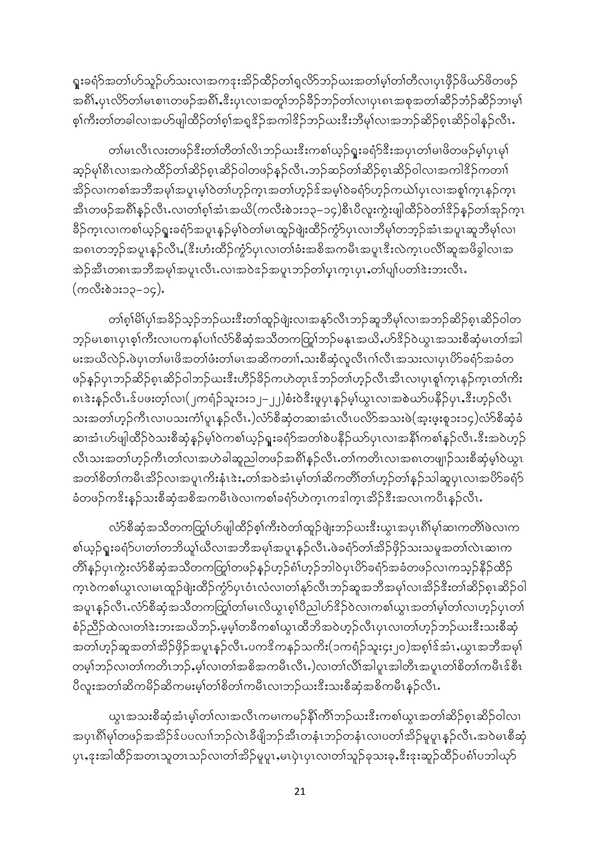ရူးခရံာ်အတၢ်ဟ်သူဉ်ဟ်သးလၢအကဒုးအိဉ်ထိဉ်တၢ်ရှလိာ်ဘဉ်ယးအတၢ်မ့ၢ်တၢ်တီလ၊ပုၤဖိုဉ်ဖိယာ်ဖိတဖဉ် အရိ)်နှပုၤလိ>်တါမၤစၢၤတဖဉ်အရိ)်နှီးပှၤလၢအတူ)်ဘဉ်ခိဉ်ဘဉ်တါလၢပှၤရၤအစုအတၢ်ဆိဉ်ဘံဉ်ဆိဉ်ဘၤမ့္ပါ စ့ၢ်ကီးတ၊်တခါလၢအဟ်ဖျါထိဉ်တၢ်စ့ၢ်အရှုဒိဉ်အကါဒိဉ်ဘဉ်ဃးဒီးဘီမှၢ်လၢအဘဉ်ဆိဉ်စုၤဆိဉ်ဝါနှဉ်လီၤႉ

တၢ်မၤလီၤလးတဖဉ်ဒီးတၢ်တိတၢ်လိၤဘဉ်ယးဒီးကစၢ်ယ့ဉ်ရူးခရံဉ်ဒီးအပုၤတၢ်မၢဖိတဖဉ်မှု၊ပုၤမှ၊် ဆုဉ်မု၊ိရီးလၢအကဲထိဉ်တ၊်ဆိဉ်စုၤဆိဉ်ဝါတဖဉ်နဉ်လီးႉဘဉ်ဆဉ်တ၊်ဆိဉ်စုၤဆိဉ်ဝါလၢအကါဒိဉ်ကတၢ၊် အိဉ်လၢကစါအဘီအမုါအပူၤမ့ါဝဲတါဟုဉ်က္ၤအတၤ်ဟုဉ်ဒ်အမ့ါဝဲခရံာ်ဟုဉ်ကယ်ၤ်ပုၤလၢအစူၢ်က္ၤနဉ်က္ၤ အီၤတဖဉ်အရိ)်နဉ်လီၤႉလၢတၢ်စ့္ပ်အံၤအယိ(ကလီးစဲ၁း၁၃–၁၄)စီၤပီလူးကွဲးဖျါထိဉ်ဝဲတၢ်ဒိဉ်နဉ်တ၊်အုဉ်က္ၤ နိဉ်က္ၤလၢကစၢ်ယ့ဉ်ရူးခရံာ်အပူၤန္ဉာမ့ၢ်ဝဲတၢ်မၤထူဉ်ဖျဲးထိဉ်ကွဲ၁်ပှၤလၢဘိမုၢ်တဘ္ဉ်အံၤအပူၤဆူဘီမု၊်လၢ အ၈ၤတဘုဉ်အပူၤန္ဉာလီၤ (ဒီးဟံးထိဉ်ကွံာ်ပှၤလၢတၢ်ခံးအစိအကမီၤအပူၤဒီးလဲက္ၤပလိၢ်ဆူအဖိခွါလၢအ အဲဉ်အီၤတ၈ၤအဘိအမုၢ်အပူၤလီၤႉလၢအဝဲဒဉ်အပူၤဘဉ်တၢ်ပ္ၤက္ၤပုၤႇတၢ်ပျၢ်ပတၢ်ဒဲးဘးလီၤႉ (ကလီးစဲ၁း၁၃–၁၄).

တၢ်စု၊ိမိ၊်ပှ၊်အခိဉ်သုဉ်ဘဉ်ဃးဒီးတ၊်ထူဉ်ဖျဲးလ၊အနုာ်လီၤဘဉ်ဆူဘီမု၊်လ၊အဘဉ်ဆိဉ်စုၤဆိဉ်ဝါတ ဘ့ဉ်မၤစၢၤပုၤစ့ၢ်ကီးလၢပကနၢ်ပၢၢ်လံာ်စီဆုံအသီတကတြှု၊်ဘဉ်မနုၤအယိႇဟ်<sup>ဒွ</sup>ဉ်ဝဲယွၤအသးစီဆုံမၤတၢ်အါ မးအယိလဲဉ်ႉဖဲပုၤတၢ်မၢဖိအတၢ်ဖံးတၢ်မၤအဆိကတၢၢ်ႇသးစီဆုံလူလီၤဂၢ်လီၤအသးလၢပုၤဟိခရာ်အခံတ ဖဉ်နဉ်ပုၤဘဉ်ဆိဉ်စုၤဆိဉ်ဝါဘဉ်ဃးဒီးဟိဉ်ခိဉ်ကဟဲတုၤဒ်ဘဉ်တၢ်ဟှဉ်လီၤအီၤလၢပုၤစူၢ်က္ၤနဉ်က္ၤတၢ်ကိႏ ၈ၤဒဲးနဉ်လီၤႉဒ်ပဖးတ့ၢ်လ၊(၂ကရံဉ်သူး၁း၁၂–၂၂)စံးဝဲဒီးဖူပှၤနှဉ်မ့ၢ်ယွၤလၢအစဲဃာ်ပနိဉ်ပှၤႇဒီးဟ့ဉ်လီၤ သးအတၢ်ဟုဉ်ကီၤလၢပသးကံၢ်ပူၤနှဉ်လီၤႇ)လံာ်စီဆုံတဆၢအံၤလီၤပလိာ်အသးဖဲ(အူးဖူးစူ၁း၁၄)လံာ်စီဆုံခံ ဆၢအံၤဟ်ဖျါထိဉ်ဝဲသးစီဆုံနှဉ်မ့ၢ်ဝဲကစၢ်ယ့ဉ်ရူးခရံာ်အတၢ်စဲပနိဉ်ယာ်ပှၤလၢအနိၢ်ကစၢ်နှဉ်လီၤႉဒီးအဝဲဟ့ဉ် လီၤသးအတၢ်ဟုဉ်ကီၤတၢ်လၢအဟဲခါဆူညါတဖဉ်အရိၢိန္ဉ်လီၤႉတၢ်ကတိၤလၢအရၤတဖျုဉ်သးစီဆုံမှၤ်ဝဲယွၤ အတၢ်စိတၢ်ကမီၤအိဉ်လၢအပူၤကိႏနံၤဲးႏႇတၢ်အဝဲအံၤမ့ၢ်တၢ်ဆိကတိၢ်တျ်ဟှဉ်တၢ်နှဉ်သါဆူပုၤလၢအပိဉ်ခရံှာ် ခံတဖဉ်က<sup>ွ</sup>းနဉ်သးစီဆုံအစိအကမိၤဖဲလၢကစၢ်ခရံာ်ဟဲက္ၤကဒါက္ၤအိဉ်ဒီးအလၤကပိၤနဉ်လီၤႉ

လံာ်စီဆုံအသိတကတြှုပ်ာဖျါထိဉ်စု၊်ကီးဝဲတ၊်ထူဉ်ဖျဲးဘဉ်ဃးဒီးယွၤအပုၤရိၢ်မှ၊်ဆၢကတိ၊်ဖဲလၢက စါယှဉ်ရူးခရံာ်ပၢတၢ်တဘိယှၢ်ယီလၢအဘိအမှၢ်အပူၤန္ဉာ်လီၤႉဖဲခရံာ်တၢ်အိဉ်ဖိုဉ်သးသမှုအတၢ်လဲၤဆၢက တိၢိန္ဉ်ပှၤကွဲးလံာ်စီဆုံအသိတကတြွ<sup>ု</sup>တဖဉ်နှဉ်ဟ့ဉ်ၵံၢ်ဟ္ဉ်ဘါဝဲပုၤဟ်ိခရံာ်အခံတဖဉ်လၢကသ့ဉ်နိဉ်ထိဉ် က္နၤဝဲကစါယွၤလၢမၤထူဉ်ဖျဲးထိဉ်ကွဲ၁်ပုၤဝံၤလံလၢတၢ်နှာ်လီၤဘဉ်ဆူအဘီအမှၢ်လၢအိဉ်ဒီးတၢ်ဆိဉ်စူၤဆိဉ်ဝါ အပူးနှဉ်လီး လံာ်စီဆုံအသိတကတြှုတ်မြးလိယွှၤစူးပြီညှုပာ်ဒိဉ်ဝဲလ၊ကစၤ်ယွၤအတၤ်မူးတၤ်လ၊ဟူဉ်ပုၤတၤ် စံဉ်ညီဉ်ထဲလ၊တၢ်ဒဲးဘးအယိဘဉ်.မ့မ့္ပ်တခ်ီကစၤ်ယွၤထိဘိအဝဲဟ့ဉ်လီၤပုၤလ၊တၢ်ဟ့ဉ်ဘဉ်ဃးဒီးသးစီဆုံ အတၢ်ဟ္ဉာ်ဆူအတၢ်အိဉ်ဖိုဉ်အပူၤန္ဉာလီၤႉပက<sup>င္မွ</sup>ကနဉ်သကိး(၁ကရံဉ်သူး၄း၂၀)အစ္<sup>ု</sup>်အံၤႇယ္လၤအဘီအမု၊် တမ္နါဘဉ်လ၊တၢ်ကတိၤဘဉ်,မ့ၢ်လ၊တၢ်အစိအကမီၤလီၤႇ)လ၊တၢ်လိၢ်အါပူၤအါတီၤအပူၤတၢ်စိတၢ်ကမီၤဒ်စီၤ ပီလူးအတၢ်ဆိကမိဉ်ဆိကမးမ့ၢ်တၢိစိတၢ်ကမီၤလၢဘဉ်ယးဒီးသးစီဆုံအစိကမီၤန္ဉ်လီၤႉ

ယ္လၤအသးစီဆုံအံၤမ့္ပ်တ္ပါလၢအလီၤကမၢကမဉ်နီၤ်ကီၤ်ဘဉ်ဃးဒီးကစၤ်ယ္လၤအတၤ်ဆိဉ်စ့ၤဆိဉ်ဝါလ၊ အပှၤရိႆာမု႞တဖဉ်အအိဉ်ဒ်ပပလၢၢ်ဘဉ်လဲၤခီဖျိဘဉ်အီၤတနံၤဘဉ်တနံၤလၢပတၢ်အိဉ်မူပူၤနှဉ်လီၤႉအဝဲမၤစီဆုံ ပှၤႇဒုးအါထိဉ်အတၤသူတၤသဉ်လၢတၢ်အိဉ်မူပူၤႇမၤပှဲၤပှၤလၢတၢ်သူဉ်ခုသးခုႇဒီးဒုးဆူဉ်ထိဉ်ပင်္ဂါပဘါယုဉ်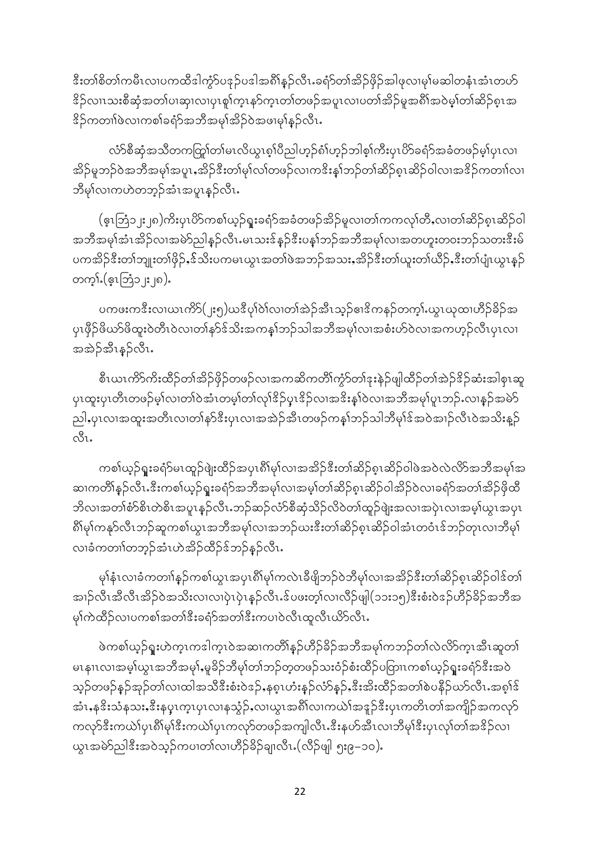<u>ီးတၢ်စိတၢ်ကမီၤလၢပကထီဒါကွ</u>ဲာ်ပဒုဉ်ပဒါအစိါနဉ်လီၤႉခရံာ်တၢ်အိဉ်ဖိုဉ်အါဖုလၢမှၢ်မဆါတနံၤအံၤတဟ်</u> <sup>8</sup>ဉ်လၤၤသးစီဆုံအတၤ်ပၢဆု၊လၢပုၤစူ၊်က္ၤနာ်က္ၤတၢ်တဖဉ်အပူၤလၢပတၢ်အိဉ်မူအရိၢ်အဝဲမ့္ပ်တၢ်ဆိဉ်စ္ၤအ း<br>်ကတၢါဖဲလၢကစါခရံာ်အဘီအမှါအိဉ်ဝဲအဖၢမှါနဉ်လီၤ**.** 

လံာ်စီဆုံအသိတကတြွုက်မၤလိယ္မၤစ္ပါပီညါဟ့ဉ်စံၢ်ဟ့ဉ်ဘါစ့ၢ်ကီးပှၤပိာ်ခရံာ်အခံတဖဉ်မ့၊်ပှၤလ၊ အိဉ်မူဘဉ်ဝဲအဘီအမုၢ်အပူၤႇအိဉ်ဒီးတ၊်မု၊်လ၊်တဖဉ်လၢကဒိးနှၤ်ဘဉ်တၢ်ဆိဉ်စုၤဆိဉ်ဝါလၢအဒိဉ်ကတၢၢ်လ၊ ဘီမု၊်လၢကဟဲတဘ့ဉ်အံၤအပူၤန**ှ**င်္လါး

(ဇူးဘြံ၁၂း၂၈)ကိႏပုၤပိ>်ကစၢ်ယ့ဉ်ရူးခရံာ်အခံတဖဉ်အိဉ်မူလ၊တၢ်ကကလု၊်တီႇလ၊တၢ်ဆိဉ်စုၤဆိဉ်ဝါ အဘိအမုၢ်အံၤအိဉ်လၢအမဲာ်ညါနဉ်လီၤ.မၤသးဒ်နဉ်ဒီးပန1်ဘဉ်အဘိအမုၢ်လၢအတဟူးတဝးဘဉ်သတးဒီးမ် ပကအိဉ်ဒီးတၢ်ဘျုးတၢ်ဖိုဉ်ႇဒ်သိးပကမၤယွၤအတၢ်ဖဲအဘဉ်အသးႇအိဉ်ဒီးတ၊်ယူးတ၊်ယီဉ်ႇဒီးတ၊်ပျံၤယွၤနှဉ် တက္}ႇ(င့ၤဘြံ၁၂း၂၈).

ပကဖးကဒီးလ၊ယၤကိ $S($ ၂း၅)ယဒီပု၊်ဝဲ၊်လ၊တၢ်အဲဉ်အီၤသ့ဉ်ဧ၊ဒိကနဉ်တက့ၢ် ယွၤဃုထ၊ဟိဉ်ခိဉ်အ ပှၤဖှီဉ်ဖိယာ်ဖိထူးဝဲတီၤဝဲလၢတၢ်နာ်ဒ်သိးအကန္နၢ်ဘဉ်သါအဘီအမုၢ်လၢအစံးဟ်ဝဲလၢအကဟ္ဉ်လီၤပှၤလၢ အအဲဉ်အီးနဉ်လီး.

စီၤယၤကိ5ကိးထိဉ်တၢ်အိဉ်ဖိုဉ်တဖဉ်လၢအကဆိကတိၢ်ကွဲ၁်တၢ်ဒုးနဲဉ်ဖျါထိဉ်တၢ်အဲဉ်<sup>ဒွ</sup>ဉ်ဆံးအါစှၤဆူ ၦၤထူးပှၤတီၤတဖဉ်မ့ၢ်လၢတၢ်ဝဲအံၤတမ့ၢ်တၢ်လုၢ်<sup>ဇွ</sup>ဉ်ပှၤ<sup>စွ</sup>ဉ်လၢအ<sup>စွ</sup>ိးနှၢ်ဝဲလၢအဘိအမု၊်ပူၤဘဉ်ႉလၢနှဉ်အမဲာ် ညါႇပုၤလၢအထူးအတိၤလၢတၢ်နှာ်ဒီးပုၤလၢအအဲဉ်အီၤတဖဉ်ကန1်ဘဉ်သါဘီမုၢ်ဒ်အဝဲအၢဉ်လီၤဝဲအသိးန္ဉာ်  $\alpha_{21}^2$ 

ကစၢ်ယှဉ်ရူးခရံာ်မၤထူဉ်ဖျဲးထိဉ်အပုၤရိၢ်မှၤ်လၢအအိဉ်ဒီးတၢ်ဆိဉ်စုၤဆိဉ်ဝါဖဲအဝဲလဲလိာ်အဘီအမှၢ်အ ဆၢကတိၢိန္ဉ်လီၤႉဒီးကစၢ်ယ္ဉ်ရူးခရံာ်အဘီအမုၢ်လၢအမ့ၢ်တၢ်ဆိဉ်စုၤဆိဉ်ဝါအိဉ်ဝဲလၢခရံာ်အတၢ်အိဉ်ဖိုထိ ဘိလၢအတၢ်စံာ်စိၤတဲစိၤအပူၤနဉ်လီၤ.ဘဉ်ဆဉ်လံာ်စီဆုံသိဉ်လိဝဲတၢ်ထူဉ်ဖျံးအလၢအပုံၤလၢအမ့ၢ်ယွၤအပုၤ ရိ<sup>ု</sup>မု၊်ကနုာ်လီၤဘဉ်ဆူကစါယွၤအဘီအမု၊်လၢအဘဉ်ဃးဒီးတၢ်ဆိဉ်စုၤဆိဉ်ဝါအံၤတဝံၤဒ်ဘဉ်တုၤလၢဘီမု၊် လၢခံကတၢါတဘ့ဉ်အံၤဟဲအိဉ်ထိဉ်ဒ်ဘဉ်နဉ်လီၤ.

မုၢိနံၤလၢခံကတၢါနှဉ်ကစၢ်ယွၤအပှၤရိႆးမုၢ်ကလဲၤခီဖျိဘဉ်ဝဲဘီမုၢ်လၢအအိဉ်ဒီးတၢ်ဆိဉ်စုၤဆိဉ်ဝါဒ်တၢ် .<br>အၢဉ်လီၤအီလီၤအိဉ်ဝဲအသိးလၢလၢပှဲၤပှဲၤနဉ်လီၤၗ်ပဖးတ့ၢ်လၢလီဉ်ဖျါ(၁၁း၁၅)ဒီးစံးဝဲဒဉ်ဟိဉ်ခိဉ်အဘီအ မှၢ်ကဲထိဉ်လ၊ပကစၢ်အတၢ်ဒီးခရံဉ်အတၢ်ဒီးကပၢဝဲလီၤထူလီၤယိဉ်လီၤႉ

ဖဲကစါယ့ဉ်ရူးဟဲက္ၤကဒါက္ၤဝဲအဆၢကတိၢိန္ဉ်ဟိဉ်ခိဉ်အဘိအမုၢ်ကဘဉ်တၢ်လဲလိ>်က္ၤအီၤဆူတၢ် မၤနၢၤလၢအမ့္ပ်ယ္မၤအဘိအမု)ႇမူခ်ိဉ်ဘိမု႞တၢ်ဘဉ်တ္စတဖဉ်သးဝံဉ်စံးထိဉ်ပတြာၤကစၢ်ယ့ဉ်ရူးခရံာ်ဒီးအဝဲ သူဉ်တဖဉ်နှဉ်အှဉ်တၤ်လၢထါအသီဒီးစံးဝဲဒဉ်ႇနစ္နၤဟံးနှဉ်လံာ်နှဉ်ႇဒီးအိးထိဉ်အတၢ်စဲပနိဉ်ယာ်လီၤႉအစူၢ်ဒ် အံၤႇန<sup>္တ</sup>ိးသံနသးႇ<sup>8ွ</sup>းနပ္ၤက္ၤပုၤလၢနသွံဉ်ႇလၢယ္ပၤအ၈ိါလၢကယဲၤ်အဒူဉ်ဒီးပုၤကတိၤတၢ်အကျိဉ်အကလုာ် ကလုာ်ဒီးကယဲၤ်ပုၤရီးမုၤ်ဒီးကယဲၤ်ပုၤကလုာ်တဖဉ်အကျါလီၤႉဒီးနဟ်အီၤလၢဘီမုၤ်ဒီးပုၤလုၤ်တၤ်အဒိဉ်လၤ ယွၤအမဲ>ညါဒီးအဝဲသ့ဉ်ကပၢတၢ်လၢဟိဉ်ခိဉ်ချ၊လီၤႉ(လီဉ်ဖျါ ၅း၉−၁၀).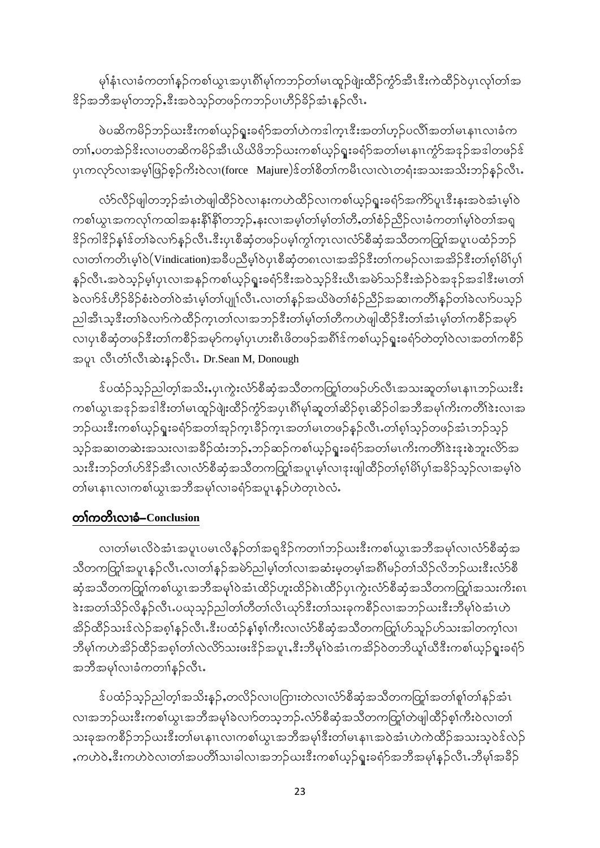မှါနုံးလၢခံကတၢါနှဉ်ကစါယွၤအပုၤ၈ိါမုၢ်ကဘဉ်တါမၤထူဉ်ဖျဲးထိဉ်ကွဲာ်အီၤဒီးကဲထိဉ်ဝဲပုၤလု၊်တါအ း<br>်အဘီအမု၊်တဘ့ဉ်ႇၖိဳးအဝဲသ့ဉ်တဖဉ်ကဘဉ်ပၢဟိဉ်ခိဉ်အံၤန္ဉ်လီၤႉ

ဖဲပဆိကမိဉ်ဘဉ်ဃးဒီးကစါယ့ဉ်ရူးခရံာ်အတၢ်ဟဲကဒါက္ $\textbf{n}$ ဒီးအတၢ်ဟ္၄်ပလိၢ်အတၢ်မၤနၢၤလၢခံက တၢၤ်ႇပတအဲဉ်ဒိးလၢပတဆိကမိဉ်အီၤယိယိဖိဘဉ်ယးကစၢ်ယှဉ်ရူးခရံာ်အတၢ်မၤနၢၤကွံာ်အဒုဉ်အဒါတဖဉ်ဒ် ပုၤကလုာ်လၢအမ့္ပြန်စ္ဝိုကိုးဝဲလ၊(force Majure)ဒ်တၢိစိတၢ်ကမီၤလ၊လဲၤတရံးအသးအသိးဘဉ်နှဉ်လီၤႉ

လံာ်လီဉ်ဖျါတဘ့ဉ်အံၤတဲဖျါထိဉ်ဝဲလၢနးကဟဲထိဉ်လၢကစၢ်ယှဉ်ရူးခရံာ်အကိ5်ပူၤဒီးနုးအဝဲအံၤမ့ၢ်ဝဲ ကစါယွၤအကလုၢ်ကထါအနးနိ1်နိ1်တဘုဉ်ႇနးလၢအမ့ၢ်တၢ်မ့ၢ်တၢ်တိႇတၢ်စံဉ်ညီဉ်လၢခံကတၢၢ်မ့ၢ်ဝဲတၢ်အရှ နိဉ်ကါနိဉ်နှၤ်န်တၤ်ခဲလၢာ်နှဉ်လီၤႉနီးပုၤစီဆုံတဖဉ်ပမ့ၢ်ကွၤ်ကူၤလၤလံာ်စီဆုံအသိတကတြူအပူၤပထံဉ်ဘဉ် လ၊တၢ်ကတိၤမ္ၢါဝဲ(Vindication)အခ်ီပညီမ္၊ါဝဲပုၤစီဆုံတ၈ၤလ၊အအိဉ်ဒီးတၢ်ကမဉ်လ၊အအိဉ်ဒီးတၢ်စ္ပါမိၤ်ပု၊် နှဉ်လီၤႉအဝဲသုဉ်မ့ၢ်ပုၤလၢအနဉ်ကစၢ်ယှဉ်ရူးခရံာ်ဒီးအဝဲသုဉ်ဒိးယီၤအမဲာ်သဉ်ဒီးအဲဉ်ဝဲအဒုဉ်အဒါဒီးမၤတၢ် ခဲလၢာ်ဒ်ဟိဉ်ခိဉ်စံးဝဲတၢ်ဝဲအံၤမ့ၢ်တ၊်ပျု၊်လီၤႉလၢတၢ်နှဉ်အယိဖဲတၢ်စံဉ်ညိဉ်အဆၢကတိၢ်နှဉ်တၢ်ခဲလၢာ်ပသ့ဉ် ညါအီၤသ့ဒီးတါခဲလၢာ်ကဲထိဉ်က္ၤတၤ်လၢအဘဉ်ဒီးတၤ်မ့ၤ်တၤ်တီကဟဲဖျါထိဉ်ဒီးတၤ်အံၤမ့ၤ်တၤ်ကစိဉ်အမုာ် လၢပှၤစီဆုံတဖဉ်ဒီးတၢ်ကစိဉ်အမုာ်ကမ့ၢ်ပှၤဟးရီၤဖိတဖဉ်အရိၢိဒ်ကစၢ်ယှဉ်ရူးခရံာ်တဲတ့ၢ်ဝဲလၢအတၢ်ကစိဉ် အပူၤ လီၤတံၤ်လီၤဆဲးနဉ်လီၤ. Dr.Sean M, Donough

ဒ်ပထံဉ်သူဉ်ညါတ့ၢ်အသိးႇပုၤကွဲးလံာ်စီဆုံအသိတကတြူ၊်တဖဉ်ဟ်လီၤအသးဆူတၢ်မၤနၢၤဘဉ်ဃး<sup>8ွ</sup>း ကစၢ်ယွၤအဒုဉ်အဒါဒီးတၢ်မၤထူဉ်ဖျဲးထိဉ်ကွံာ်အပှၤရိၢ်မုၢ်ဆူတၢ်ဆိဉ်စုၤဆိဉ်ဝါအဘိအမုၢ်ကိးကတိၢ်ဒဲးလၢအ ဘဉ်ယးဒီးကစါယှဉ်ရူးခရံာ်အတၢ်အှဉ်ကူၤခိဉ်ကူၤအတၢ်မၤတဖဉ်နှဉ်လီၤ.တၢ်စ့ၢ်သှဉ်တဖဉ်အံၤဘဉ်သုဉ် သူဉ်အဆၢတဆဲးအသးလၢအခ်ိဉ်ထံးဘဉ်ႇဘဉ်ဆဉ်ကစၢ်ယှဉ်ရူးခရံာ်အတၢ်မၤကိႏကတိၢ်ဒဲးဒုးစဲဘူးလိာ်အ သးဒီးဘဉ်တၢ်ဟ်ဒိဉ်အီၤလၢလံာ်စီဆုံအသီတကတြှၢ်အပူၤမ္န၊်လၢဒုးဖျါထီဉ်တၢ်စု၊်မိ၊်ပု၊်အခိဉ်သူဉ်လၢအမှ၊်ဝဲ တါမၤနၢၤလၢကစါယွၤအဘိအမှါလၢခရံာ်အပူၤန္ဉာ်ဟဲတုၤ၀ဲလံႉ

### တၢဴကတိၤလၢခံ-Conclusion

လ၊တၢ်မၤလိဝဲအံၤအပူၤပမၤလိန္ဉ်တၢ်အရှူဒိဉ်ကတၢၢ်ဘဉ်ဃးဒီးကစၢ်ယွၤအဘိအမှၢ်လ၊လံာ်စီဆုံအ သိတကတြှၢ်အပူၤန္ဉာလိၤႉလၢတၢ်နှဉ်အမဲာ်ညါမ့္ပါတၤ်လၢအဆံးမှုတမူ၊်အရိၢိမဉ်တၢ်သိဉ်လိဘဉ်ဃးဒီးလံာ်စီ ဆုံအသိတကတြှာ်ကစါယွၤအဘိအမှါဝဲအံၤထိဉ်ဟူးထိဉ်၈ဲၤထိဉ်ပုၤကွဲးလံာ်စီဆုံအသိတကတြှာ်အသးကိႏၵၤ <u>ဲ</u>&းအတၢ်သိဉ်လိန္ဉ်လီၤႉပယုသ္ဉ်ညါတၢ်တိတၢ်လိၤယှာ်<sup>စွ</sup>ီးတၢ်သးခုကစိဉ်လၢအဘဉ်ဃး<sup>စွဲ</sup>းဘိမှၢ်ဝဲအံၤဟဲ အိဉ်ထိဉ်သးဒ်လဲဉ်အစ္စ္ပါန္ဉာလီၤႉဒီးပထံဉ်နှုစ္စ္ပါကီးလၤလံာစီဆုံအသီတကတြှုပ်ာသူဉ်ဟ်သးအါတက္နါလၤ ဘီမု၊်ကဟဲအိဉ်ထိဉ်အစု၊်တ၊်လဲလိ>်သးဖးဒိဉ်အပူၤႇဒီးဘီမု၊်ဝဲအံၤကအိဉ်ဝဲတဘိယူ၊်ယီဒီးကစ၊်ယ့ဉ်ရူးခရံ>် အဘိအမှၢ်လၢခံကတၢါနဉ်လီၤႉ

<sup>န့်</sup>ပထံဉ်သူဉ်ညါတ့ၢ်အသိးနှဉ်ႇတလိဉ်လၢပကြားတဲလၢလံာ်စီဆုံအသီတကတြှု၊်အတၢ်စူ၊်တၢ်နဉ်အံၤ လၢအဘဉ်ယးဒီးကစါယွၤအဘိအမှါခဲလၢာ်တသ့ဘဉ်ႉလံာ်စီဆုံအသိတကတြှုကဲဖျါထိဉ်စ့ၢ်ကီးဝဲလၢတ၊် သးခုအကစိဉ်ဘဉ်ဃးဒီးတ၊်မၤနၢၤလၢကစၢ်ယွၤအဘိအမုၢိဒီးတ၊်မၤနၢၤအဝဲအံၤဟဲကဲထိဉ်အသးသ့ဝဲဒ်လဲဉ် ႇကဟဲ၀ဲႇဒီးကဟဲ၀ဲလၢတၢ်အပတိၢ်သၢခါလၢအဘဉ်ဃးဒီးကစၢ်ယှဉ်ရူးခရံာ်အဘိအမှၢ်နှဉ်လီၤႉဘိမှၢ်အခိဉ်